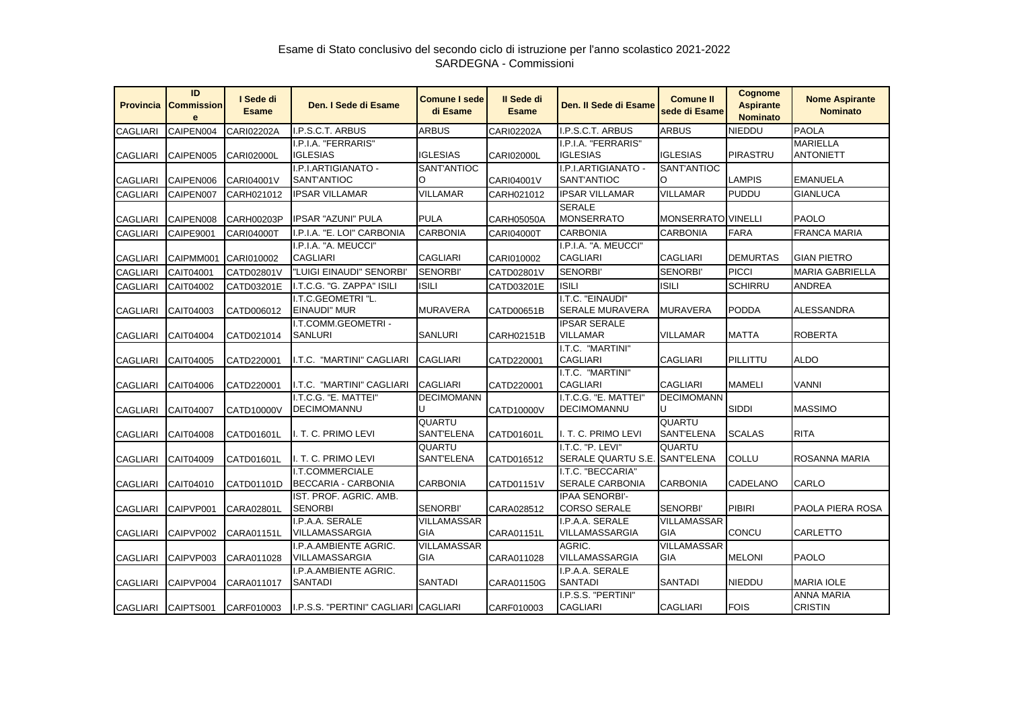| <b>Provincia</b> | ID<br><b>Commission</b><br>$\mathbf{e}$ | I Sede di<br><b>Esame</b> | Den. I Sede di Esame                          | <b>Comune I sede</b><br>di Esame | Il Sede di<br><b>Esame</b> | Den. Il Sede di Esame                             | <b>Comune II</b><br>sede di Esame | <b>Cognome</b><br><b>Aspirante</b><br><b>Nominato</b> | <b>Nome Aspirante</b><br><b>Nominato</b> |
|------------------|-----------------------------------------|---------------------------|-----------------------------------------------|----------------------------------|----------------------------|---------------------------------------------------|-----------------------------------|-------------------------------------------------------|------------------------------------------|
| <b>CAGLIARI</b>  | CAIPEN004                               | <b>CARI02202A</b>         | I.P.S.C.T. ARBUS                              | <b>ARBUS</b>                     | <b>CARI02202A</b>          | I.P.S.C.T. ARBUS                                  | ARBUS                             | <b>NIEDDU</b>                                         | <b>PAOLA</b>                             |
|                  |                                         |                           | I.P.I.A. "FERRARIS"                           |                                  |                            | I.P.I.A. "FERRARIS"                               |                                   |                                                       | <b>MARIELLA</b>                          |
| <b>CAGLIARI</b>  | CAIPEN005                               | <b>CARI02000L</b>         | <b>IGLESIAS</b>                               | <b>IGLESIAS</b>                  | <b>CARI02000L</b>          | <b>IGLESIAS</b>                                   | <b>IGLESIAS</b>                   | <b>PIRASTRU</b>                                       | <b>ANTONIETT</b>                         |
|                  |                                         |                           | I.P.I.ARTIGIANATO -                           | SANT'ANTIOC                      |                            | I.P.I.ARTIGIANATO -                               | SANT'ANTIOC                       |                                                       |                                          |
| <b>CAGLIARI</b>  | CAIPEN006                               | CARI04001V                | <b>SANT'ANTIOC</b>                            | O                                | CARI04001V                 | SANT'ANTIOC                                       | O                                 | <b>LAMPIS</b>                                         | <b>EMANUELA</b>                          |
| <b>CAGLIARI</b>  | CAIPEN007                               | CARH021012                | <b>IPSAR VILLAMAR</b>                         | <b>VILLAMAR</b>                  | CARH021012                 | <b>IPSAR VILLAMAR</b>                             | <b>VILLAMAR</b>                   | <b>PUDDU</b>                                          | <b>GIANLUCA</b>                          |
| <b>CAGLIARI</b>  | CAIPEN008                               | CARH00203P                | <b>IPSAR "AZUNI" PULA</b>                     | <b>PULA</b>                      | <b>CARH05050A</b>          | <b>SERALE</b><br><b>MONSERRATO</b>                | MONSERRATO VINELLI                |                                                       | <b>PAOLO</b>                             |
| <b>CAGLIARI</b>  | <b>CAIPE9001</b>                        | <b>CARI04000T</b>         | I.P.I.A. "E. LOI" CARBONIA                    | <b>CARBONIA</b>                  | <b>CARI04000T</b>          | <b>CARBONIA</b>                                   | <b>CARBONIA</b>                   | <b>FARA</b>                                           | <b>FRANCA MARIA</b>                      |
| <b>CAGLIARI</b>  | CAIPMM001                               | CARI010002                | I.P.I.A. "A. MEUCCI"<br><b>CAGLIARI</b>       | <b>CAGLIARI</b>                  | CARI010002                 | I.P.I.A. "A. MEUCCI"<br><b>CAGLIARI</b>           | <b>CAGLIARI</b>                   | <b>DEMURTAS</b>                                       | <b>GIAN PIETRO</b>                       |
| <b>CAGLIARI</b>  | CAIT04001                               | CATD02801V                | "LUIGI EINAUDI" SENORBI'                      | SENORBI'                         | CATD02801V                 | <b>SENORBI'</b>                                   | SENORBI'                          | <b>PICCI</b>                                          | <b>MARIA GABRIELLA</b>                   |
| <b>CAGLIARI</b>  | CAIT04002                               | CATD03201E                | I.T.C.G. "G. ZAPPA" ISILI                     | <b>ISILI</b>                     | CATD03201E                 | <b>ISILI</b>                                      | <b>ISILI</b>                      | <b>SCHIRRU</b>                                        | <b>ANDREA</b>                            |
| <b>CAGLIARI</b>  | CAIT04003                               | CATD006012                | I.T.C.GEOMETRI "L.<br><b>EINAUDI" MUR</b>     | <b>MURAVERA</b>                  | CATD00651B                 | I.T.C. "EINAUDI"<br><b>SERALE MURAVERA</b>        | <b>MURAVERA</b>                   | <b>PODDA</b>                                          | <b>ALESSANDRA</b>                        |
| <b>CAGLIARI</b>  | CAIT04004                               | CATD021014                | I.T.COMM.GEOMETRI -<br><b>SANLURI</b>         | <b>SANLURI</b>                   | CARH02151B                 | <b>IPSAR SERALE</b><br>VILLAMAR                   | VILLAMAR                          | <b>MATTA</b>                                          | <b>ROBERTA</b>                           |
| <b>CAGLIARI</b>  | CAIT04005                               | CATD220001                | I.T.C. "MARTINI" CAGLIARI                     | <b>CAGLIARI</b>                  | CATD220001                 | I.T.C. "MARTINI"<br><b>CAGLIARI</b>               | <b>CAGLIARI</b>                   | PILLITTU                                              | <b>ALDO</b>                              |
| <b>CAGLIARI</b>  | CAIT04006                               | CATD220001                | I.T.C. "MARTINI" CAGLIARI                     | <b>CAGLIARI</b>                  | CATD220001                 | I.T.C. "MARTINI"<br><b>CAGLIARI</b>               | <b>CAGLIARI</b>                   | <b>MAMELI</b>                                         | <b>VANNI</b>                             |
| <b>CAGLIARI</b>  | <b>CAIT04007</b>                        | CATD10000V                | I.T.C.G. "E. MATTEI"<br><b>DECIMOMANNU</b>    | <b>DECIMOMANN</b><br>U           | CATD10000V                 | I.T.C.G. "E. MATTEI"<br><b>DECIMOMANNU</b>        | <b>DECIMOMANN</b>                 | <b>SIDDI</b>                                          | <b>MASSIMO</b>                           |
| <b>CAGLIARI</b>  | CAIT04008                               | CATD01601L                | I. T. C. PRIMO LEVI                           | <b>QUARTU</b><br>SANT'ELENA      | CATD01601L                 | I. T. C. PRIMO LEVI                               | <b>QUARTU</b><br>SANT'ELENA       | <b>SCALAS</b>                                         | <b>RITA</b>                              |
| <b>CAGLIARI</b>  | CAIT04009                               | CATD01601L                | I. T. C. PRIMO LEVI                           | <b>QUARTU</b><br>SANT'ELENA      | CATD016512                 | I.T.C. "P. LEVI"<br>SERALE QUARTU S.E. SANT'ELENA | QUARTU                            | <b>COLLU</b>                                          | ROSANNA MARIA                            |
| <b>CAGLIARI</b>  | CAIT04010                               | CATD01101D                | I.T.COMMERCIALE<br><b>BECCARIA - CARBONIA</b> | <b>CARBONIA</b>                  | CATD01151V                 | I.T.C. "BECCARIA"<br><b>SERALE CARBONIA</b>       | <b>CARBONIA</b>                   | <b>CADELANO</b>                                       | CARLO                                    |
| <b>CAGLIARI</b>  | CAIPVP001                               | CARA02801L                | IST. PROF. AGRIC. AMB.<br><b>SENORBI</b>      | SENORBI'                         | CARA028512                 | <b>IPAA SENORBI'-</b><br><b>CORSO SERALE</b>      | SENORBI'                          | <b>PIBIRI</b>                                         | PAOLA PIERA ROSA                         |
| <b>CAGLIARI</b>  | CAIPVP002                               | CARA01151L                | I.P.A.A. SERALE<br>VILLAMASSARGIA             | <b>VILLAMASSAR</b><br><b>GIA</b> | CARA01151L                 | I.P.A.A. SERALE<br>VILLAMASSARGIA                 | <b>VILLAMASSAR</b><br><b>GIA</b>  | <b>CONCU</b>                                          | CARLETTO                                 |
| <b>CAGLIARI</b>  | CAIPVP003                               | CARA011028                | I.P.A.AMBIENTE AGRIC.<br>VILLAMASSARGIA       | VILLAMASSAR<br><b>GIA</b>        | CARA011028                 | AGRIC.<br>VILLAMASSARGIA                          | <b>VILLAMASSAR</b><br><b>GIA</b>  | <b>MELONI</b>                                         | <b>PAOLO</b>                             |
| <b>CAGLIARI</b>  | CAIPVP004                               | CARA011017                | I.P.A.AMBIENTE AGRIC.<br>SANTADI              | SANTADI                          | CARA01150G                 | I.P.A.A. SERALE<br><b>SANTADI</b>                 | <b>SANTADI</b>                    | <b>NIEDDU</b>                                         | <b>MARIA IOLE</b>                        |
| CAGLIARI         | CAIPTS001                               | CARF010003                | I.P.S.S. "PERTINI" CAGLIARI CAGLIARI          |                                  | CARF010003                 | I.P.S.S. "PERTINI"<br><b>CAGLIARI</b>             | <b>CAGLIARI</b>                   | <b>FOIS</b>                                           | <b>ANNA MARIA</b><br><b>CRISTIN</b>      |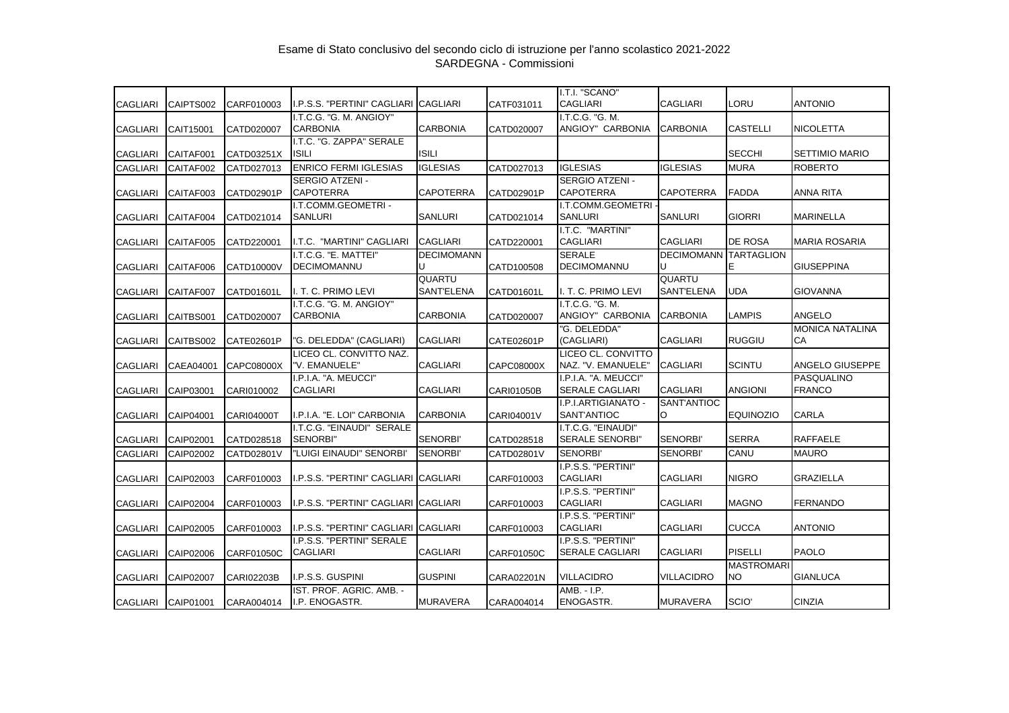| <b>CAGLIARI</b> | CAIPTS002 | CARF010003        | I.P.S.S. "PERTINI" CAGLIARI <b> </b> CAGLIARI |                                    | CATF031011 | I.T.I. "SCANO"<br><b>CAGLIARI</b>              | <b>CAGLIARI</b>                    | <b>LORU</b>              | <b>ANTONIO</b>                     |
|-----------------|-----------|-------------------|-----------------------------------------------|------------------------------------|------------|------------------------------------------------|------------------------------------|--------------------------|------------------------------------|
| <b>CAGLIARI</b> | CAIT15001 | CATD020007        | I.T.C.G. "G. M. ANGIOY"<br><b>CARBONIA</b>    | <b>CARBONIA</b>                    | CATD020007 | I.T.C.G. "G. M.<br>ANGIOY" CARBONIA            | <b>CARBONIA</b>                    | <b>CASTELLI</b>          | <b>NICOLETTA</b>                   |
| <b>CAGLIARI</b> | CAITAF001 | CATD03251X        | I.T.C. "G. ZAPPA" SERALE<br><b>ISILI</b>      | <b>ISILI</b>                       |            |                                                |                                    | <b>SECCHI</b>            | <b>SETTIMIO MARIO</b>              |
| <b>CAGLIARI</b> | CAITAF002 | CATD027013        | <b>ENRICO FERMI IGLESIAS</b>                  | <b>IGLESIAS</b>                    | CATD027013 | <b>IGLESIAS</b>                                | <b>IGLESIAS</b>                    | <b>MURA</b>              | <b>ROBERTO</b>                     |
| <b>CAGLIARI</b> | CAITAF003 | CATD02901P        | <b>SERGIO ATZENI -</b><br><b>CAPOTERRA</b>    | <b>CAPOTERRA</b>                   | CATD02901P | SERGIO ATZENI -<br><b>CAPOTERRA</b>            | CAPOTERRA                          | <b>FADDA</b>             | ANNA RITA                          |
| <b>CAGLIARI</b> | CAITAF004 | CATD021014        | I.T.COMM.GEOMETRI -<br><b>SANLURI</b>         | <b>SANLURI</b>                     | CATD021014 | I.T.COMM.GEOMETRI<br><b>SANLURI</b>            | <b>SANLURI</b>                     | <b>GIORRI</b>            | <b>MARINELLA</b>                   |
| <b>CAGLIARI</b> | CAITAF005 | CATD220001        | I.T.C. "MARTINI" CAGLIARI                     | <b>CAGLIARI</b>                    | CATD220001 | I.T.C. "MARTINI"<br><b>CAGLIARI</b>            | <b>CAGLIARI</b>                    | <b>DE ROSA</b>           | MARIA ROSARIA                      |
|                 |           |                   | I.T.C.G. "E. MATTEI"                          | <b>DECIMOMANN</b>                  |            | <b>SERALE</b>                                  | <b>DECIMOMANN TARTAGLION</b>       |                          |                                    |
| <b>CAGLIARI</b> | CAITAF006 | CATD10000V        | <b>DECIMOMANNU</b>                            | U                                  | CATD100508 | <b>DECIMOMANNU</b>                             |                                    | E                        | <b>GIUSEPPINA</b>                  |
| <b>CAGLIARI</b> | CAITAF007 | CATD01601L        | I. T. C. PRIMO LEVI                           | <b>QUARTU</b><br><b>SANT'ELENA</b> | CATD01601L | I. T. C. PRIMO LEVI                            | <b>QUARTU</b><br><b>SANT'ELENA</b> | <b>UDA</b>               | <b>GIOVANNA</b>                    |
| <b>CAGLIARI</b> | CAITBS001 | CATD020007        | I.T.C.G. "G. M. ANGIOY"<br><b>CARBONIA</b>    | <b>CARBONIA</b>                    | CATD020007 | I.T.C.G. "G. M.<br>ANGIOY" CARBONIA            | <b>CARBONIA</b>                    | <b>LAMPIS</b>            | <b>ANGELO</b>                      |
| <b>CAGLIARI</b> | CAITBS002 | CATE02601P        | "G. DELEDDA" (CAGLIARI)                       | <b>CAGLIARI</b>                    | CATE02601P | "G. DELEDDA"<br>(CAGLIARI)                     | <b>CAGLIARI</b>                    | <b>RUGGIU</b>            | <b>MONICA NATALINA</b><br>CA       |
| <b>CAGLIARI</b> | CAEA04001 | CAPC08000X        | LICEO CL. CONVITTO NAZ.<br>"V. EMANUELE"      | <b>CAGLIARI</b>                    | CAPC08000X | LICEO CL. CONVITTO<br>NAZ. "V. EMANUELE"       | <b>CAGLIARI</b>                    | <b>SCINTU</b>            | ANGELO GIUSEPPE                    |
| <b>CAGLIARI</b> | CAIP03001 | CARI010002        | I.P.I.A. "A. MEUCCI"<br><b>CAGLIARI</b>       | <b>CAGLIARI</b>                    | CARI01050B | I.P.I.A. "A. MEUCCI"<br><b>SERALE CAGLIARI</b> | <b>CAGLIARI</b>                    | <b>ANGIONI</b>           | <b>PASQUALINO</b><br><b>FRANCO</b> |
| <b>CAGLIARI</b> | CAIP04001 | <b>CARI04000T</b> | I.P.I.A. "E. LOI" CARBONIA                    | <b>CARBONIA</b>                    | CARI04001V | I.P.I.ARTIGIANATO -<br>SANT'ANTIOC             | SANT'ANTIOC<br>O                   | <b>EQUINOZIO</b>         | <b>CARLA</b>                       |
| <b>CAGLIARI</b> | CAIP02001 | CATD028518        | I.T.C.G. "EINAUDI" SERALE<br>SENORBI"         | SENORBI'                           | CATD028518 | I.T.C.G. "EINAUDI"<br><b>SERALE SENORBI"</b>   | <b>SENORBI'</b>                    | <b>SERRA</b>             | <b>RAFFAELE</b>                    |
| <b>CAGLIARI</b> | CAIP02002 | CATD02801V        | "LUIGI EINAUDI" SENORBI'                      | <b>SENORBI'</b>                    | CATD02801V | <b>SENORBI'</b>                                | SENORBI'                           | CANU                     | <b>MAURO</b>                       |
| CAGLIARI        | CAIP02003 | CARF010003        | I.P.S.S. "PERTINI" CAGLIARI CAGLIARI          |                                    | CARF010003 | I.P.S.S. "PERTINI"<br><b>CAGLIARI</b>          | <b>CAGLIARI</b>                    | <b>NIGRO</b>             | <b>GRAZIELLA</b>                   |
| <b>CAGLIARI</b> | CAIP02004 | CARF010003        | I.P.S.S. "PERTINI" CAGLIARI CAGLIARI          |                                    | CARF010003 | I.P.S.S. "PERTINI"<br><b>CAGLIARI</b>          | <b>CAGLIARI</b>                    | <b>MAGNO</b>             | <b>FERNANDO</b>                    |
| <b>CAGLIARI</b> | CAIP02005 | CARF010003        | I.P.S.S. "PERTINI" CAGLIARI CAGLIARI          |                                    | CARF010003 | I.P.S.S. "PERTINI"<br><b>CAGLIARI</b>          | <b>CAGLIARI</b>                    | <b>CUCCA</b>             | <b>ANTONIO</b>                     |
| <b>CAGLIARI</b> | CAIP02006 | CARF01050C        | I.P.S.S. "PERTINI" SERALE<br><b>CAGLIARI</b>  | <b>CAGLIARI</b>                    | CARF01050C | I.P.S.S. "PERTINI"<br><b>SERALE CAGLIARI</b>   | <b>CAGLIARI</b>                    | <b>PISELLI</b>           | <b>PAOLO</b>                       |
| <b>CAGLIARI</b> | CAIP02007 | <b>CARI02203B</b> | I.P.S.S. GUSPINI                              | <b>GUSPINI</b>                     | CARA02201N | <b>VILLACIDRO</b>                              | <b>VILLACIDRO</b>                  | <b>MASTROMARI</b><br>NO. | GIANLUCA                           |
| <b>CAGLIARI</b> | CAIP01001 | CARA004014        | IST. PROF. AGRIC. AMB. -<br>I.P. ENOGASTR.    | <b>MURAVERA</b>                    | CARA004014 | AMB. - I.P.<br><b>ENOGASTR.</b>                | <b>MURAVERA</b>                    | SCIO <sup>'</sup>        | <b>CINZIA</b>                      |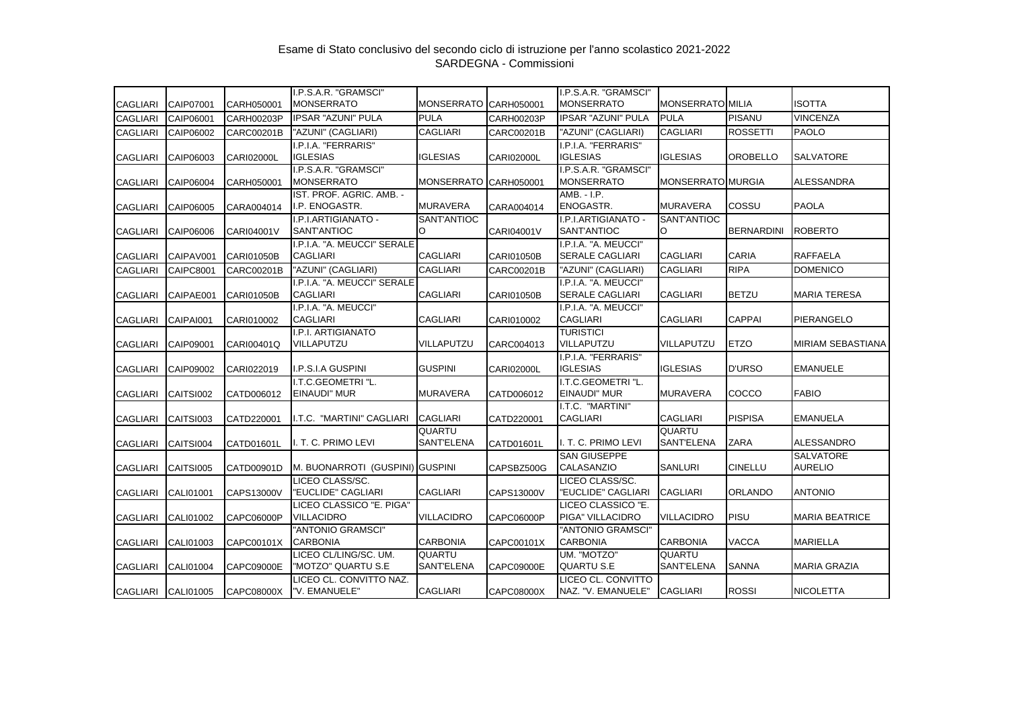|                 |                  |                   | I.P.S.A.R. "GRAMSCI"                      |                       |                   | I.P.S.A.R. "GRAMSCI"                      |                   |                   |                          |
|-----------------|------------------|-------------------|-------------------------------------------|-----------------------|-------------------|-------------------------------------------|-------------------|-------------------|--------------------------|
| <b>CAGLIARI</b> | CAIP07001        | CARH050001        | <b>MONSERRATO</b>                         | <b>MONSERRATO</b>     | CARH050001        | <b>MONSERRATO</b>                         | MONSERRATO MILIA  |                   | <b>ISOTTA</b>            |
| <b>CAGLIARI</b> | CAIP06001        | CARH00203P        | <b>IPSAR "AZUNI" PULA</b>                 | <b>PULA</b>           | CARH00203P        | <b>IPSAR "AZUNI" PULA</b>                 | <b>PULA</b>       | <b>PISANU</b>     | <b>VINCENZA</b>          |
| <b>CAGLIARI</b> | CAIP06002        | CARC00201B        | "AZUNI" (CAGLIARI)                        | <b>CAGLIARI</b>       | CARC00201B        | "AZUNI" (CAGLIARI)                        | <b>CAGLIARI</b>   | <b>ROSSETTI</b>   | <b>PAOLO</b>             |
|                 |                  |                   | I.P.I.A. "FERRARIS"                       |                       |                   | I.P.I.A. "FERRARIS"                       |                   |                   |                          |
| <b>CAGLIARI</b> | CAIP06003        | <b>CARI02000L</b> | <b>IGLESIAS</b>                           | <b>IGLESIAS</b>       | <b>CARI02000L</b> | <b>IGLESIAS</b>                           | <b>IGLESIAS</b>   | <b>OROBELLO</b>   | <b>SALVATORE</b>         |
|                 |                  |                   | I.P.S.A.R. "GRAMSCI"                      |                       |                   | I.P.S.A.R. "GRAMSCI"                      |                   |                   |                          |
| <b>CAGLIARI</b> | CAIP06004        | CARH050001        | <b>MONSERRATO</b>                         | MONSERRATO CARH050001 |                   | <b>MONSERRATO</b>                         | MONSERRATO MURGIA |                   | ALESSANDRA               |
|                 |                  |                   | IST. PROF. AGRIC. AMB. -                  |                       |                   | AMB. - I.P.                               |                   |                   |                          |
| <b>CAGLIARI</b> | CAIP06005        | CARA004014        | I.P. ENOGASTR.                            | <b>MURAVERA</b>       | CARA004014        | ENOGASTR.                                 | <b>MURAVERA</b>   | COSSU             | <b>PAOLA</b>             |
|                 |                  |                   | I.P.I.ARTIGIANATO -                       | SANT'ANTIOC           |                   | I.P.I.ARTIGIANATO -                       | SANT'ANTIOC       |                   |                          |
| <b>CAGLIARI</b> | CAIP06006        | CARI04001V        | <b>SANT'ANTIOC</b>                        | $\circ$               | CARI04001V        | SANT'ANTIOC                               | O                 | <b>BERNARDINI</b> | <b>ROBERTO</b>           |
|                 |                  |                   | I.P.I.A. "A. MEUCCI" SERALE               |                       |                   | I.P.I.A. "A. MEUCCI"                      |                   |                   |                          |
| <b>CAGLIARI</b> | CAIPAV001        | CARI01050B        | <b>CAGLIARI</b>                           | <b>CAGLIARI</b>       | CARI01050B        | <b>SERALE CAGLIARI</b>                    | <b>CAGLIARI</b>   | <b>CARIA</b>      | <b>RAFFAELA</b>          |
| <b>CAGLIARI</b> | <b>CAIPC8001</b> | CARC00201B        | "AZUNI" (CAGLIARI)                        | <b>CAGLIARI</b>       | CARC00201B        | "AZUNI" (CAGLIARI)                        | <b>CAGLIARI</b>   | <b>RIPA</b>       | <b>DOMENICO</b>          |
|                 |                  |                   | I.P.I.A. "A. MEUCCI" SERALE               |                       |                   | I.P.I.A. "A. MEUCCI"                      |                   |                   |                          |
| <b>CAGLIARI</b> | CAIPAE001        | <b>CARI01050B</b> | <b>CAGLIARI</b>                           | <b>CAGLIARI</b>       | CARI01050B        | <b>SERALE CAGLIARI</b>                    | <b>CAGLIARI</b>   | <b>BETZU</b>      | <b>MARIA TERESA</b>      |
|                 |                  |                   | I.P.I.A. "A. MEUCCI"                      |                       |                   | I.P.I.A. "A. MEUCCI"                      |                   |                   |                          |
| <b>CAGLIARI</b> | CAIPAI001        | CARI010002        | <b>CAGLIARI</b>                           | <b>CAGLIARI</b>       | CARI010002        | <b>CAGLIARI</b>                           | <b>CAGLIARI</b>   | <b>CAPPAI</b>     | PIERANGELO               |
|                 |                  |                   | I.P.I. ARTIGIANATO                        |                       |                   | <b>TURISTICI</b>                          |                   |                   |                          |
| <b>CAGLIARI</b> | CAIP09001        | CARI00401Q        | VILLAPUTZU                                | VILLAPUTZU            | CARC004013        | VILLAPUTZU                                | VILLAPUTZU        | <b>ETZO</b>       | <b>MIRIAM SEBASTIANA</b> |
|                 |                  |                   |                                           |                       |                   | I.P.I.A. "FERRARIS"                       |                   |                   |                          |
| <b>CAGLIARI</b> | CAIP09002        | CARI022019        | I.P.S.I.A GUSPINI                         | <b>GUSPINI</b>        | <b>CARI02000L</b> | IGLESIAS                                  | <b>IGLESIAS</b>   | <b>D'URSO</b>     | <b>EMANUELE</b>          |
|                 |                  |                   | I.T.C.GEOMETRI "L.<br><b>EINAUDI" MUR</b> | <b>MURAVERA</b>       |                   | I.T.C.GEOMETRI "L.<br><b>EINAUDI" MUR</b> | <b>MURAVERA</b>   | COCCO             | <b>FABIO</b>             |
| <b>CAGLIARI</b> | CAITSI002        | CATD006012        |                                           |                       | CATD006012        | I.T.C. "MARTINI"                          |                   |                   |                          |
| <b>CAGLIARI</b> | CAITSI003        | CATD220001        | I.T.C. "MARTINI" CAGLIARI                 | <b>CAGLIARI</b>       | CATD220001        | <b>CAGLIARI</b>                           | <b>CAGLIARI</b>   | <b>PISPISA</b>    | <b>EMANUELA</b>          |
|                 |                  |                   |                                           | QUARTU                |                   |                                           | QUARTU            |                   |                          |
| <b>CAGLIARI</b> | CAITSI004        | CATD01601L        | I. T. C. PRIMO LEVI                       | SANT'ELENA            | CATD01601L        | I. T. C. PRIMO LEVI                       | <b>SANT'ELENA</b> | <b>ZARA</b>       | ALESSANDRO               |
|                 |                  |                   |                                           |                       |                   | <b>SAN GIUSEPPE</b>                       |                   |                   | <b>SALVATORE</b>         |
| <b>CAGLIARI</b> | CAITSI005        | CATD00901D        | M. BUONARROTI (GUSPINI) GUSPINI           |                       | CAPSBZ500G        | CALASANZIO                                | <b>SANLURI</b>    | <b>CINELLU</b>    | <b>AURELIO</b>           |
|                 |                  |                   | LICEO CLASS/SC.                           |                       |                   | LICEO CLASS/SC.                           |                   |                   |                          |
| <b>CAGLIARI</b> | CALI01001        | CAPS13000V        | "EUCLIDE" CAGLIARI                        | <b>CAGLIARI</b>       | CAPS13000V        | "EUCLIDE" CAGLIARI                        | <b>CAGLIARI</b>   | <b>ORLANDO</b>    | <b>ANTONIO</b>           |
|                 |                  |                   | LICEO CLASSICO "E. PIGA"                  |                       |                   | LICEO CLASSICO "E.                        |                   |                   |                          |
| <b>CAGLIARI</b> | CALI01002        | CAPC06000P        | <b>VILLACIDRO</b>                         | <b>VILLACIDRO</b>     | CAPC06000P        | PIGA" VILLACIDRO                          | <b>VILLACIDRO</b> | PISU              | <b>MARIA BEATRICE</b>    |
|                 |                  |                   | "ANTONIO GRAMSCI"                         |                       |                   | "ANTONIO GRAMSCI"                         |                   |                   |                          |
| <b>CAGLIARI</b> | CALI01003        | CAPC00101X        | <b>CARBONIA</b>                           | <b>CARBONIA</b>       | CAPC00101X        | <b>CARBONIA</b>                           | <b>CARBONIA</b>   | <b>VACCA</b>      | <b>MARIELLA</b>          |
|                 |                  |                   | LICEO CL/LING/SC. UM.                     | QUARTU                |                   | UM. "MOTZO"                               | QUARTU            |                   |                          |
| <b>CAGLIARI</b> | <b>CALI01004</b> | CAPC09000E        | "MOTZO" QUARTU S.E                        | SANT'ELENA            | CAPC09000E        | <b>QUARTU S.E</b>                         | <b>SANT'ELENA</b> | <b>SANNA</b>      | <b>MARIA GRAZIA</b>      |
|                 |                  |                   | LICEO CL. CONVITTO NAZ.                   |                       |                   | LICEO CL. CONVITTO                        |                   |                   |                          |
| <b>CAGLIARI</b> | CALI01005        | CAPC08000X        | "V. EMANUELE"                             | <b>CAGLIARI</b>       | CAPC08000X        | NAZ. "V. EMANUELE"                        | <b>CAGLIARI</b>   | <b>ROSSI</b>      | <b>NICOLETTA</b>         |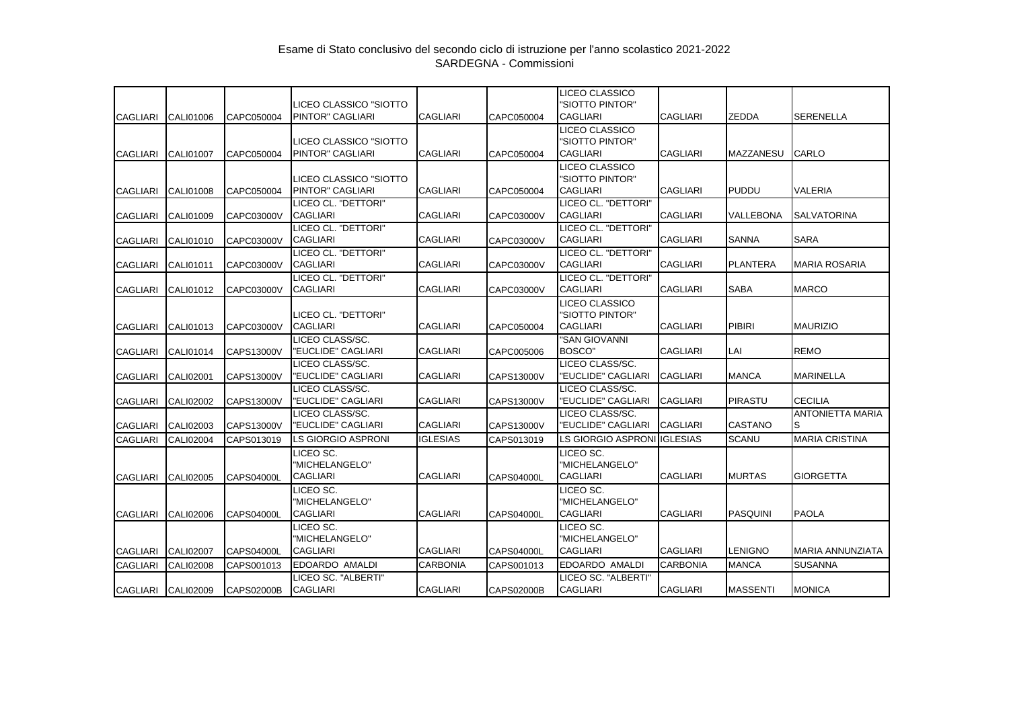|                 |                  |                   |                                                |                 |                   | LICEO CLASSICO                                       |                 |                  |                               |
|-----------------|------------------|-------------------|------------------------------------------------|-----------------|-------------------|------------------------------------------------------|-----------------|------------------|-------------------------------|
| <b>CAGLIARI</b> | CALI01006        | CAPC050004        | LICEO CLASSICO "SIOTTO<br>PINTOR" CAGLIARI     | <b>CAGLIARI</b> | CAPC050004        | 'SIOTTO PINTOR"<br><b>CAGLIARI</b>                   | <b>CAGLIARI</b> | <b>ZEDDA</b>     | <b>SERENELLA</b>              |
| <b>CAGLIARI</b> | <b>CALI01007</b> | CAPC050004        | LICEO CLASSICO "SIOTTO<br>PINTOR" CAGLIARI     | <b>CAGLIARI</b> | CAPC050004        | LICEO CLASSICO<br>'SIOTTO PINTOR"<br><b>CAGLIARI</b> | <b>CAGLIARI</b> | <b>MAZZANESU</b> | <b>CARLO</b>                  |
| <b>CAGLIARI</b> | <b>CALI01008</b> | CAPC050004        | LICEO CLASSICO "SIOTTO<br>PINTOR" CAGLIARI     | <b>CAGLIARI</b> | CAPC050004        | LICEO CLASSICO<br>"SIOTTO PINTOR"<br><b>CAGLIARI</b> | <b>CAGLIARI</b> | <b>PUDDU</b>     | <b>VALERIA</b>                |
| <b>CAGLIARI</b> | CALI01009        | CAPC03000V        | LICEO CL. "DETTORI"<br><b>CAGLIARI</b>         | <b>CAGLIARI</b> | CAPC03000V        | LICEO CL. "DETTORI"<br><b>CAGLIARI</b>               | <b>CAGLIARI</b> | VALLEBONA        | <b>SALVATORINA</b>            |
| <b>CAGLIARI</b> | CALI01010        | CAPC03000V        | LICEO CL. "DETTORI"<br><b>CAGLIARI</b>         | <b>CAGLIARI</b> | CAPC03000V        | LICEO CL. "DETTORI"<br><b>CAGLIARI</b>               | <b>CAGLIARI</b> | <b>SANNA</b>     | <b>SARA</b>                   |
| <b>CAGLIARI</b> | CALI01011        | CAPC03000V        | LICEO CL. "DETTORI"<br><b>CAGLIARI</b>         | CAGLIARI        | CAPC03000V        | LICEO CL. "DETTORI"<br><b>CAGLIARI</b>               | <b>CAGLIARI</b> | <b>PLANTERA</b>  | <b>MARIA ROSARIA</b>          |
| <b>CAGLIARI</b> | CALI01012        | CAPC03000V        | LICEO CL. "DETTORI"<br><b>CAGLIARI</b>         | <b>CAGLIARI</b> | CAPC03000V        | LICEO CL. "DETTORI"<br><b>CAGLIARI</b>               | <b>CAGLIARI</b> | <b>SABA</b>      | <b>MARCO</b>                  |
| <b>CAGLIARI</b> | CALI01013        | CAPC03000V        | LICEO CL. "DETTORI"<br><b>CAGLIARI</b>         | <b>CAGLIARI</b> | CAPC050004        | LICEO CLASSICO<br>"SIOTTO PINTOR"<br><b>CAGLIARI</b> | <b>CAGLIARI</b> | <b>PIBIRI</b>    | <b>MAURIZIO</b>               |
| <b>CAGLIARI</b> | CALI01014        | CAPS13000V        | LICEO CLASS/SC.<br>"EUCLIDE" CAGLIARI          | <b>CAGLIARI</b> | CAPC005006        | "SAN GIOVANNI<br>BOSCO"                              | <b>CAGLIARI</b> | LAI              | <b>REMO</b>                   |
| <b>CAGLIARI</b> | <b>CALI02001</b> | CAPS13000V        | LICEO CLASS/SC.<br>"EUCLIDE" CAGLIARI          | <b>CAGLIARI</b> | CAPS13000V        | LICEO CLASS/SC.<br>"EUCLIDE" CAGLIARI                | <b>CAGLIARI</b> | <b>MANCA</b>     | <b>MARINELLA</b>              |
| <b>CAGLIARI</b> | <b>CALI02002</b> | CAPS13000V        | LICEO CLASS/SC.<br>"EUCLIDE" CAGLIARI          | <b>CAGLIARI</b> | CAPS13000V        | LICEO CLASS/SC.<br>'EUCLIDE" CAGLIARI                | <b>CAGLIARI</b> | PIRASTU          | <b>CECILIA</b>                |
| <b>CAGLIARI</b> | CALI02003        | CAPS13000V        | LICEO CLASS/SC.<br>"EUCLIDE" CAGLIARI          | <b>CAGLIARI</b> | CAPS13000V        | LICEO CLASS/SC.<br>"EUCLIDE" CAGLIARI                | <b>CAGLIARI</b> | CASTANO          | <b>ANTONIETTA MARIA</b><br>ls |
| <b>CAGLIARI</b> | <b>CALI02004</b> | CAPS013019        | <b>LS GIORGIO ASPRONI</b>                      | <b>IGLESIAS</b> | CAPS013019        | LS GIORGIO ASPRONI                                   | <b>IGLESIAS</b> | <b>SCANU</b>     | <b>MARIA CRISTINA</b>         |
| <b>CAGLIARI</b> | <b>CALI02005</b> | CAPS04000L        | LICEO SC.<br>"MICHELANGELO"<br><b>CAGLIARI</b> | <b>CAGLIARI</b> | CAPS04000L        | LICEO SC.<br>"MICHELANGELO"<br><b>CAGLIARI</b>       | <b>CAGLIARI</b> | <b>MURTAS</b>    | <b>GIORGETTA</b>              |
| <b>CAGLIARI</b> | <b>CALI02006</b> | CAPS04000L        | LICEO SC.<br>"MICHELANGELO"<br><b>CAGLIARI</b> | <b>CAGLIARI</b> | CAPS04000L        | LICEO SC.<br>"MICHELANGELO"<br><b>CAGLIARI</b>       | <b>CAGLIARI</b> | <b>PASQUINI</b>  | <b>PAOLA</b>                  |
| <b>CAGLIARI</b> | <b>CALI02007</b> | <b>CAPS04000L</b> | LICEO SC.<br>"MICHELANGELO"<br><b>CAGLIARI</b> | <b>CAGLIARI</b> | CAPS04000L        | LICEO SC.<br>"MICHELANGELO"<br><b>CAGLIARI</b>       | <b>CAGLIARI</b> | <b>LENIGNO</b>   | MARIA ANNUNZIATA              |
| <b>CAGLIARI</b> | <b>CALI02008</b> | CAPS001013        | EDOARDO AMALDI                                 | <b>CARBONIA</b> | CAPS001013        | EDOARDO AMALDI                                       | <b>CARBONIA</b> | <b>MANCA</b>     | <b>SUSANNA</b>                |
| <b>CAGLIARI</b> | CALI02009        | <b>CAPS02000B</b> | LICEO SC. "ALBERTI"<br><b>CAGLIARI</b>         | <b>CAGLIARI</b> | <b>CAPS02000B</b> | LICEO SC. "ALBERTI"<br><b>CAGLIARI</b>               | <b>CAGLIARI</b> | <b>MASSENTI</b>  | <b>MONICA</b>                 |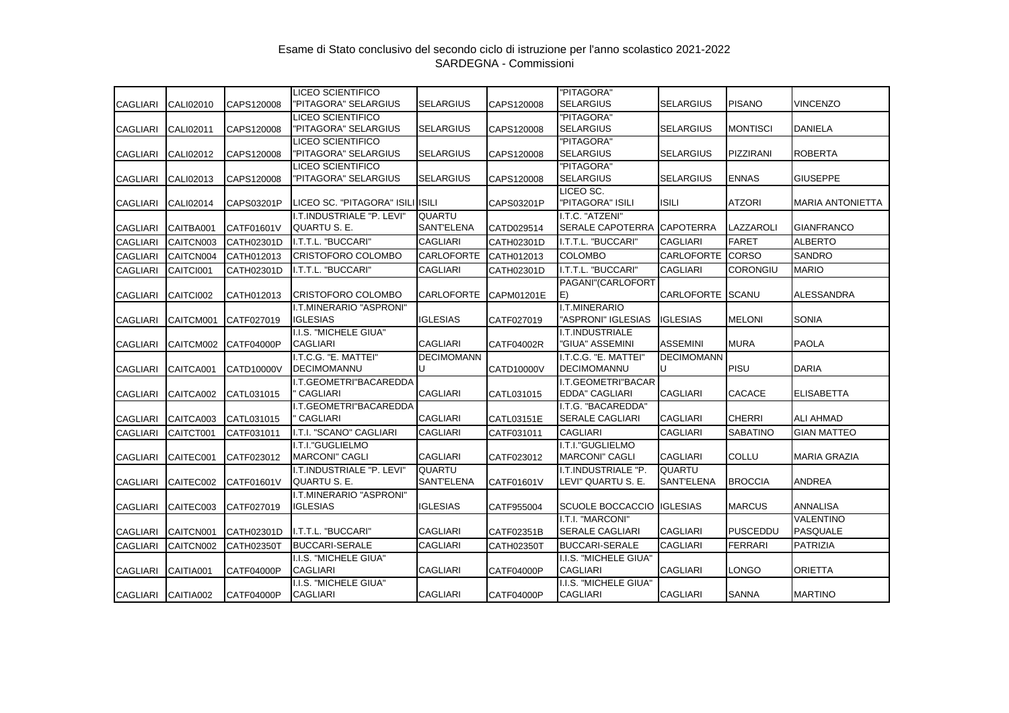|                 |           |                   | <b>LICEO SCIENTIFICO</b>                  |                   |                   | "PITAGORA"                                   |                         |                  |                         |
|-----------------|-----------|-------------------|-------------------------------------------|-------------------|-------------------|----------------------------------------------|-------------------------|------------------|-------------------------|
| <b>CAGLIARI</b> | CALI02010 | CAPS120008        | "PITAGORA" SELARGIUS                      | <b>SELARGIUS</b>  | CAPS120008        | <b>SELARGIUS</b>                             | <b>SELARGIUS</b>        | <b>PISANO</b>    | <b>VINCENZO</b>         |
|                 |           |                   | <b>LICEO SCIENTIFICO</b>                  |                   |                   | "PITAGORA"                                   |                         |                  |                         |
| <b>CAGLIARI</b> | CALI02011 | CAPS120008        | "PITAGORA" SELARGIUS                      | <b>SELARGIUS</b>  | CAPS120008        | <b>SELARGIUS</b>                             | <b>SELARGIUS</b>        | <b>MONTISCI</b>  | <b>DANIELA</b>          |
|                 |           |                   | <b>LICEO SCIENTIFICO</b>                  |                   |                   | "PITAGORA"                                   |                         |                  |                         |
| <b>CAGLIARI</b> | CALI02012 | CAPS120008        | "PITAGORA" SELARGIUS                      | <b>SELARGIUS</b>  | CAPS120008        | <b>SELARGIUS</b>                             | <b>SELARGIUS</b>        | <b>PIZZIRANI</b> | <b>ROBERTA</b>          |
|                 |           |                   | <b>LICEO SCIENTIFICO</b>                  |                   |                   | "PITAGORA"                                   |                         |                  |                         |
| <b>CAGLIARI</b> | CALI02013 | CAPS120008        | "PITAGORA" SELARGIUS                      | <b>SELARGIUS</b>  | CAPS120008        | <b>SELARGIUS</b>                             | <b>SELARGIUS</b>        | <b>ENNAS</b>     | <b>GIUSEPPE</b>         |
| <b>CAGLIARI</b> | CALI02014 | CAPS03201P        | LICEO SC. "PITAGORA" ISILI ISILI          |                   | CAPS03201P        | LICEO SC.<br>"PITAGORA" ISILI                | <b>ISILI</b>            | <b>ATZORI</b>    | <b>MARIA ANTONIETTA</b> |
|                 |           |                   | I.T.INDUSTRIALE "P. LEVI"                 | <b>QUARTU</b>     |                   | I.T.C. "ATZENI"                              |                         |                  |                         |
| <b>CAGLIARI</b> | CAITBA001 | CATF01601V        | QUARTU S. E.                              | <b>SANT'ELENA</b> | CATD029514        | <b>SERALE CAPOTERRA</b>                      | <b>CAPOTERRA</b>        | LAZZAROLI        | <b>GIANFRANCO</b>       |
| <b>CAGLIARI</b> | CAITCN003 | CATH02301D        | I.T.T.L. "BUCCARI"                        | <b>CAGLIARI</b>   | CATH02301D        | I.T.T.L. "BUCCARI"                           | <b>CAGLIARI</b>         | <b>FARET</b>     | <b>ALBERTO</b>          |
| <b>CAGLIARI</b> | CAITCN004 | CATH012013        | CRISTOFORO COLOMBO                        | <b>CARLOFORTE</b> | CATH012013        | <b>COLOMBO</b>                               | CARLOFORTE              | <b>CORSO</b>     | SANDRO                  |
| <b>CAGLIARI</b> | CAITCI001 | CATH02301D        | I.T.T.L. "BUCCARI"                        | <b>CAGLIARI</b>   | CATH02301D        | I.T.T.L. "BUCCARI"                           | <b>CAGLIARI</b>         | <b>CORONGIU</b>  | <b>MARIO</b>            |
|                 |           |                   |                                           |                   |                   | PAGANI"(CARLOFORT                            |                         |                  |                         |
| <b>CAGLIARI</b> | CAITCI002 | CATH012013        | <b>CRISTOFORO COLOMBO</b>                 | <b>CARLOFORTE</b> | CAPM01201E        | E)                                           | <b>CARLOFORTE SCANU</b> |                  | <b>ALESSANDRA</b>       |
|                 |           |                   | I.T.MINERARIO "ASPRONI"                   |                   |                   | I.T.MINERARIO                                |                         |                  |                         |
| <b>CAGLIARI</b> | CAITCM001 | CATF027019        | <b>IGLESIAS</b>                           | <b>IGLESIAS</b>   | CATF027019        | "ASPRONI" IGLESIAS                           | <b>IGLESIAS</b>         | <b>MELONI</b>    | <b>SONIA</b>            |
|                 |           |                   | I.I.S. "MICHELE GIUA"                     |                   |                   | I.T.INDUSTRIALE                              |                         |                  |                         |
| <b>CAGLIARI</b> | CAITCM002 | <b>CATF04000P</b> | <b>CAGLIARI</b>                           | <b>CAGLIARI</b>   | CATF04002R        | "GIUA" ASSEMINI                              | <b>ASSEMINI</b>         | <b>MURA</b>      | <b>PAOLA</b>            |
|                 |           |                   | I.T.C.G. "E. MATTEI"                      | <b>DECIMOMANN</b> |                   | I.T.C.G. "E. MATTEI"                         | <b>DECIMOMANN</b>       |                  |                         |
| <b>CAGLIARI</b> | CAITCA001 | CATD10000V        | <b>DECIMOMANNU</b>                        |                   | CATD10000V        | <b>DECIMOMANNU</b>                           |                         | PISU             | <b>DARIA</b>            |
|                 |           |                   | I.T.GEOMETRI"BACAREDDA                    |                   |                   | I.T.GEOMETRI"BACAR                           |                         |                  |                         |
| <b>CAGLIARI</b> | CAITCA002 | CATL031015        | <b>CAGLIARI</b>                           | <b>CAGLIARI</b>   | CATL031015        | <b>EDDA" CAGLIARI</b>                        | <b>CAGLIARI</b>         | <b>CACACE</b>    | <b>ELISABETTA</b>       |
|                 |           |                   | I.T.GEOMETRI"BACAREDDA<br>CAGLIARI        | <b>CAGLIARI</b>   |                   | I.T.G. "BACAREDDA"<br><b>SERALE CAGLIARI</b> |                         | <b>CHERRI</b>    | <b>ALI AHMAD</b>        |
| <b>CAGLIARI</b> | CAITCA003 | CATL031015        |                                           |                   | CATL03151E        |                                              | <b>CAGLIARI</b>         |                  |                         |
| <b>CAGLIARI</b> | CAITCT001 | CATF031011        | I.T.I. "SCANO" CAGLIARI                   | <b>CAGLIARI</b>   | CATF031011        | <b>CAGLIARI</b>                              | <b>CAGLIARI</b>         | <b>SABATINO</b>  | <b>GIAN MATTEO</b>      |
|                 |           |                   | I.T.I."GUGLIELMO<br><b>MARCONI" CAGLI</b> | <b>CAGLIARI</b>   | CATF023012        | I.T.I."GUGLIELMO<br><b>MARCONI" CAGLI</b>    | <b>CAGLIARI</b>         | <b>COLLU</b>     | <b>MARIA GRAZIA</b>     |
| <b>CAGLIARI</b> | CAITEC001 | CATF023012        | I.T.INDUSTRIALE "P. LEVI"                 | <b>QUARTU</b>     |                   | I.T.INDUSTRIALE "P.                          | <b>QUARTU</b>           |                  |                         |
| <b>CAGLIARI</b> | CAITEC002 | CATF01601V        | QUARTU S. E.                              | <b>SANT'ELENA</b> | CATF01601V        | LEVI" QUARTU S. E.                           | <b>SANT'ELENA</b>       | <b>BROCCIA</b>   | <b>ANDREA</b>           |
|                 |           |                   | I.T.MINERARIO "ASPRONI"                   |                   |                   |                                              |                         |                  |                         |
| <b>CAGLIARI</b> | CAITEC003 | CATF027019        | <b>IGLESIAS</b>                           | <b>IGLESIAS</b>   | CATF955004        | <b>SCUOLE BOCCACCIO</b>                      | <b>IGLESIAS</b>         | <b>MARCUS</b>    | <b>ANNALISA</b>         |
|                 |           |                   |                                           |                   |                   | I.T.I. "MARCONI"                             |                         |                  | <b>VALENTINO</b>        |
| <b>CAGLIARI</b> | CAITCN001 | CATH02301D        | I.T.T.L. "BUCCARI"                        | <b>CAGLIARI</b>   | CATF02351B        | <b>SERALE CAGLIARI</b>                       | <b>CAGLIARI</b>         | <b>PUSCEDDU</b>  | PASQUALE                |
| <b>CAGLIARI</b> | CAITCN002 | <b>CATH02350T</b> | <b>BUCCARI-SERALE</b>                     | <b>CAGLIARI</b>   | <b>CATH02350T</b> | <b>BUCCARI-SERALE</b>                        | <b>CAGLIARI</b>         | <b>FERRARI</b>   | <b>PATRIZIA</b>         |
|                 |           |                   | I.I.S. "MICHELE GIUA"                     |                   |                   | I.I.S. "MICHELE GIUA"                        |                         |                  |                         |
| <b>CAGLIARI</b> | CAITIA001 | CATF04000P        | <b>CAGLIARI</b>                           | <b>CAGLIARI</b>   | CATF04000P        | <b>CAGLIARI</b>                              | <b>CAGLIARI</b>         | <b>LONGO</b>     | <b>ORIETTA</b>          |
|                 |           |                   | I.I.S. "MICHELE GIUA"                     |                   |                   | I.I.S. "MICHELE GIUA"                        |                         |                  |                         |
| <b>CAGLIARI</b> | CAITIA002 | CATF04000P        | CAGLIARI                                  | <b>CAGLIARI</b>   | <b>CATF04000P</b> | <b>CAGLIARI</b>                              | <b>CAGLIARI</b>         | <b>SANNA</b>     | <b>MARTINO</b>          |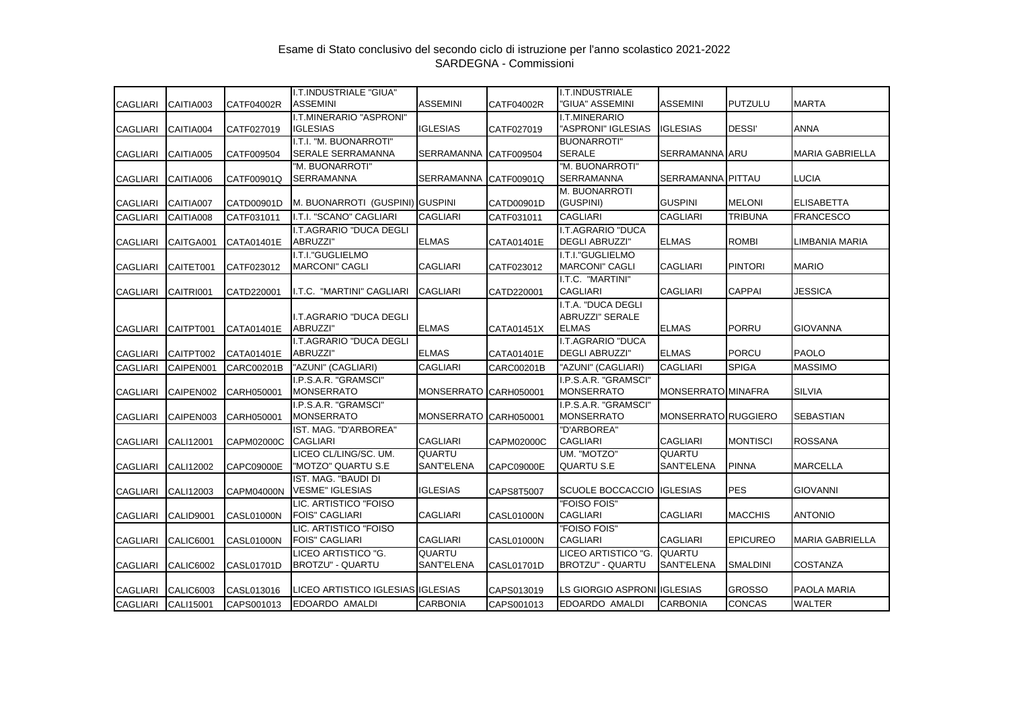|                 |                  |                   | I.T.INDUSTRIALE "GIUA"                         |                       |                   | I.T.INDUSTRIALE                                              |                      |                 |                        |
|-----------------|------------------|-------------------|------------------------------------------------|-----------------------|-------------------|--------------------------------------------------------------|----------------------|-----------------|------------------------|
| <b>CAGLIARI</b> | CAITIA003        | CATF04002R        | <b>ASSEMINI</b>                                | <b>ASSEMINI</b>       | CATF04002R        | 'GIUA" ASSEMINI                                              | <b>ASSEMINI</b>      | <b>PUTZULU</b>  | <b>MARTA</b>           |
| CAGLIARI        | CAITIA004        | CATF027019        | I.T.MINERARIO "ASPRONI"<br><b>IGLESIAS</b>     | <b>IGLESIAS</b>       | CATF027019        | I.T.MINERARIO<br>"ASPRONI" IGLESIAS                          | <b>IGLESIAS</b>      | <b>DESSI'</b>   | <b>ANNA</b>            |
| <b>CAGLIARI</b> | CAITIA005        | CATF009504        | I.T.I. "M. BUONARROTI"<br>SERALE SERRAMANNA    | SERRAMANNA CATF009504 |                   | <b>BUONARROTI"</b><br><b>SERALE</b>                          | SERRAMANNA ARU       |                 | <b>MARIA GABRIELLA</b> |
| <b>CAGLIARI</b> | CAITIA006        | CATF00901Q        | "M. BUONARROTI"<br>SERRAMANNA                  | SERRAMANNA CATF00901Q |                   | "M. BUONARROTI"<br><b>SERRAMANNA</b>                         | SERRAMANNA PITTAU    |                 | LUCIA                  |
| <b>CAGLIARI</b> | CAITIA007        | CATD00901D        | M. BUONARROTI (GUSPINI) GUSPINI                |                       | CATD00901D        | <b>M. BUONARROTI</b><br>(GUSPINI)                            | <b>GUSPINI</b>       | <b>MELONI</b>   | <b>ELISABETTA</b>      |
| <b>CAGLIARI</b> | CAITIA008        | CATF031011        | I.T.I. "SCANO" CAGLIARI                        | <b>CAGLIARI</b>       | CATF031011        | <b>CAGLIARI</b>                                              | <b>CAGLIARI</b>      | <b>TRIBUNA</b>  | <b>FRANCESCO</b>       |
| <b>CAGLIARI</b> | CAITGA001        | CATA01401E        | I.T.AGRARIO "DUCA DEGLI<br>ABRUZZI"            | <b>ELMAS</b>          | CATA01401E        | I.T.AGRARIO "DUCA<br><b>DEGLI ABRUZZI"</b>                   | <b>ELMAS</b>         | <b>ROMBI</b>    | LIMBANIA MARIA         |
| <b>CAGLIARI</b> | CAITET001        | CATF023012        | I.T.I."GUGLIELMO<br><b>MARCONI" CAGLI</b>      | <b>CAGLIARI</b>       | CATF023012        | I.T.I."GUGLIELMO<br><b>MARCONI" CAGLI</b>                    | <b>CAGLIARI</b>      | <b>PINTORI</b>  | <b>MARIO</b>           |
| <b>CAGLIARI</b> | CAITRI001        | CATD220001        | I.T.C. "MARTINI" CAGLIARI                      | <b>CAGLIARI</b>       | CATD220001        | I.T.C. "MARTINI"<br><b>CAGLIARI</b>                          | <b>CAGLIARI</b>      | <b>CAPPAI</b>   | JESSICA                |
| <b>CAGLIARI</b> | CAITPT001        | CATA01401E        | I.T.AGRARIO "DUCA DEGLI<br>ABRUZZI"            | <b>ELMAS</b>          | CATA01451X        | I.T.A. "DUCA DEGLI<br><b>ABRUZZI" SERALE</b><br><b>ELMAS</b> | <b>ELMAS</b>         | <b>PORRU</b>    | <b>GIOVANNA</b>        |
| CAGLIARI        | CAITPT002        | CATA01401E        | I.T.AGRARIO "DUCA DEGLI<br>ABRUZZI"            | <b>ELMAS</b>          | CATA01401E        | I.T.AGRARIO "DUCA<br><b>DEGLI ABRUZZI"</b>                   | <b>ELMAS</b>         | <b>PORCU</b>    | <b>PAOLO</b>           |
| <b>CAGLIARI</b> | CAIPEN001        | CARC00201B        | "AZUNI" (CAGLIARI)                             | CAGLIARI              | CARC00201B        | "AZUNI" (CAGLIARI)                                           | <b>CAGLIARI</b>      | <b>SPIGA</b>    | <b>MASSIMO</b>         |
| <b>CAGLIARI</b> | CAIPEN002        | CARH050001        | I.P.S.A.R. "GRAMSCI"<br><b>MONSERRATO</b>      | <b>MONSERRATO</b>     | CARH050001        | I.P.S.A.R. "GRAMSCI"<br><b>MONSERRATO</b>                    | MONSERRATO MINAFRA   |                 | <b>SILVIA</b>          |
| <b>CAGLIARI</b> | CAIPEN003        | CARH050001        | I.P.S.A.R. "GRAMSCI"<br><b>MONSERRATO</b>      | MONSERRATO CARH050001 |                   | I.P.S.A.R. "GRAMSCI"<br><b>MONSERRATO</b>                    | MONSERRATO RUGGIERO  |                 | <b>SEBASTIAN</b>       |
| <b>CAGLIARI</b> | CALI12001        | CAPM02000C        | IST. MAG. "D'ARBOREA"<br><b>CAGLIARI</b>       | <b>CAGLIARI</b>       | CAPM02000C        | "D'ARBOREA"<br><b>CAGLIARI</b>                               | <b>CAGLIARI</b>      | <b>MONTISCI</b> | <b>ROSSANA</b>         |
| <b>CAGLIARI</b> | CALI12002        | <b>CAPC09000E</b> | LICEO CL/LING/SC. UM.<br>"MOTZO" QUARTU S.E    | QUARTU<br>SANT'ELENA  | CAPC09000E        | UM. "MOTZO"<br><b>QUARTU S.E</b>                             | QUARTU<br>SANT'ELENA | <b>PINNA</b>    | <b>MARCELLA</b>        |
| <b>CAGLIARI</b> | CALI12003        | <b>CAPM04000N</b> | IST. MAG. "BAUDI DI<br><b>VESME" IGLESIAS</b>  | <b>IGLESIAS</b>       | CAPS8T5007        | <b>SCUOLE BOCCACCIO</b>                                      | <b>IGLESIAS</b>      | <b>PES</b>      | <b>GIOVANNI</b>        |
| <b>CAGLIARI</b> | CALID9001        | CASL01000N        | LIC. ARTISTICO "FOISO<br><b>FOIS" CAGLIARI</b> | <b>CAGLIARI</b>       | <b>CASL01000N</b> | "FOISO FOIS"<br><b>CAGLIARI</b>                              | <b>CAGLIARI</b>      | <b>MACCHIS</b>  | <b>ANTONIO</b>         |
| <b>CAGLIARI</b> | <b>CALIC6001</b> | CASL01000N        | LIC. ARTISTICO "FOISO<br><b>FOIS" CAGLIARI</b> | CAGLIARI              | <b>CASL01000N</b> | "FOISO FOIS"<br><b>CAGLIARI</b>                              | <b>CAGLIARI</b>      | <b>EPICUREO</b> | <b>MARIA GABRIELLA</b> |
| <b>CAGLIARI</b> | <b>CALIC6002</b> | CASL01701D        | LICEO ARTISTICO "G.<br>BROTZU" - QUARTU        | QUARTU<br>SANT'ELENA  | CASL01701D        | LICEO ARTISTICO "G.<br>BROTZU" - QUARTU                      | QUARTU<br>SANT'ELENA | <b>SMALDINI</b> | <b>COSTANZA</b>        |
| <b>CAGLIARI</b> | <b>CALIC6003</b> | CASL013016        | LICEO ARTISTICO IGLESIAS IGLESIAS              |                       | CAPS013019        | LS GIORGIO ASPRONI IGLESIAS                                  |                      | <b>GROSSO</b>   | PAOLA MARIA            |
| <b>CAGLIARI</b> | CALI15001        | CAPS001013        | EDOARDO AMALDI                                 | <b>CARBONIA</b>       | CAPS001013        | EDOARDO AMALDI                                               | <b>CARBONIA</b>      | <b>CONCAS</b>   | WALTER                 |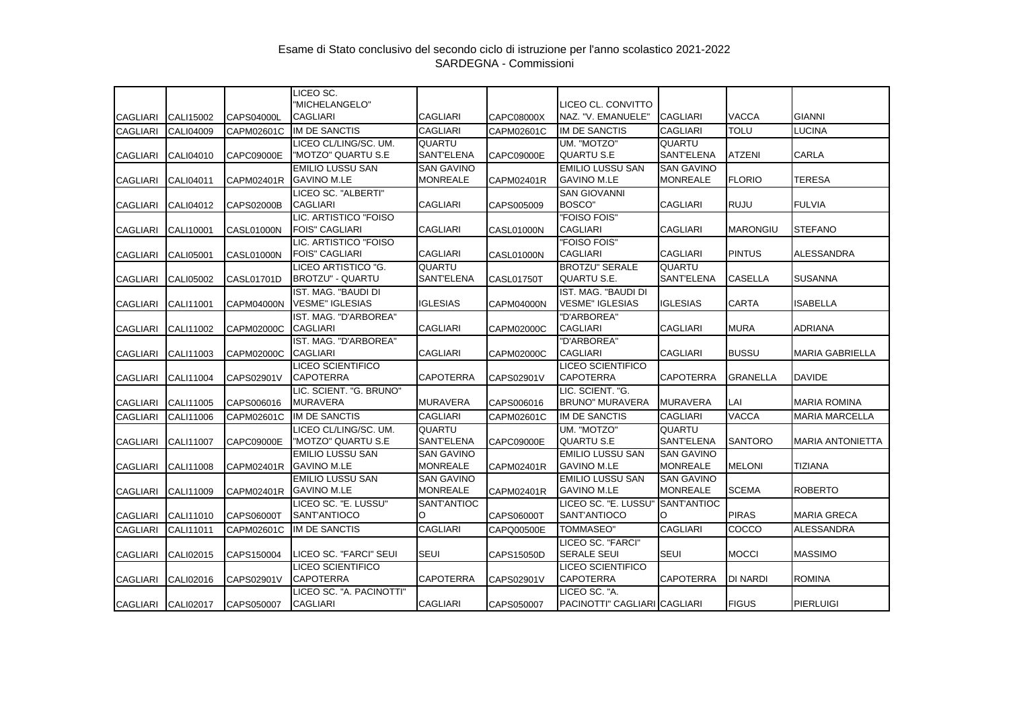|                 |                    |                   | LICEO SC.                                      |                                    |                   |                                               |                                    |                 |                         |
|-----------------|--------------------|-------------------|------------------------------------------------|------------------------------------|-------------------|-----------------------------------------------|------------------------------------|-----------------|-------------------------|
| <b>CAGLIARI</b> | CALI15002          | CAPS04000L        | "MICHELANGELO"<br><b>CAGLIARI</b>              | <b>CAGLIARI</b>                    | CAPC08000X        | LICEO CL. CONVITTO<br>NAZ. "V. EMANUELE"      | <b>CAGLIARI</b>                    | <b>VACCA</b>    | <b>GIANNI</b>           |
| <b>CAGLIARI</b> | <b>CALI04009</b>   | CAPM02601C        | <b>IM DE SANCTIS</b>                           | <b>CAGLIARI</b>                    | CAPM02601C        | <b>IM DE SANCTIS</b>                          | <b>CAGLIARI</b>                    | <b>TOLU</b>     | <b>LUCINA</b>           |
|                 |                    |                   | LICEO CL/LING/SC. UM.                          | <b>QUARTU</b>                      |                   | UM. "MOTZO"                                   | <b>QUARTU</b>                      |                 |                         |
| <b>CAGLIARI</b> | CALI04010          | CAPC09000E        | "MOTZO" QUARTU S.E                             | SANT'ELENA                         | CAPC09000E        | QUARTU S.E                                    | <b>SANT'ELENA</b>                  | <b>ATZENI</b>   | <b>CARLA</b>            |
|                 |                    |                   | <b>EMILIO LUSSU SAN</b>                        | <b>SAN GAVINO</b>                  |                   | <b>EMILIO LUSSU SAN</b>                       | <b>SAN GAVINO</b>                  |                 |                         |
| <b>CAGLIARI</b> | CALI04011          | CAPM02401R        | <b>GAVINO M.LE</b>                             | <b>MONREALE</b>                    | CAPM02401R        | <b>GAVINO M.LE</b>                            | <b>MONREALE</b>                    | <b>FLORIO</b>   | <b>TERESA</b>           |
|                 |                    |                   | LICEO SC. "ALBERTI"                            |                                    |                   | <b>SAN GIOVANNI</b>                           |                                    |                 |                         |
| <b>CAGLIARI</b> | CALI04012          | <b>CAPS02000B</b> | <b>CAGLIARI</b>                                | <b>CAGLIARI</b>                    | CAPS005009        | BOSCO"                                        | <b>CAGLIARI</b>                    | <b>RUJU</b>     | <b>FULVIA</b>           |
|                 |                    |                   | LIC. ARTISTICO "FOISO                          |                                    |                   | "FOISO FOIS"                                  |                                    |                 |                         |
| <b>CAGLIARI</b> | CALI10001          | <b>CASL01000N</b> | <b>FOIS" CAGLIARI</b>                          | <b>CAGLIARI</b>                    | <b>CASL01000N</b> | <b>CAGLIARI</b>                               | <b>CAGLIARI</b>                    | <b>MARONGIU</b> | <b>STEFANO</b>          |
|                 |                    |                   | LIC. ARTISTICO "FOISO                          |                                    |                   | "FOISO FOIS"                                  |                                    |                 |                         |
| CAGLIARI        | CALI05001          | CASL01000N        | <b>FOIS" CAGLIARI</b>                          | <b>CAGLIARI</b>                    | <b>CASL01000N</b> | <b>CAGLIARI</b>                               | <b>CAGLIARI</b>                    | <b>PINTUS</b>   | <b>ALESSANDRA</b>       |
|                 |                    |                   | LICEO ARTISTICO "G.<br><b>BROTZU" - QUARTU</b> | <b>QUARTU</b><br><b>SANT'ELENA</b> |                   | <b>BROTZU" SERALE</b><br>QUARTU S.E.          | <b>QUARTU</b><br><b>SANT'ELENA</b> | <b>CASELLA</b>  | <b>SUSANNA</b>          |
| <b>CAGLIARI</b> | CALI05002          | <b>CASL01701D</b> |                                                |                                    | <b>CASL01750T</b> |                                               |                                    |                 |                         |
| <b>CAGLIARI</b> | CALI11001          | <b>CAPM04000N</b> | IST. MAG. "BAUDI DI<br><b>VESME" IGLESIAS</b>  | <b>IGLESIAS</b>                    | <b>CAPM04000N</b> | IST. MAG. "BAUDI DI<br><b>VESME" IGLESIAS</b> | <b>IGLESIAS</b>                    | CARTA           | <b>ISABELLA</b>         |
|                 |                    |                   | IST. MAG. "D'ARBOREA"                          |                                    |                   | "D'ARBOREA"                                   |                                    |                 |                         |
| <b>CAGLIARI</b> | CALI11002          | CAPM02000C        | <b>CAGLIARI</b>                                | <b>CAGLIARI</b>                    | CAPM02000C        | <b>CAGLIARI</b>                               | <b>CAGLIARI</b>                    | <b>MURA</b>     | <b>ADRIANA</b>          |
|                 |                    |                   | IST. MAG. "D'ARBOREA"                          |                                    |                   | "D'ARBOREA"                                   |                                    |                 |                         |
| <b>CAGLIARI</b> | CALI11003          | <b>CAPM02000C</b> | <b>CAGLIARI</b>                                | <b>CAGLIARI</b>                    | <b>CAPM02000C</b> | <b>CAGLIARI</b>                               | <b>CAGLIARI</b>                    | <b>BUSSU</b>    | <b>MARIA GABRIELLA</b>  |
|                 |                    |                   | <b>LICEO SCIENTIFICO</b>                       |                                    |                   | LICEO SCIENTIFICO                             |                                    |                 |                         |
| <b>CAGLIARI</b> | CALI11004          | CAPS02901V        | <b>CAPOTERRA</b>                               | <b>CAPOTERRA</b>                   | CAPS02901V        | <b>CAPOTERRA</b>                              | <b>CAPOTERRA</b>                   | <b>GRANELLA</b> | <b>DAVIDE</b>           |
|                 |                    |                   | LIC. SCIENT. "G. BRUNO"                        |                                    |                   | LIC. SCIENT. "G.                              |                                    |                 |                         |
| <b>CAGLIARI</b> | CALI11005          | CAPS006016        | <b>MURAVERA</b>                                | <b>MURAVERA</b>                    | CAPS006016        | <b>BRUNO" MURAVERA</b>                        | <b>MURAVERA</b>                    | LAI             | <b>MARIA ROMINA</b>     |
| <b>CAGLIARI</b> | CALI11006          | CAPM02601C        | IM DE SANCTIS                                  | <b>CAGLIARI</b>                    | CAPM02601C        | <b>IM DE SANCTIS</b>                          | <b>CAGLIARI</b>                    | <b>VACCA</b>    | <b>MARIA MARCELLA</b>   |
|                 |                    |                   | LICEO CL/LING/SC. UM.                          | QUARTU                             |                   | UM. "MOTZO"                                   | QUARTU                             |                 |                         |
| <b>CAGLIARI</b> | CALI11007          | CAPC09000E        | "MOTZO" QUARTU S.E                             | SANT'ELENA                         | CAPC09000E        | QUARTU S.E                                    | <b>SANT'ELENA</b>                  | <b>SANTORO</b>  | <b>MARIA ANTONIETTA</b> |
|                 |                    |                   | <b>EMILIO LUSSU SAN</b>                        | <b>SAN GAVINO</b>                  |                   | <b>EMILIO LUSSU SAN</b>                       | <b>SAN GAVINO</b>                  |                 |                         |
| <b>CAGLIARI</b> | CALI11008          | CAPM02401R        | <b>GAVINO M.LE</b>                             | <b>MONREALE</b>                    | CAPM02401R        | <b>GAVINO M.LE</b>                            | <b>MONREALE</b>                    | <b>MELONI</b>   | TIZIANA                 |
|                 |                    |                   | <b>EMILIO LUSSU SAN</b>                        | <b>SAN GAVINO</b>                  |                   | <b>EMILIO LUSSU SAN</b>                       | <b>SAN GAVINO</b>                  |                 |                         |
| <b>CAGLIARI</b> | CALI11009          | CAPM02401R        | <b>GAVINO M.LE</b>                             | <b>MONREALE</b>                    | CAPM02401R        | <b>GAVINO M.LE</b>                            | <b>MONREALE</b>                    | <b>SCEMA</b>    | <b>ROBERTO</b>          |
|                 |                    |                   | LICEO SC. "E. LUSSU"<br>SANT'ANTIOCO           | SANT'ANTIOC<br>lO.                 | CAPS06000T        | LICEO SC. "E. LUSSU"<br>SANT'ANTIOCO          | <b>SANT'ANTIOC</b><br>O            | <b>PIRAS</b>    | <b>MARIA GRECA</b>      |
| <b>CAGLIARI</b> | CALI11010          | CAPS06000T        |                                                |                                    |                   |                                               | <b>CAGLIARI</b>                    |                 | <b>ALESSANDRA</b>       |
| <b>CAGLIARI</b> | CALI11011          | CAPM02601C        | <b>IM DE SANCTIS</b>                           | <b>CAGLIARI</b>                    | CAPQ00500E        | TOMMASEO"                                     |                                    | COCCO           |                         |
|                 |                    |                   | LICEO SC. "FARCI" SEUI                         | <b>SEUI</b>                        |                   | LICEO SC. "FARCI"<br><b>SERALE SEUI</b>       | <b>SEUI</b>                        | <b>MOCCI</b>    | <b>MASSIMO</b>          |
| <b>CAGLIARI</b> | CALI02015          | CAPS150004        | LICEO SCIENTIFICO                              |                                    | <b>CAPS15050D</b> | <b>LICEO SCIENTIFICO</b>                      |                                    |                 |                         |
| <b>CAGLIARI</b> | CALI02016          | CAPS02901V        | <b>CAPOTERRA</b>                               | <b>CAPOTERRA</b>                   | CAPS02901V        | CAPOTERRA                                     | <b>CAPOTERRA</b>                   | DI NARDI        | <b>ROMINA</b>           |
|                 |                    |                   | LICEO SC. "A. PACINOTTI"                       |                                    |                   | LICEO SC. "A.                                 |                                    |                 |                         |
|                 | CAGLIARI CALI02017 | CAPS050007        | <b>CAGLIARI</b>                                | <b>CAGLIARI</b>                    | CAPS050007        | PACINOTTI" CAGLIARI CAGLIARI                  |                                    | <b>FIGUS</b>    | <b>PIERLUIGI</b>        |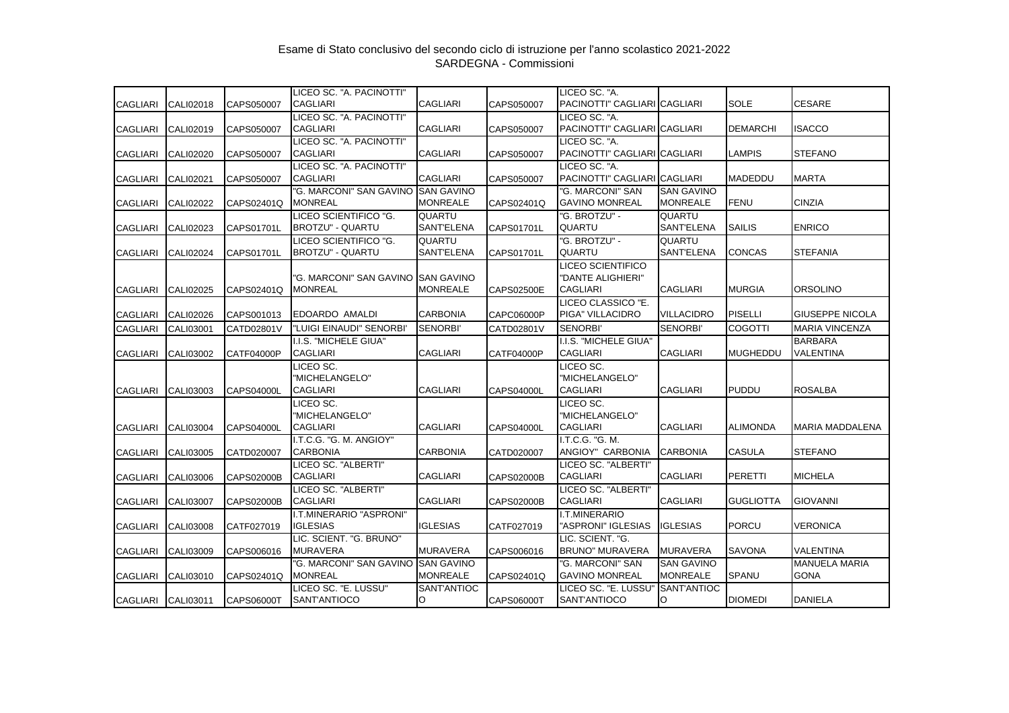| <b>CAGLIARI</b> | CALI02018          | CAPS050007        | LICEO SC. "A. PACINOTTI"<br><b>CAGLIARI</b>      | <b>CAGLIARI</b>                      | CAPS050007        | LICEO SC. "A.<br>PACINOTTI" CAGLIARI CAGLIARI                    |                                      | <b>SOLE</b>      | <b>CESARE</b>                       |
|-----------------|--------------------|-------------------|--------------------------------------------------|--------------------------------------|-------------------|------------------------------------------------------------------|--------------------------------------|------------------|-------------------------------------|
| <b>CAGLIARI</b> | CALI02019          | CAPS050007        | LICEO SC. "A. PACINOTTI"<br><b>CAGLIARI</b>      | <b>CAGLIARI</b>                      | CAPS050007        | LICEO SC. "A.<br>PACINOTTI" CAGLIARI CAGLIARI                    |                                      | <b>DEMARCHI</b>  | ISACCO                              |
| <b>CAGLIARI</b> | <b>CALI02020</b>   | CAPS050007        | LICEO SC. "A. PACINOTTI"<br><b>CAGLIARI</b>      | <b>CAGLIARI</b>                      | CAPS050007        | LICEO SC. "A.<br>PACINOTTI" CAGLIARI CAGLIARI                    |                                      | <b>LAMPIS</b>    | <b>STEFANO</b>                      |
| <b>CAGLIARI</b> | <b>CALI02021</b>   | CAPS050007        | LICEO SC. "A. PACINOTTI"<br><b>CAGLIARI</b>      | <b>CAGLIARI</b>                      | CAPS050007        | LICEO SC. "A.<br>PACINOTTI" CAGLIARI CAGLIARI                    |                                      | <b>MADEDDU</b>   | <b>MARTA</b>                        |
| <b>CAGLIARI</b> | <b>CALI02022</b>   | CAPS02401Q        | "G. MARCONI" SAN GAVINO<br><b>MONREAL</b>        | <b>SAN GAVINO</b><br><b>MONREALE</b> | CAPS02401Q        | "G. MARCONI" SAN<br><b>GAVINO MONREAL</b>                        | <b>SAN GAVINO</b><br><b>MONREALE</b> | <b>FENU</b>      | <b>CINZIA</b>                       |
| <b>CAGLIARI</b> | CALI02023          | CAPS01701L        | LICEO SCIENTIFICO "G.<br><b>BROTZU" - QUARTU</b> | <b>QUARTU</b><br>SANT'ELENA          | CAPS01701L        | "G. BROTZU" -<br><b>QUARTU</b>                                   | QUARTU<br>SANT'ELENA                 | <b>SAILIS</b>    | <b>ENRICO</b>                       |
| <b>CAGLIARI</b> | <b>CALI02024</b>   | CAPS01701L        | LICEO SCIENTIFICO "G.<br><b>BROTZU" - QUARTU</b> | QUARTU<br>SANT'ELENA                 | CAPS01701L        | "G. BROTZU" -<br>QUARTU                                          | QUARTU<br><b>SANT'ELENA</b>          | <b>CONCAS</b>    | <b>STEFANIA</b>                     |
| <b>CAGLIARI</b> | CALI02025          | CAPS02401Q        | "G. MARCONI" SAN GAVINO<br><b>MONREAL</b>        | <b>SAN GAVINO</b><br><b>MONREALE</b> | CAPS02500E        | <b>LICEO SCIENTIFICO</b><br>"DANTE ALIGHIERI"<br><b>CAGLIARI</b> | <b>CAGLIARI</b>                      | <b>MURGIA</b>    | <b>ORSOLINO</b>                     |
| <b>CAGLIARI</b> | CALI02026          | CAPS001013        | EDOARDO AMALDI                                   | <b>CARBONIA</b>                      | CAPC06000P        | LICEO CLASSICO "E.<br>PIGA" VILLACIDRO                           | <b>VILLACIDRO</b>                    | <b>PISELLI</b>   | <b>GIUSEPPE NICOLA</b>              |
| <b>CAGLIARI</b> | CALI03001          | CATD02801V        | "LUIGI EINAUDI" SENORBI'                         | <b>SENORBI'</b>                      | CATD02801V        | <b>SENORBI'</b>                                                  | <b>SENORBI'</b>                      | <b>COGOTTI</b>   | <b>MARIA VINCENZA</b>               |
| <b>CAGLIARI</b> | <b>CALI03002</b>   | <b>CATF04000P</b> | I.I.S. "MICHELE GIUA"<br><b>CAGLIARI</b>         | <b>CAGLIARI</b>                      | CATF04000P        | I.I.S. "MICHELE GIUA"<br><b>CAGLIARI</b>                         | <b>CAGLIARI</b>                      | <b>MUGHEDDU</b>  | <b>BARBARA</b><br><b>VALENTINA</b>  |
| <b>CAGLIARI</b> | CALI03003          | <b>CAPS04000L</b> | LICEO SC.<br>"MICHELANGELO"<br><b>CAGLIARI</b>   | <b>CAGLIARI</b>                      | CAPS04000L        | LICEO SC.<br>'MICHELANGELO"<br><b>CAGLIARI</b>                   | <b>CAGLIARI</b>                      | <b>PUDDU</b>     | <b>ROSALBA</b>                      |
| <b>CAGLIARI</b> | CALI03004          | <b>CAPS04000L</b> | LICEO SC.<br>"MICHELANGELO"<br><b>CAGLIARI</b>   | <b>CAGLIARI</b>                      | <b>CAPS04000L</b> | LICEO SC.<br>"MICHELANGELO"<br><b>CAGLIARI</b>                   | <b>CAGLIARI</b>                      | <b>ALIMONDA</b>  | MARIA MADDALENA                     |
| <b>CAGLIARI</b> | CALI03005          | CATD020007        | I.T.C.G. "G. M. ANGIOY"<br><b>CARBONIA</b>       | <b>CARBONIA</b>                      | CATD020007        | I.T.C.G. "G. M.<br>ANGIOY" CARBONIA                              | <b>CARBONIA</b>                      | <b>CASULA</b>    | <b>STEFANO</b>                      |
| <b>CAGLIARI</b> | CALI03006          | <b>CAPS02000B</b> | LICEO SC. "ALBERTI"<br><b>CAGLIARI</b>           | <b>CAGLIARI</b>                      | CAPS02000B        | LICEO SC. "ALBERTI"<br><b>CAGLIARI</b>                           | <b>CAGLIARI</b>                      | PERETTI          | <b>MICHELA</b>                      |
| <b>CAGLIARI</b> | <b>CALI03007</b>   | <b>CAPS02000B</b> | LICEO SC. "ALBERTI"<br><b>CAGLIARI</b>           | <b>CAGLIARI</b>                      | CAPS02000B        | LICEO SC. "ALBERTI"<br><b>CAGLIARI</b>                           | <b>CAGLIARI</b>                      | <b>GUGLIOTTA</b> | <b>GIOVANNI</b>                     |
| <b>CAGLIARI</b> | CALI03008          | CATF027019        | I.T.MINERARIO "ASPRONI"<br><b>IGLESIAS</b>       | <b>IGLESIAS</b>                      | CATF027019        | <b>I.T.MINERARIO</b><br>"ASPRONI" IGLESIAS                       | <b>IGLESIAS</b>                      | <b>PORCU</b>     | <b>VERONICA</b>                     |
| <b>CAGLIARI</b> | CALI03009          | CAPS006016        | LIC. SCIENT. "G. BRUNO"<br><b>MURAVERA</b>       | <b>MURAVERA</b>                      | CAPS006016        | LIC. SCIENT. "G.<br><b>BRUNO" MURAVERA</b>                       | <b>MURAVERA</b>                      | <b>SAVONA</b>    | <b>VALENTINA</b>                    |
| CAGLIARI        | CALI03010          | CAPS02401Q        | "G. MARCONI" SAN GAVINO<br><b>MONREAL</b>        | <b>SAN GAVINO</b><br><b>MONREALE</b> | CAPS02401Q        | "G. MARCONI" SAN<br><b>GAVINO MONREAL</b>                        | <b>SAN GAVINO</b><br><b>MONREALE</b> | <b>SPANU</b>     | <b>MANUELA MARIA</b><br><b>GONA</b> |
|                 | CAGLIARI CALI03011 | CAPS06000T        | LICEO SC. "E. LUSSU"<br>SANT'ANTIOCO             | SANT'ANTIOC<br>O                     | CAPS06000T        | LICEO SC. "E. LUSSU"<br>SANT'ANTIOCO                             | SANT'ANTIOC<br>O                     | <b>DIOMEDI</b>   | <b>DANIELA</b>                      |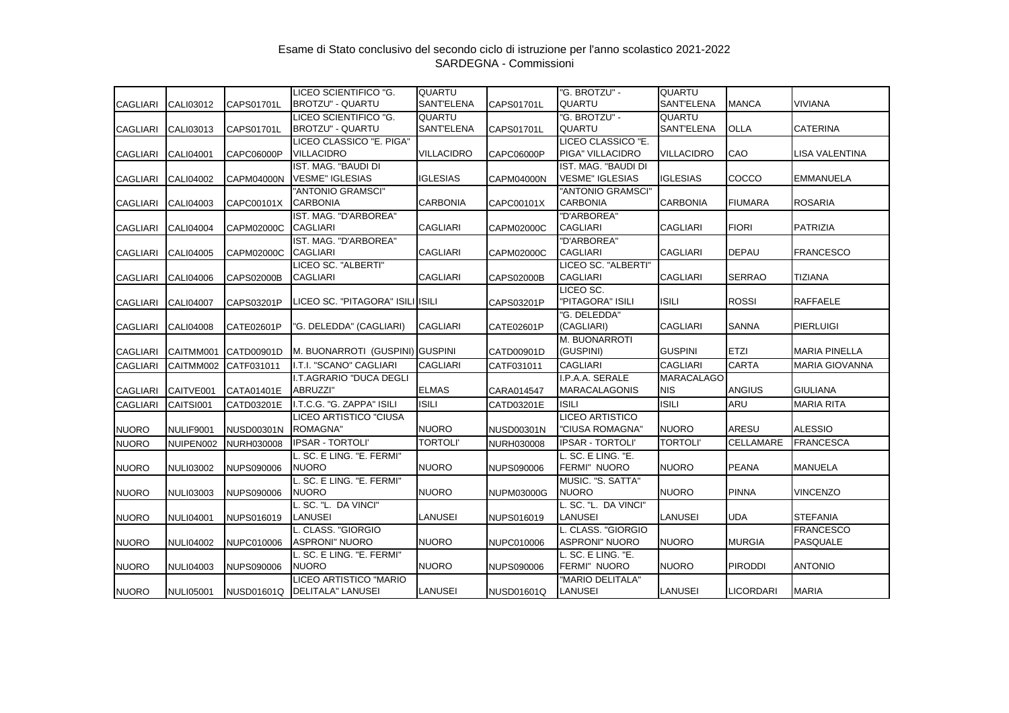| <b>CAGLIARI</b> | CALI03012        | CAPS01701L        | LICEO SCIENTIFICO "G.<br><b>BROTZU" - QUARTU</b> | QUARTU<br><b>SANT'ELENA</b> | CAPS01701L        | "G. BROTZU" -<br><b>QUARTU</b> | QUARTU<br>SANT'ELENA | <b>MANCA</b>     | VIVIANA               |
|-----------------|------------------|-------------------|--------------------------------------------------|-----------------------------|-------------------|--------------------------------|----------------------|------------------|-----------------------|
|                 |                  |                   | LICEO SCIENTIFICO "G.                            | <b>QUARTU</b>               |                   | "G. BROTZU" -                  | QUARTU               |                  |                       |
| <b>CAGLIARI</b> | CALI03013        | CAPS01701L        | BROTZU" - QUARTU                                 | <b>SANT'ELENA</b>           | CAPS01701L        | <b>QUARTU</b>                  | SANT'ELENA           | <b>OLLA</b>      | <b>CATERINA</b>       |
|                 |                  |                   | LICEO CLASSICO "E. PIGA"                         |                             |                   | LICEO CLASSICO "E.             |                      |                  |                       |
| <b>CAGLIARI</b> | <b>CALI04001</b> | CAPC06000P        | <b>VILLACIDRO</b>                                | <b>VILLACIDRO</b>           | CAPC06000P        | PIGA" VILLACIDRO               | <b>VILLACIDRO</b>    | CAO              | LISA VALENTINA        |
|                 |                  |                   | IST. MAG. "BAUDI DI                              |                             |                   | IST. MAG. "BAUDI DI            |                      |                  |                       |
| <b>CAGLIARI</b> | CALI04002        | CAPM04000N        | <b>VESME" IGLESIAS</b>                           | <b>IGLESIAS</b>             | CAPM04000N        | <b>VESME" IGLESIAS</b>         | <b>IGLESIAS</b>      | COCCO            | EMMANUELA             |
|                 |                  |                   | "ANTONIO GRAMSCI"                                |                             |                   | "ANTONIO GRAMSCI"              |                      |                  |                       |
| <b>CAGLIARI</b> | CALI04003        | CAPC00101X        | <b>CARBONIA</b>                                  | <b>CARBONIA</b>             | CAPC00101X        | <b>CARBONIA</b>                | <b>CARBONIA</b>      | <b>FIUMARA</b>   | <b>ROSARIA</b>        |
|                 |                  |                   | IST. MAG. "D'ARBOREA"                            |                             |                   | "D'ARBOREA"                    |                      |                  |                       |
| <b>CAGLIARI</b> | CALI04004        | CAPM02000C        | CAGLIARI                                         | <b>CAGLIARI</b>             | CAPM02000C        | <b>CAGLIARI</b>                | CAGLIARI             | <b>FIORI</b>     | <b>PATRIZIA</b>       |
|                 |                  |                   | IST. MAG. "D'ARBOREA"                            |                             |                   | "D'ARBOREA"                    |                      |                  |                       |
| <b>CAGLIARI</b> | <b>CALI04005</b> | CAPM02000C        | <b>CAGLIARI</b>                                  | <b>CAGLIARI</b>             | CAPM02000C        | <b>CAGLIARI</b>                | <b>CAGLIARI</b>      | <b>DEPAU</b>     | <b>FRANCESCO</b>      |
|                 |                  |                   | LICEO SC. "ALBERTI"                              |                             |                   | LICEO SC. "ALBERTI"            |                      |                  |                       |
| <b>CAGLIARI</b> | CALI04006        | CAPS02000B        | <b>CAGLIARI</b>                                  | <b>CAGLIARI</b>             | CAPS02000B        | <b>CAGLIARI</b>                | <b>CAGLIARI</b>      | <b>SERRAO</b>    | <b>TIZIANA</b>        |
|                 |                  |                   |                                                  |                             |                   | LICEO SC.                      |                      |                  |                       |
| <b>CAGLIARI</b> | <b>CALI04007</b> | CAPS03201P        | LICEO SC. "PITAGORA" ISILI ISILI                 |                             | CAPS03201P        | "PITAGORA" ISILI               | <b>ISILI</b>         | <b>ROSSI</b>     | RAFFAELE              |
|                 |                  |                   |                                                  |                             |                   | "G. DELEDDA"                   |                      |                  |                       |
| <b>CAGLIARI</b> | <b>CALI04008</b> | CATE02601P        | "G. DELEDDA" (CAGLIARI)                          | <b>CAGLIARI</b>             | CATE02601P        | (CAGLIARI)                     | <b>CAGLIARI</b>      | SANNA            | <b>PIERLUIGI</b>      |
|                 |                  |                   |                                                  |                             |                   | M. BUONARROTI                  |                      |                  |                       |
| <b>CAGLIARI</b> | CAITMM001        | CATD00901D        | M. BUONARROTI (GUSPINI) GUSPINI                  |                             | CATD00901D        | (GUSPINI)                      | <b>GUSPINI</b>       | <b>ETZI</b>      | <b>MARIA PINELLA</b>  |
| <b>CAGLIARI</b> | CAITMM002        | CATF031011        | I.T.I. "SCANO" CAGLIARI                          | <b>CAGLIARI</b>             | CATF031011        | <b>CAGLIARI</b>                | <b>CAGLIARI</b>      | <b>CARTA</b>     | <b>MARIA GIOVANNA</b> |
|                 |                  |                   | I.T.AGRARIO "DUCA DEGLI                          |                             |                   | I.P.A.A. SERALE                | <b>MARACALAGO</b>    |                  |                       |
| <b>CAGLIARI</b> | CAITVE001        | CATA01401E        | ABRUZZI"                                         | <b>ELMAS</b>                | CARA014547        | <b>MARACALAGONIS</b>           | NIS.                 | <b>ANGIUS</b>    | <b>GIULIANA</b>       |
| <b>CAGLIARI</b> | CAITSI001        | CATD03201E        | I.T.C.G. "G. ZAPPA" ISILI                        | <b>ISILI</b>                | CATD03201E        | <b>ISILI</b>                   | <b>ISILI</b>         | ARU              | <b>MARIA RITA</b>     |
|                 |                  |                   | LICEO ARTISTICO "CIUSA                           |                             |                   | <b>LICEO ARTISTICO</b>         |                      |                  |                       |
| <b>NUORO</b>    | NULIF9001        | <b>NUSD00301N</b> | ROMAGNA"                                         | <b>NUORO</b>                | <b>NUSD00301N</b> | "CIUSA ROMAGNA'                | <b>NUORO</b>         | ARESU            | <b>ALESSIO</b>        |
| <b>NUORO</b>    | NUIPEN002        | NURH030008        | <b>IPSAR - TORTOLI'</b>                          | <b>TORTOLI'</b>             | <b>NURH030008</b> | <b>IPSAR - TORTOLI'</b>        | <b>TORTOLI'</b>      | <b>CELLAMARE</b> | <b>FRANCESCA</b>      |
|                 |                  |                   | L. SC. E LING. "E. FERMI"                        |                             |                   | L. SC. E LING. "E.             |                      |                  |                       |
| <b>NUORO</b>    | <b>NULI03002</b> | <b>NUPS090006</b> | <b>NUORO</b>                                     | <b>NUORO</b>                | <b>NUPS090006</b> | FERMI" NUORO                   | <b>NUORO</b>         | <b>PEANA</b>     | <b>MANUELA</b>        |
|                 |                  |                   | L. SC. E LING. "E. FERMI"                        |                             |                   | MUSIC. "S. SATTA"              |                      |                  |                       |
| <b>NUORO</b>    | <b>NULI03003</b> | <b>NUPS090006</b> | <b>NUORO</b>                                     | <b>NUORO</b>                | <b>NUPM03000G</b> | <b>NUORO</b>                   | <b>NUORO</b>         | <b>PINNA</b>     | VINCENZO              |
|                 |                  |                   | L. SC. "L. DA VINCI"                             |                             |                   | L. SC. "L. DA VINCI"           |                      |                  |                       |
| <b>NUORO</b>    | <b>NULI04001</b> | NUPS016019        | <b>LANUSEI</b>                                   | <b>LANUSEI</b>              | NUPS016019        | LANUSEI                        | <b>LANUSEI</b>       | <b>UDA</b>       | <b>STEFANIA</b>       |
|                 |                  |                   | L. CLASS. "GIORGIO                               |                             |                   | L. CLASS. "GIORGIO             |                      |                  | <b>FRANCESCO</b>      |
| <b>NUORO</b>    | <b>NULI04002</b> | <b>NUPC010006</b> | <b>ASPRONI" NUORO</b>                            | <b>NUORO</b>                | NUPC010006        | <b>ASPRONI" NUORO</b>          | <b>NUORO</b>         | <b>MURGIA</b>    | PASQUALE              |
|                 |                  |                   | L. SC. E LING. "E. FERMI"                        |                             |                   | L. SC. E LING. "E.             |                      |                  |                       |
| <b>NUORO</b>    | <b>NULI04003</b> | <b>NUPS090006</b> | <b>NUORO</b>                                     | <b>NUORO</b>                | <b>NUPS090006</b> | FERMI" NUORO                   | <b>NUORO</b>         | <b>PIRODDI</b>   | <b>ANTONIO</b>        |
|                 |                  |                   | LICEO ARTISTICO "MARIO                           |                             |                   | "MARIO DELITALA"               |                      |                  |                       |
| <b>NUORO</b>    | <b>NULI05001</b> | <b>NUSD01601Q</b> | DELITALA" LANUSEI                                | <b>LANUSEI</b>              | <b>NUSD01601Q</b> | LANUSEI                        | <b>LANUSEI</b>       | <b>LICORDARI</b> | <b>MARIA</b>          |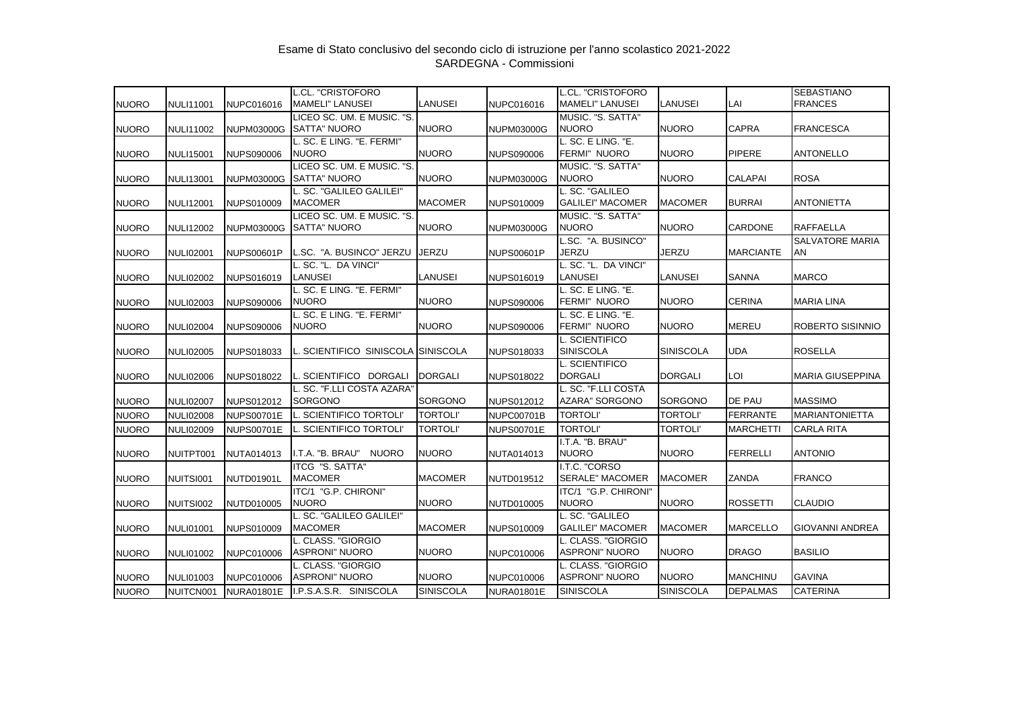|              |                  |                   | L.CL. "CRISTOFORO                                 |                  |                   | L.CL. "CRISTOFORO                            |                  |                  | <b>SEBASTIANO</b>            |
|--------------|------------------|-------------------|---------------------------------------------------|------------------|-------------------|----------------------------------------------|------------------|------------------|------------------------------|
| <b>NUORO</b> | <b>NULI11001</b> | NUPC016016        | <b>MAMELI" LANUSEI</b>                            | <b>LANUSEI</b>   | NUPC016016        | <b>MAMELI" LANUSEI</b>                       | LANUSEI          | LAI              | <b>FRANCES</b>               |
| <b>NUORO</b> | <b>NULI11002</b> | <b>NUPM03000G</b> | LICEO SC. UM. E MUSIC. "S.<br>SATTA" NUORO        | <b>NUORO</b>     | <b>NUPM03000G</b> | MUSIC. "S. SATTA"<br><b>NUORO</b>            | <b>NUORO</b>     | <b>CAPRA</b>     | <b>FRANCESCA</b>             |
| <b>NUORO</b> | <b>NULI15001</b> | <b>NUPS090006</b> | L. SC. E LING. "E. FERMI"<br><b>NUORO</b>         | <b>NUORO</b>     | <b>NUPS090006</b> | L. SC. E LING. "E.<br>FERMI" NUORO           | <b>NUORO</b>     | <b>PIPERE</b>    | <b>ANTONELLO</b>             |
| <b>NUORO</b> | <b>NULI13001</b> | <b>NUPM03000G</b> | LICEO SC. UM. E MUSIC. "S.<br><b>SATTA" NUORO</b> | <b>NUORO</b>     | <b>NUPM03000G</b> | MUSIC. "S. SATTA"<br><b>NUORO</b>            | <b>NUORO</b>     | <b>CALAPAI</b>   | <b>ROSA</b>                  |
| <b>NUORO</b> | <b>NULI12001</b> | <b>NUPS010009</b> | L. SC. "GALILEO GALILEI"<br><b>MACOMER</b>        | <b>MACOMER</b>   | <b>NUPS010009</b> | L. SC. "GALILEO<br><b>GALILEI" MACOMER</b>   | <b>MACOMER</b>   | <b>BURRAI</b>    | <b>ANTONIETTA</b>            |
| <b>NUORO</b> | <b>NULI12002</b> | <b>NUPM03000G</b> | LICEO SC. UM. E MUSIC. "S.<br><b>SATTA" NUORO</b> | <b>NUORO</b>     | <b>NUPM03000G</b> | MUSIC. "S. SATTA"<br><b>NUORO</b>            | <b>NUORO</b>     | <b>CARDONE</b>   | <b>RAFFAELLA</b>             |
| <b>NUORO</b> | <b>NULI02001</b> | <b>NUPS00601P</b> | SC. "A. BUSINCO" JERZU                            | <b>JERZU</b>     | <b>NUPS00601P</b> | L.SC. "A. BUSINCO"<br><b>JERZU</b>           | <b>JERZU</b>     | <b>MARCIANTE</b> | <b>SALVATORE MARIA</b><br>AN |
| <b>NUORO</b> | <b>NULI02002</b> | NUPS016019        | L. SC. "L.  DA VINCI"<br>LANUSEI                  | <b>LANUSEI</b>   | NUPS016019        | L. SC. "L. DA VINCI"<br>LANUSEI              | LANUSEI          | <b>SANNA</b>     | <b>MARCO</b>                 |
| <b>NUORO</b> | <b>NULI02003</b> | <b>NUPS090006</b> | L. SC. E LING. "E. FERMI"<br><b>NUORO</b>         | <b>NUORO</b>     | <b>NUPS090006</b> | L. SC. E LING. "E.<br>FERMI" NUORO           | <b>NUORO</b>     | <b>CERINA</b>    | <b>MARIA LINA</b>            |
| <b>NUORO</b> | <b>NULI02004</b> | <b>NUPS090006</b> | L. SC. E LING. "E. FERMI"<br><b>NUORO</b>         | <b>NUORO</b>     | <b>NUPS090006</b> | L. SC. E LING. "E.<br>FERMI" NUORO           | <b>NUORO</b>     | <b>MEREU</b>     | ROBERTO SISINNIO             |
| <b>NUORO</b> | <b>NULI02005</b> | NUPS018033        | SCIENTIFICO SINISCOLA ISINISCOLA                  |                  | NUPS018033        | L. SCIENTIFICO<br><b>SINISCOLA</b>           | <b>SINISCOLA</b> | <b>UDA</b>       | <b>ROSELLA</b>               |
| <b>NUORO</b> | <b>NULI02006</b> | <b>NUPS018022</b> | SCIENTIFICO DORGALI                               | <b>DORGALI</b>   | NUPS018022        | L. SCIENTIFICO<br><b>DORGALI</b>             | <b>DORGALI</b>   | LOI              | <b>MARIA GIUSEPPINA</b>      |
| <b>NUORO</b> | <b>NULI02007</b> | NUPS012012        | L. SC. "F.LLI COSTA AZARA"<br><b>SORGONO</b>      | <b>SORGONO</b>   | NUPS012012        | L. SC. "F.LLI COSTA<br><b>AZARA" SORGONO</b> | <b>SORGONO</b>   | DE PAU           | <b>MASSIMO</b>               |
| <b>NUORO</b> | <b>NULI02008</b> | <b>NUPS00701E</b> | L. SCIENTIFICO TORTOLI                            | <b>TORTOLI'</b>  | <b>NUPC00701B</b> | <b>TORTOLI'</b>                              | <b>TORTOLI'</b>  | <b>FERRANTE</b>  | <b>MARIANTONIETTA</b>        |
| <b>NUORO</b> | <b>NULI02009</b> | <b>NUPS00701E</b> | . SCIENTIFICO TORTOLI'                            | <b>TORTOLI'</b>  | <b>NUPS00701E</b> | <b>TORTOLI'</b>                              | <b>TORTOLI'</b>  | <b>MARCHETTI</b> | <b>CARLA RITA</b>            |
| <b>NUORO</b> | NUITPT001        | NUTA014013        | I.T.A. "B. BRAU"<br><b>NUORO</b>                  | <b>NUORO</b>     | NUTA014013        | I.T.A. "B. BRAU"<br><b>NUORO</b>             | <b>NUORO</b>     | <b>FERRELLI</b>  | <b>ANTONIO</b>               |
| <b>NUORO</b> | NUITSI001        | NUTD01901L        | ITCG "S. SATTA"<br><b>MACOMER</b>                 | <b>MACOMER</b>   | NUTD019512        | I.T.C. "CORSO<br><b>SERALE" MACOMER</b>      | <b>MACOMER</b>   | ZANDA            | FRANCO                       |
| <b>NUORO</b> | NUITSI002        | NUTD010005        | ITC/1 "G.P. CHIRONI"<br><b>NUORO</b>              | <b>NUORO</b>     | NUTD010005        | ITC/1 "G.P. CHIRONI"<br><b>NUORO</b>         | <b>NUORO</b>     | <b>ROSSETTI</b>  | <b>CLAUDIO</b>               |
| <b>NUORO</b> | <b>NULI01001</b> | <b>NUPS010009</b> | L. SC. "GALILEO GALILEI"<br><b>MACOMER</b>        | <b>MACOMER</b>   | NUPS010009        | L. SC. "GALILEO<br><b>GALILEI" MACOMER</b>   | <b>MACOMER</b>   | <b>MARCELLO</b>  | <b>GIOVANNI ANDREA</b>       |
| <b>NUORO</b> | <b>NULI01002</b> | NUPC010006        | L. CLASS. "GIORGIO<br><b>ASPRONI" NUORO</b>       | <b>NUORO</b>     | NUPC010006        | L. CLASS. "GIORGIO<br><b>ASPRONI" NUORO</b>  | <b>NUORO</b>     | <b>DRAGO</b>     | <b>BASILIO</b>               |
| <b>NUORO</b> | <b>NULI01003</b> | NUPC010006        | L. CLASS. "GIORGIO<br><b>ASPRONI" NUORO</b>       | <b>NUORO</b>     | <b>NUPC010006</b> | L. CLASS. "GIORGIO<br><b>ASPRONI" NUORO</b>  | <b>NUORO</b>     | <b>MANCHINU</b>  | <b>GAVINA</b>                |
| <b>NUORO</b> | NUITCN001        | <b>NURA01801E</b> | I.P.S.A.S.R. SINISCOLA                            | <b>SINISCOLA</b> | <b>NURA01801E</b> | <b>SINISCOLA</b>                             | <b>SINISCOLA</b> | <b>DEPALMAS</b>  | <b>CATERINA</b>              |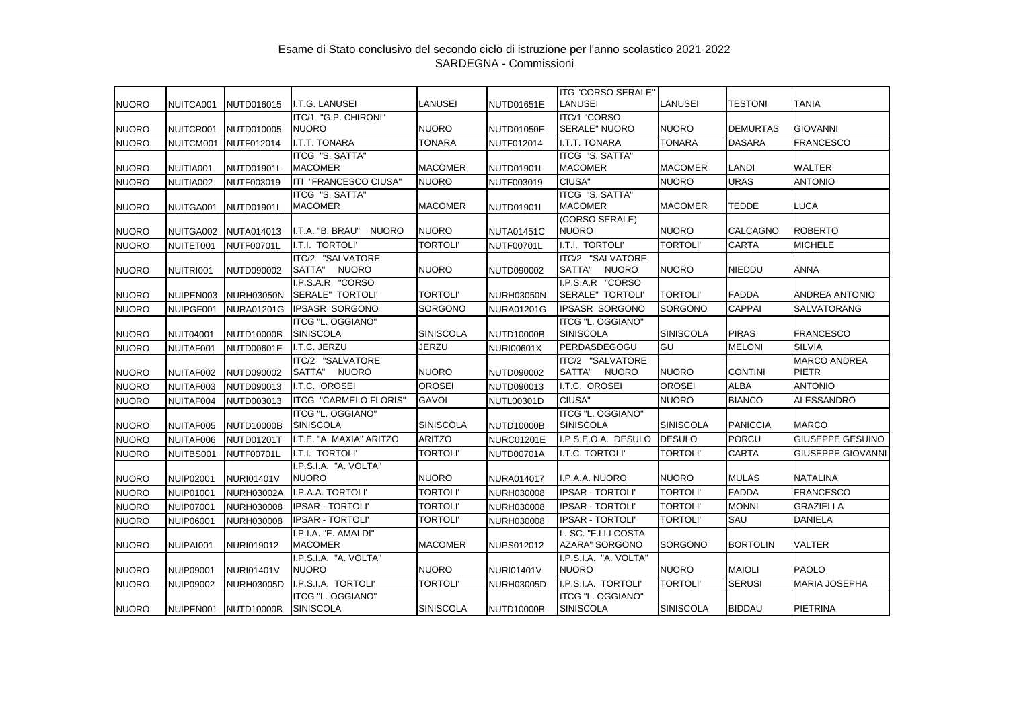| NUITCA001<br><b>ITC/1 "CORSO</b><br>ITC/1 "G.P. CHIRONI"<br><b>NUORO</b><br><b>NUORO</b><br><b>NUORO</b><br><b>SERALE" NUORO</b><br><b>DEMURTAS</b><br><b>GIOVANNI</b><br><b>NUORO</b><br>NUITCR001<br>NUTD010005<br><b>NUTD01050E</b><br><b>I.T.T. TONARA</b><br><b>TONARA</b><br>I.T.T. TONARA<br><b>TONARA</b><br><b>DASARA</b><br><b>FRANCESCO</b><br><b>NUORO</b><br>NUITCM001<br><b>NUTF012014</b><br>NUTF012014<br><b>ITCG "S. SATTA"</b><br><b>ITCG "S. SATTA"</b><br>NUITIA001<br><b>MACOMER</b><br><b>MACOMER</b><br><b>MACOMER</b><br><b>MACOMER</b><br>LANDI<br><b>WALTER</b><br><b>NUORO</b><br>NUTD01901L<br><b>NUTD01901L</b><br>ITI "FRANCESCO CIUSA"<br><b>NUORO</b><br>CIUSA"<br><b>NUORO</b><br><b>URAS</b><br><b>ANTONIO</b><br><b>NUORO</b><br>NUITIA002<br>NUTF003019<br>NUTF003019<br><b>ITCG "S. SATTA"</b><br>ITCG "S. SATTA"<br><b>MACOMER</b><br><b>MACOMER</b><br><b>MACOMER</b><br><b>MACOMER</b><br>TEDDE<br><b>LUCA</b><br><b>NUORO</b><br>NUITGA001<br>NUTD01901L<br><b>NUTD01901L</b><br>(CORSO SERALE)<br><b>NUORO</b><br><b>NUORO</b><br><b>NUORO</b><br>CALCAGNO<br>I.T.A. "B. BRAU"<br><b>NUORO</b><br><b>ROBERTO</b><br><b>NUORO</b><br>NUITGA002<br>NUTA014013<br><b>NUTA01451C</b><br>I.T.I. TORTOLI'<br><b>TORTOLI'</b><br>I.T.I. TORTOLI'<br><b>TORTOLI'</b><br><b>CARTA</b><br><b>NUORO</b><br>NUITET001<br>NUTF00701L<br>NUTF00701L<br><b>MICHELE</b><br>ITC/2 "SALVATORE<br>ITC/2 "SALVATORE<br><b>NUORO</b><br><b>NUORO</b><br>SATTA"<br><b>NUORO</b><br>SATTA"<br><b>NUORO</b><br><b>NIEDDU</b><br><b>ANNA</b><br><b>NUORO</b><br>NUITRI001<br>NUTD090002<br>NUTD090002<br>I.P.S.A.R "CORSO<br>I.P.S.A.R "CORSO<br><b>SERALE" TORTOLI'</b><br><b>TORTOLI'</b><br>SERALE" TORTOLI'<br><b>TORTOLI'</b><br>NUIPEN003<br><b>NURH03050N</b><br><b>FADDA</b><br>ANDREA ANTONIO<br><b>NURH03050N</b><br><b>IPSASR SORGONO</b><br>SORGONO<br><b>IPSASR SORGONO</b><br><b>CAPPAI</b><br>SORGONO<br>SALVATORANG<br>NUIPGF001<br><b>NURA01201G</b><br><b>NURA01201G</b><br>ITCG "L. OGGIANO"<br><b>ITCG "L. OGGIANO"</b><br><b>SINISCOLA</b><br>SINISCOLA<br><b>PIRAS</b><br><b>SINISCOLA</b><br><b>SINISCOLA</b><br><b>FRANCESCO</b><br><b>NUIT04001</b><br><b>NUTD10000B</b><br><b>NUTD10000B</b><br>I.T.C. JERZU<br><b>JERZU</b><br>GU<br><b>SILVIA</b><br>PERDASDEGOGU<br><b>MELONI</b><br><b>NUORO</b><br>NUITAF001<br><b>NUTD00601E</b><br>NURI00601X<br>ITC/2 "SALVATORE<br>ITC/2 "SALVATORE<br><b>MARCO ANDREA</b><br>SATTA"<br><b>NUORO</b><br><b>NUORO</b><br>SATTA"<br><b>NUORO</b><br><b>NUORO</b><br><b>CONTINI</b><br><b>PIETR</b><br>NUITAF002<br>NUTD090002<br>NUTD090002<br><b>OROSEI</b><br><b>ALBA</b><br>I.T.C. OROSEI<br><b>OROSEI</b><br>I.T.C. OROSEI<br><b>ANTONIO</b><br>NUITAF003<br>NUTD090013<br>NUTD090013<br><b>ITCG "CARMELO FLORIS"</b><br><b>GAVOI</b><br>CIUSA"<br><b>NUORO</b><br><b>BIANCO</b><br><b>ALESSANDRO</b><br>NUITAF004<br>NUTD003013<br><b>NUTL00301D</b><br>ITCG "L. OGGIANO"<br><b>ITCG "L. OGGIANO"</b><br><b>SINISCOLA</b><br><b>SINISCOLA</b><br><b>SINISCOLA</b><br><b>SINISCOLA</b><br><b>PANICCIA</b><br><b>MARCO</b><br><b>NUORO</b><br>NUITAF005<br><b>NUTD10000B</b><br><b>NUTD10000B</b><br>I.T.E. "A. MAXIA" ARITZO<br>I.P.S.E.O.A. DESULO<br><b>DESULO</b><br><b>PORCU</b><br><b>GIUSEPPE GESUINO</b><br><b>ARITZO</b><br><b>NUORO</b><br>NUITAF006<br><b>NURC01201E</b><br><b>NUTD01201T</b><br>I.T.I. TORTOLI'<br><b>TORTOLI</b><br><b>TORTOLI'</b><br><b>CARTA</b><br><b>GIUSEPPE GIOVANNI</b><br>I.T.C. TORTOLI'<br><b>NUORO</b><br>NUITBS001<br>NUTF00701L<br>NUTD00701A<br>I.P.S.I.A. "A. VOLTA"<br><b>NUORO</b><br><b>NUORO</b><br><b>NUORO</b><br>I.P.A.A. NUORO<br><b>MULAS</b><br>NATALINA<br><b>NUORO</b><br><b>NUIP02001</b><br><b>NURI01401V</b><br><b>NURA014017</b><br>I.P.A.A. TORTOLI'<br><b>TORTOLI'</b><br><b>IPSAR - TORTOLI'</b><br><b>TORTOLI'</b><br><b>FADDA</b><br><b>FRANCESCO</b><br><b>NUORO</b><br><b>NUIP01001</b><br><b>NURH030008</b><br><b>NURH03002A</b><br><b>IPSAR - TORTOLI'</b><br><b>TORTOLI'</b><br><b>IPSAR - TORTOLI'</b><br><b>TORTOLI'</b><br><b>MONNI</b><br><b>GRAZIELLA</b><br><b>NUORO</b><br><b>NUIP07001</b><br><b>NURH030008</b><br><b>NURH030008</b><br><b>IPSAR - TORTOLI'</b><br><b>TORTOLI'</b><br><b>IPSAR - TORTOLI'</b><br><b>TORTOLI'</b><br>SAU<br><b>DANIELA</b><br><b>NUIP06001</b><br><b>NURH030008</b><br><b>NURH030008</b><br>I.P.I.A. "E. AMALDI"<br>L. SC. "F.LLI COSTA<br><b>MACOMER</b><br><b>MACOMER</b><br>AZARA" SORGONO<br>SORGONO<br><b>BORTOLIN</b><br><b>VALTER</b><br><b>NUORO</b><br>NUIPAI001<br>NURI019012<br>NUPS012012<br>I.P.S.I.A. "A. VOLTA"<br>I.P.S.I.A. "A. VOLTA"<br><b>NUORO</b><br><b>PAOLO</b><br><b>NUORO</b><br><b>NUORO</b><br><b>NUORO</b><br><b>MAIOLI</b><br><b>NUORO</b><br><b>NUIP09001</b><br><b>NURI01401V</b><br><b>NURI01401V</b><br>I.P.S.I.A. TORTOLI'<br><b>TORTOLI'</b><br>I.P.S.I.A. TORTOLI'<br><b>TORTOLI'</b><br><b>SERUSI</b><br>MARIA JOSEPHA<br><b>NUORO</b><br><b>NUIP09002</b><br><b>NURH03005D</b><br><b>NURH03005D</b><br>ITCG "L. OGGIANO"<br>ITCG "L. OGGIANO" |              |           |                   |                  |                  |                   | <b>ITG "CORSO SERALE"</b> |                  |               |                 |
|-----------------------------------------------------------------------------------------------------------------------------------------------------------------------------------------------------------------------------------------------------------------------------------------------------------------------------------------------------------------------------------------------------------------------------------------------------------------------------------------------------------------------------------------------------------------------------------------------------------------------------------------------------------------------------------------------------------------------------------------------------------------------------------------------------------------------------------------------------------------------------------------------------------------------------------------------------------------------------------------------------------------------------------------------------------------------------------------------------------------------------------------------------------------------------------------------------------------------------------------------------------------------------------------------------------------------------------------------------------------------------------------------------------------------------------------------------------------------------------------------------------------------------------------------------------------------------------------------------------------------------------------------------------------------------------------------------------------------------------------------------------------------------------------------------------------------------------------------------------------------------------------------------------------------------------------------------------------------------------------------------------------------------------------------------------------------------------------------------------------------------------------------------------------------------------------------------------------------------------------------------------------------------------------------------------------------------------------------------------------------------------------------------------------------------------------------------------------------------------------------------------------------------------------------------------------------------------------------------------------------------------------------------------------------------------------------------------------------------------------------------------------------------------------------------------------------------------------------------------------------------------------------------------------------------------------------------------------------------------------------------------------------------------------------------------------------------------------------------------------------------------------------------------------------------------------------------------------------------------------------------------------------------------------------------------------------------------------------------------------------------------------------------------------------------------------------------------------------------------------------------------------------------------------------------------------------------------------------------------------------------------------------------------------------------------------------------------------------------------------------------------------------------------------------------------------------------------------------------------------------------------------------------------------------------------------------------------------------------------------------------------------------------------------------------------------------------------------------------------------------------------------------------------------------------------------------------------------------------------------------------------------------------------------------------------------------------------------------------------------------------------------------------------------------------------------------------------------------------------------------------------------------------------------------------------------------------------------------------------------------------------------------------------------------------------------------------------------------------------------------------------------------------------------------------------------------------------------------------------------------------------------------------------------------------------------------------------------------------------------------------------------------------------------------------------------------------------------|--------------|-----------|-------------------|------------------|------------------|-------------------|---------------------------|------------------|---------------|-----------------|
|                                                                                                                                                                                                                                                                                                                                                                                                                                                                                                                                                                                                                                                                                                                                                                                                                                                                                                                                                                                                                                                                                                                                                                                                                                                                                                                                                                                                                                                                                                                                                                                                                                                                                                                                                                                                                                                                                                                                                                                                                                                                                                                                                                                                                                                                                                                                                                                                                                                                                                                                                                                                                                                                                                                                                                                                                                                                                                                                                                                                                                                                                                                                                                                                                                                                                                                                                                                                                                                                                                                                                                                                                                                                                                                                                                                                                                                                                                                                                                                                                                                                                                                                                                                                                                                                                                                                                                                                                                                                                                                                                                                                                                                                                                                                                                                                                                                                                                                                                                                                                                                                                         | <b>NUORO</b> |           | NUTD016015        | I.T.G. LANUSEI   | <b>LANUSEI</b>   | NUTD01651E        | <b>LANUSEI</b>            | LANUSEI          | TESTONI       | <b>TANIA</b>    |
|                                                                                                                                                                                                                                                                                                                                                                                                                                                                                                                                                                                                                                                                                                                                                                                                                                                                                                                                                                                                                                                                                                                                                                                                                                                                                                                                                                                                                                                                                                                                                                                                                                                                                                                                                                                                                                                                                                                                                                                                                                                                                                                                                                                                                                                                                                                                                                                                                                                                                                                                                                                                                                                                                                                                                                                                                                                                                                                                                                                                                                                                                                                                                                                                                                                                                                                                                                                                                                                                                                                                                                                                                                                                                                                                                                                                                                                                                                                                                                                                                                                                                                                                                                                                                                                                                                                                                                                                                                                                                                                                                                                                                                                                                                                                                                                                                                                                                                                                                                                                                                                                                         |              |           |                   |                  |                  |                   |                           |                  |               |                 |
|                                                                                                                                                                                                                                                                                                                                                                                                                                                                                                                                                                                                                                                                                                                                                                                                                                                                                                                                                                                                                                                                                                                                                                                                                                                                                                                                                                                                                                                                                                                                                                                                                                                                                                                                                                                                                                                                                                                                                                                                                                                                                                                                                                                                                                                                                                                                                                                                                                                                                                                                                                                                                                                                                                                                                                                                                                                                                                                                                                                                                                                                                                                                                                                                                                                                                                                                                                                                                                                                                                                                                                                                                                                                                                                                                                                                                                                                                                                                                                                                                                                                                                                                                                                                                                                                                                                                                                                                                                                                                                                                                                                                                                                                                                                                                                                                                                                                                                                                                                                                                                                                                         |              |           |                   |                  |                  |                   |                           |                  |               |                 |
|                                                                                                                                                                                                                                                                                                                                                                                                                                                                                                                                                                                                                                                                                                                                                                                                                                                                                                                                                                                                                                                                                                                                                                                                                                                                                                                                                                                                                                                                                                                                                                                                                                                                                                                                                                                                                                                                                                                                                                                                                                                                                                                                                                                                                                                                                                                                                                                                                                                                                                                                                                                                                                                                                                                                                                                                                                                                                                                                                                                                                                                                                                                                                                                                                                                                                                                                                                                                                                                                                                                                                                                                                                                                                                                                                                                                                                                                                                                                                                                                                                                                                                                                                                                                                                                                                                                                                                                                                                                                                                                                                                                                                                                                                                                                                                                                                                                                                                                                                                                                                                                                                         |              |           |                   |                  |                  |                   |                           |                  |               |                 |
|                                                                                                                                                                                                                                                                                                                                                                                                                                                                                                                                                                                                                                                                                                                                                                                                                                                                                                                                                                                                                                                                                                                                                                                                                                                                                                                                                                                                                                                                                                                                                                                                                                                                                                                                                                                                                                                                                                                                                                                                                                                                                                                                                                                                                                                                                                                                                                                                                                                                                                                                                                                                                                                                                                                                                                                                                                                                                                                                                                                                                                                                                                                                                                                                                                                                                                                                                                                                                                                                                                                                                                                                                                                                                                                                                                                                                                                                                                                                                                                                                                                                                                                                                                                                                                                                                                                                                                                                                                                                                                                                                                                                                                                                                                                                                                                                                                                                                                                                                                                                                                                                                         |              |           |                   |                  |                  |                   |                           |                  |               |                 |
|                                                                                                                                                                                                                                                                                                                                                                                                                                                                                                                                                                                                                                                                                                                                                                                                                                                                                                                                                                                                                                                                                                                                                                                                                                                                                                                                                                                                                                                                                                                                                                                                                                                                                                                                                                                                                                                                                                                                                                                                                                                                                                                                                                                                                                                                                                                                                                                                                                                                                                                                                                                                                                                                                                                                                                                                                                                                                                                                                                                                                                                                                                                                                                                                                                                                                                                                                                                                                                                                                                                                                                                                                                                                                                                                                                                                                                                                                                                                                                                                                                                                                                                                                                                                                                                                                                                                                                                                                                                                                                                                                                                                                                                                                                                                                                                                                                                                                                                                                                                                                                                                                         |              |           |                   |                  |                  |                   |                           |                  |               |                 |
|                                                                                                                                                                                                                                                                                                                                                                                                                                                                                                                                                                                                                                                                                                                                                                                                                                                                                                                                                                                                                                                                                                                                                                                                                                                                                                                                                                                                                                                                                                                                                                                                                                                                                                                                                                                                                                                                                                                                                                                                                                                                                                                                                                                                                                                                                                                                                                                                                                                                                                                                                                                                                                                                                                                                                                                                                                                                                                                                                                                                                                                                                                                                                                                                                                                                                                                                                                                                                                                                                                                                                                                                                                                                                                                                                                                                                                                                                                                                                                                                                                                                                                                                                                                                                                                                                                                                                                                                                                                                                                                                                                                                                                                                                                                                                                                                                                                                                                                                                                                                                                                                                         |              |           |                   |                  |                  |                   |                           |                  |               |                 |
|                                                                                                                                                                                                                                                                                                                                                                                                                                                                                                                                                                                                                                                                                                                                                                                                                                                                                                                                                                                                                                                                                                                                                                                                                                                                                                                                                                                                                                                                                                                                                                                                                                                                                                                                                                                                                                                                                                                                                                                                                                                                                                                                                                                                                                                                                                                                                                                                                                                                                                                                                                                                                                                                                                                                                                                                                                                                                                                                                                                                                                                                                                                                                                                                                                                                                                                                                                                                                                                                                                                                                                                                                                                                                                                                                                                                                                                                                                                                                                                                                                                                                                                                                                                                                                                                                                                                                                                                                                                                                                                                                                                                                                                                                                                                                                                                                                                                                                                                                                                                                                                                                         |              |           |                   |                  |                  |                   |                           |                  |               |                 |
|                                                                                                                                                                                                                                                                                                                                                                                                                                                                                                                                                                                                                                                                                                                                                                                                                                                                                                                                                                                                                                                                                                                                                                                                                                                                                                                                                                                                                                                                                                                                                                                                                                                                                                                                                                                                                                                                                                                                                                                                                                                                                                                                                                                                                                                                                                                                                                                                                                                                                                                                                                                                                                                                                                                                                                                                                                                                                                                                                                                                                                                                                                                                                                                                                                                                                                                                                                                                                                                                                                                                                                                                                                                                                                                                                                                                                                                                                                                                                                                                                                                                                                                                                                                                                                                                                                                                                                                                                                                                                                                                                                                                                                                                                                                                                                                                                                                                                                                                                                                                                                                                                         |              |           |                   |                  |                  |                   |                           |                  |               |                 |
|                                                                                                                                                                                                                                                                                                                                                                                                                                                                                                                                                                                                                                                                                                                                                                                                                                                                                                                                                                                                                                                                                                                                                                                                                                                                                                                                                                                                                                                                                                                                                                                                                                                                                                                                                                                                                                                                                                                                                                                                                                                                                                                                                                                                                                                                                                                                                                                                                                                                                                                                                                                                                                                                                                                                                                                                                                                                                                                                                                                                                                                                                                                                                                                                                                                                                                                                                                                                                                                                                                                                                                                                                                                                                                                                                                                                                                                                                                                                                                                                                                                                                                                                                                                                                                                                                                                                                                                                                                                                                                                                                                                                                                                                                                                                                                                                                                                                                                                                                                                                                                                                                         |              |           |                   |                  |                  |                   |                           |                  |               |                 |
|                                                                                                                                                                                                                                                                                                                                                                                                                                                                                                                                                                                                                                                                                                                                                                                                                                                                                                                                                                                                                                                                                                                                                                                                                                                                                                                                                                                                                                                                                                                                                                                                                                                                                                                                                                                                                                                                                                                                                                                                                                                                                                                                                                                                                                                                                                                                                                                                                                                                                                                                                                                                                                                                                                                                                                                                                                                                                                                                                                                                                                                                                                                                                                                                                                                                                                                                                                                                                                                                                                                                                                                                                                                                                                                                                                                                                                                                                                                                                                                                                                                                                                                                                                                                                                                                                                                                                                                                                                                                                                                                                                                                                                                                                                                                                                                                                                                                                                                                                                                                                                                                                         |              |           |                   |                  |                  |                   |                           |                  |               |                 |
|                                                                                                                                                                                                                                                                                                                                                                                                                                                                                                                                                                                                                                                                                                                                                                                                                                                                                                                                                                                                                                                                                                                                                                                                                                                                                                                                                                                                                                                                                                                                                                                                                                                                                                                                                                                                                                                                                                                                                                                                                                                                                                                                                                                                                                                                                                                                                                                                                                                                                                                                                                                                                                                                                                                                                                                                                                                                                                                                                                                                                                                                                                                                                                                                                                                                                                                                                                                                                                                                                                                                                                                                                                                                                                                                                                                                                                                                                                                                                                                                                                                                                                                                                                                                                                                                                                                                                                                                                                                                                                                                                                                                                                                                                                                                                                                                                                                                                                                                                                                                                                                                                         |              |           |                   |                  |                  |                   |                           |                  |               |                 |
|                                                                                                                                                                                                                                                                                                                                                                                                                                                                                                                                                                                                                                                                                                                                                                                                                                                                                                                                                                                                                                                                                                                                                                                                                                                                                                                                                                                                                                                                                                                                                                                                                                                                                                                                                                                                                                                                                                                                                                                                                                                                                                                                                                                                                                                                                                                                                                                                                                                                                                                                                                                                                                                                                                                                                                                                                                                                                                                                                                                                                                                                                                                                                                                                                                                                                                                                                                                                                                                                                                                                                                                                                                                                                                                                                                                                                                                                                                                                                                                                                                                                                                                                                                                                                                                                                                                                                                                                                                                                                                                                                                                                                                                                                                                                                                                                                                                                                                                                                                                                                                                                                         |              |           |                   |                  |                  |                   |                           |                  |               |                 |
|                                                                                                                                                                                                                                                                                                                                                                                                                                                                                                                                                                                                                                                                                                                                                                                                                                                                                                                                                                                                                                                                                                                                                                                                                                                                                                                                                                                                                                                                                                                                                                                                                                                                                                                                                                                                                                                                                                                                                                                                                                                                                                                                                                                                                                                                                                                                                                                                                                                                                                                                                                                                                                                                                                                                                                                                                                                                                                                                                                                                                                                                                                                                                                                                                                                                                                                                                                                                                                                                                                                                                                                                                                                                                                                                                                                                                                                                                                                                                                                                                                                                                                                                                                                                                                                                                                                                                                                                                                                                                                                                                                                                                                                                                                                                                                                                                                                                                                                                                                                                                                                                                         | <b>NUORO</b> |           |                   |                  |                  |                   |                           |                  |               |                 |
|                                                                                                                                                                                                                                                                                                                                                                                                                                                                                                                                                                                                                                                                                                                                                                                                                                                                                                                                                                                                                                                                                                                                                                                                                                                                                                                                                                                                                                                                                                                                                                                                                                                                                                                                                                                                                                                                                                                                                                                                                                                                                                                                                                                                                                                                                                                                                                                                                                                                                                                                                                                                                                                                                                                                                                                                                                                                                                                                                                                                                                                                                                                                                                                                                                                                                                                                                                                                                                                                                                                                                                                                                                                                                                                                                                                                                                                                                                                                                                                                                                                                                                                                                                                                                                                                                                                                                                                                                                                                                                                                                                                                                                                                                                                                                                                                                                                                                                                                                                                                                                                                                         | <b>NUORO</b> |           |                   |                  |                  |                   |                           |                  |               |                 |
|                                                                                                                                                                                                                                                                                                                                                                                                                                                                                                                                                                                                                                                                                                                                                                                                                                                                                                                                                                                                                                                                                                                                                                                                                                                                                                                                                                                                                                                                                                                                                                                                                                                                                                                                                                                                                                                                                                                                                                                                                                                                                                                                                                                                                                                                                                                                                                                                                                                                                                                                                                                                                                                                                                                                                                                                                                                                                                                                                                                                                                                                                                                                                                                                                                                                                                                                                                                                                                                                                                                                                                                                                                                                                                                                                                                                                                                                                                                                                                                                                                                                                                                                                                                                                                                                                                                                                                                                                                                                                                                                                                                                                                                                                                                                                                                                                                                                                                                                                                                                                                                                                         |              |           |                   |                  |                  |                   |                           |                  |               |                 |
|                                                                                                                                                                                                                                                                                                                                                                                                                                                                                                                                                                                                                                                                                                                                                                                                                                                                                                                                                                                                                                                                                                                                                                                                                                                                                                                                                                                                                                                                                                                                                                                                                                                                                                                                                                                                                                                                                                                                                                                                                                                                                                                                                                                                                                                                                                                                                                                                                                                                                                                                                                                                                                                                                                                                                                                                                                                                                                                                                                                                                                                                                                                                                                                                                                                                                                                                                                                                                                                                                                                                                                                                                                                                                                                                                                                                                                                                                                                                                                                                                                                                                                                                                                                                                                                                                                                                                                                                                                                                                                                                                                                                                                                                                                                                                                                                                                                                                                                                                                                                                                                                                         | <b>NUORO</b> |           |                   |                  |                  |                   |                           |                  |               |                 |
|                                                                                                                                                                                                                                                                                                                                                                                                                                                                                                                                                                                                                                                                                                                                                                                                                                                                                                                                                                                                                                                                                                                                                                                                                                                                                                                                                                                                                                                                                                                                                                                                                                                                                                                                                                                                                                                                                                                                                                                                                                                                                                                                                                                                                                                                                                                                                                                                                                                                                                                                                                                                                                                                                                                                                                                                                                                                                                                                                                                                                                                                                                                                                                                                                                                                                                                                                                                                                                                                                                                                                                                                                                                                                                                                                                                                                                                                                                                                                                                                                                                                                                                                                                                                                                                                                                                                                                                                                                                                                                                                                                                                                                                                                                                                                                                                                                                                                                                                                                                                                                                                                         |              |           |                   |                  |                  |                   |                           |                  |               |                 |
|                                                                                                                                                                                                                                                                                                                                                                                                                                                                                                                                                                                                                                                                                                                                                                                                                                                                                                                                                                                                                                                                                                                                                                                                                                                                                                                                                                                                                                                                                                                                                                                                                                                                                                                                                                                                                                                                                                                                                                                                                                                                                                                                                                                                                                                                                                                                                                                                                                                                                                                                                                                                                                                                                                                                                                                                                                                                                                                                                                                                                                                                                                                                                                                                                                                                                                                                                                                                                                                                                                                                                                                                                                                                                                                                                                                                                                                                                                                                                                                                                                                                                                                                                                                                                                                                                                                                                                                                                                                                                                                                                                                                                                                                                                                                                                                                                                                                                                                                                                                                                                                                                         |              |           |                   |                  |                  |                   |                           |                  |               |                 |
|                                                                                                                                                                                                                                                                                                                                                                                                                                                                                                                                                                                                                                                                                                                                                                                                                                                                                                                                                                                                                                                                                                                                                                                                                                                                                                                                                                                                                                                                                                                                                                                                                                                                                                                                                                                                                                                                                                                                                                                                                                                                                                                                                                                                                                                                                                                                                                                                                                                                                                                                                                                                                                                                                                                                                                                                                                                                                                                                                                                                                                                                                                                                                                                                                                                                                                                                                                                                                                                                                                                                                                                                                                                                                                                                                                                                                                                                                                                                                                                                                                                                                                                                                                                                                                                                                                                                                                                                                                                                                                                                                                                                                                                                                                                                                                                                                                                                                                                                                                                                                                                                                         | <b>NUORO</b> |           |                   |                  |                  |                   |                           |                  |               |                 |
|                                                                                                                                                                                                                                                                                                                                                                                                                                                                                                                                                                                                                                                                                                                                                                                                                                                                                                                                                                                                                                                                                                                                                                                                                                                                                                                                                                                                                                                                                                                                                                                                                                                                                                                                                                                                                                                                                                                                                                                                                                                                                                                                                                                                                                                                                                                                                                                                                                                                                                                                                                                                                                                                                                                                                                                                                                                                                                                                                                                                                                                                                                                                                                                                                                                                                                                                                                                                                                                                                                                                                                                                                                                                                                                                                                                                                                                                                                                                                                                                                                                                                                                                                                                                                                                                                                                                                                                                                                                                                                                                                                                                                                                                                                                                                                                                                                                                                                                                                                                                                                                                                         | <b>NUORO</b> |           |                   |                  |                  |                   |                           |                  |               |                 |
|                                                                                                                                                                                                                                                                                                                                                                                                                                                                                                                                                                                                                                                                                                                                                                                                                                                                                                                                                                                                                                                                                                                                                                                                                                                                                                                                                                                                                                                                                                                                                                                                                                                                                                                                                                                                                                                                                                                                                                                                                                                                                                                                                                                                                                                                                                                                                                                                                                                                                                                                                                                                                                                                                                                                                                                                                                                                                                                                                                                                                                                                                                                                                                                                                                                                                                                                                                                                                                                                                                                                                                                                                                                                                                                                                                                                                                                                                                                                                                                                                                                                                                                                                                                                                                                                                                                                                                                                                                                                                                                                                                                                                                                                                                                                                                                                                                                                                                                                                                                                                                                                                         | <b>NUORO</b> |           |                   |                  |                  |                   |                           |                  |               |                 |
|                                                                                                                                                                                                                                                                                                                                                                                                                                                                                                                                                                                                                                                                                                                                                                                                                                                                                                                                                                                                                                                                                                                                                                                                                                                                                                                                                                                                                                                                                                                                                                                                                                                                                                                                                                                                                                                                                                                                                                                                                                                                                                                                                                                                                                                                                                                                                                                                                                                                                                                                                                                                                                                                                                                                                                                                                                                                                                                                                                                                                                                                                                                                                                                                                                                                                                                                                                                                                                                                                                                                                                                                                                                                                                                                                                                                                                                                                                                                                                                                                                                                                                                                                                                                                                                                                                                                                                                                                                                                                                                                                                                                                                                                                                                                                                                                                                                                                                                                                                                                                                                                                         |              |           |                   |                  |                  |                   |                           |                  |               |                 |
|                                                                                                                                                                                                                                                                                                                                                                                                                                                                                                                                                                                                                                                                                                                                                                                                                                                                                                                                                                                                                                                                                                                                                                                                                                                                                                                                                                                                                                                                                                                                                                                                                                                                                                                                                                                                                                                                                                                                                                                                                                                                                                                                                                                                                                                                                                                                                                                                                                                                                                                                                                                                                                                                                                                                                                                                                                                                                                                                                                                                                                                                                                                                                                                                                                                                                                                                                                                                                                                                                                                                                                                                                                                                                                                                                                                                                                                                                                                                                                                                                                                                                                                                                                                                                                                                                                                                                                                                                                                                                                                                                                                                                                                                                                                                                                                                                                                                                                                                                                                                                                                                                         |              |           |                   |                  |                  |                   |                           |                  |               |                 |
|                                                                                                                                                                                                                                                                                                                                                                                                                                                                                                                                                                                                                                                                                                                                                                                                                                                                                                                                                                                                                                                                                                                                                                                                                                                                                                                                                                                                                                                                                                                                                                                                                                                                                                                                                                                                                                                                                                                                                                                                                                                                                                                                                                                                                                                                                                                                                                                                                                                                                                                                                                                                                                                                                                                                                                                                                                                                                                                                                                                                                                                                                                                                                                                                                                                                                                                                                                                                                                                                                                                                                                                                                                                                                                                                                                                                                                                                                                                                                                                                                                                                                                                                                                                                                                                                                                                                                                                                                                                                                                                                                                                                                                                                                                                                                                                                                                                                                                                                                                                                                                                                                         |              |           |                   |                  |                  |                   |                           |                  |               |                 |
|                                                                                                                                                                                                                                                                                                                                                                                                                                                                                                                                                                                                                                                                                                                                                                                                                                                                                                                                                                                                                                                                                                                                                                                                                                                                                                                                                                                                                                                                                                                                                                                                                                                                                                                                                                                                                                                                                                                                                                                                                                                                                                                                                                                                                                                                                                                                                                                                                                                                                                                                                                                                                                                                                                                                                                                                                                                                                                                                                                                                                                                                                                                                                                                                                                                                                                                                                                                                                                                                                                                                                                                                                                                                                                                                                                                                                                                                                                                                                                                                                                                                                                                                                                                                                                                                                                                                                                                                                                                                                                                                                                                                                                                                                                                                                                                                                                                                                                                                                                                                                                                                                         |              |           |                   |                  |                  |                   |                           |                  |               |                 |
|                                                                                                                                                                                                                                                                                                                                                                                                                                                                                                                                                                                                                                                                                                                                                                                                                                                                                                                                                                                                                                                                                                                                                                                                                                                                                                                                                                                                                                                                                                                                                                                                                                                                                                                                                                                                                                                                                                                                                                                                                                                                                                                                                                                                                                                                                                                                                                                                                                                                                                                                                                                                                                                                                                                                                                                                                                                                                                                                                                                                                                                                                                                                                                                                                                                                                                                                                                                                                                                                                                                                                                                                                                                                                                                                                                                                                                                                                                                                                                                                                                                                                                                                                                                                                                                                                                                                                                                                                                                                                                                                                                                                                                                                                                                                                                                                                                                                                                                                                                                                                                                                                         |              |           |                   |                  |                  |                   |                           |                  |               |                 |
|                                                                                                                                                                                                                                                                                                                                                                                                                                                                                                                                                                                                                                                                                                                                                                                                                                                                                                                                                                                                                                                                                                                                                                                                                                                                                                                                                                                                                                                                                                                                                                                                                                                                                                                                                                                                                                                                                                                                                                                                                                                                                                                                                                                                                                                                                                                                                                                                                                                                                                                                                                                                                                                                                                                                                                                                                                                                                                                                                                                                                                                                                                                                                                                                                                                                                                                                                                                                                                                                                                                                                                                                                                                                                                                                                                                                                                                                                                                                                                                                                                                                                                                                                                                                                                                                                                                                                                                                                                                                                                                                                                                                                                                                                                                                                                                                                                                                                                                                                                                                                                                                                         |              |           |                   |                  |                  |                   |                           |                  |               |                 |
|                                                                                                                                                                                                                                                                                                                                                                                                                                                                                                                                                                                                                                                                                                                                                                                                                                                                                                                                                                                                                                                                                                                                                                                                                                                                                                                                                                                                                                                                                                                                                                                                                                                                                                                                                                                                                                                                                                                                                                                                                                                                                                                                                                                                                                                                                                                                                                                                                                                                                                                                                                                                                                                                                                                                                                                                                                                                                                                                                                                                                                                                                                                                                                                                                                                                                                                                                                                                                                                                                                                                                                                                                                                                                                                                                                                                                                                                                                                                                                                                                                                                                                                                                                                                                                                                                                                                                                                                                                                                                                                                                                                                                                                                                                                                                                                                                                                                                                                                                                                                                                                                                         |              |           |                   |                  |                  |                   |                           |                  |               |                 |
|                                                                                                                                                                                                                                                                                                                                                                                                                                                                                                                                                                                                                                                                                                                                                                                                                                                                                                                                                                                                                                                                                                                                                                                                                                                                                                                                                                                                                                                                                                                                                                                                                                                                                                                                                                                                                                                                                                                                                                                                                                                                                                                                                                                                                                                                                                                                                                                                                                                                                                                                                                                                                                                                                                                                                                                                                                                                                                                                                                                                                                                                                                                                                                                                                                                                                                                                                                                                                                                                                                                                                                                                                                                                                                                                                                                                                                                                                                                                                                                                                                                                                                                                                                                                                                                                                                                                                                                                                                                                                                                                                                                                                                                                                                                                                                                                                                                                                                                                                                                                                                                                                         |              |           |                   |                  |                  |                   |                           |                  |               |                 |
|                                                                                                                                                                                                                                                                                                                                                                                                                                                                                                                                                                                                                                                                                                                                                                                                                                                                                                                                                                                                                                                                                                                                                                                                                                                                                                                                                                                                                                                                                                                                                                                                                                                                                                                                                                                                                                                                                                                                                                                                                                                                                                                                                                                                                                                                                                                                                                                                                                                                                                                                                                                                                                                                                                                                                                                                                                                                                                                                                                                                                                                                                                                                                                                                                                                                                                                                                                                                                                                                                                                                                                                                                                                                                                                                                                                                                                                                                                                                                                                                                                                                                                                                                                                                                                                                                                                                                                                                                                                                                                                                                                                                                                                                                                                                                                                                                                                                                                                                                                                                                                                                                         | <b>NUORO</b> |           |                   |                  |                  |                   |                           |                  |               |                 |
|                                                                                                                                                                                                                                                                                                                                                                                                                                                                                                                                                                                                                                                                                                                                                                                                                                                                                                                                                                                                                                                                                                                                                                                                                                                                                                                                                                                                                                                                                                                                                                                                                                                                                                                                                                                                                                                                                                                                                                                                                                                                                                                                                                                                                                                                                                                                                                                                                                                                                                                                                                                                                                                                                                                                                                                                                                                                                                                                                                                                                                                                                                                                                                                                                                                                                                                                                                                                                                                                                                                                                                                                                                                                                                                                                                                                                                                                                                                                                                                                                                                                                                                                                                                                                                                                                                                                                                                                                                                                                                                                                                                                                                                                                                                                                                                                                                                                                                                                                                                                                                                                                         |              |           |                   |                  |                  |                   |                           |                  |               |                 |
|                                                                                                                                                                                                                                                                                                                                                                                                                                                                                                                                                                                                                                                                                                                                                                                                                                                                                                                                                                                                                                                                                                                                                                                                                                                                                                                                                                                                                                                                                                                                                                                                                                                                                                                                                                                                                                                                                                                                                                                                                                                                                                                                                                                                                                                                                                                                                                                                                                                                                                                                                                                                                                                                                                                                                                                                                                                                                                                                                                                                                                                                                                                                                                                                                                                                                                                                                                                                                                                                                                                                                                                                                                                                                                                                                                                                                                                                                                                                                                                                                                                                                                                                                                                                                                                                                                                                                                                                                                                                                                                                                                                                                                                                                                                                                                                                                                                                                                                                                                                                                                                                                         |              |           |                   |                  |                  |                   |                           |                  |               |                 |
|                                                                                                                                                                                                                                                                                                                                                                                                                                                                                                                                                                                                                                                                                                                                                                                                                                                                                                                                                                                                                                                                                                                                                                                                                                                                                                                                                                                                                                                                                                                                                                                                                                                                                                                                                                                                                                                                                                                                                                                                                                                                                                                                                                                                                                                                                                                                                                                                                                                                                                                                                                                                                                                                                                                                                                                                                                                                                                                                                                                                                                                                                                                                                                                                                                                                                                                                                                                                                                                                                                                                                                                                                                                                                                                                                                                                                                                                                                                                                                                                                                                                                                                                                                                                                                                                                                                                                                                                                                                                                                                                                                                                                                                                                                                                                                                                                                                                                                                                                                                                                                                                                         |              |           |                   |                  |                  |                   |                           |                  |               |                 |
|                                                                                                                                                                                                                                                                                                                                                                                                                                                                                                                                                                                                                                                                                                                                                                                                                                                                                                                                                                                                                                                                                                                                                                                                                                                                                                                                                                                                                                                                                                                                                                                                                                                                                                                                                                                                                                                                                                                                                                                                                                                                                                                                                                                                                                                                                                                                                                                                                                                                                                                                                                                                                                                                                                                                                                                                                                                                                                                                                                                                                                                                                                                                                                                                                                                                                                                                                                                                                                                                                                                                                                                                                                                                                                                                                                                                                                                                                                                                                                                                                                                                                                                                                                                                                                                                                                                                                                                                                                                                                                                                                                                                                                                                                                                                                                                                                                                                                                                                                                                                                                                                                         |              |           |                   |                  |                  |                   |                           |                  |               |                 |
|                                                                                                                                                                                                                                                                                                                                                                                                                                                                                                                                                                                                                                                                                                                                                                                                                                                                                                                                                                                                                                                                                                                                                                                                                                                                                                                                                                                                                                                                                                                                                                                                                                                                                                                                                                                                                                                                                                                                                                                                                                                                                                                                                                                                                                                                                                                                                                                                                                                                                                                                                                                                                                                                                                                                                                                                                                                                                                                                                                                                                                                                                                                                                                                                                                                                                                                                                                                                                                                                                                                                                                                                                                                                                                                                                                                                                                                                                                                                                                                                                                                                                                                                                                                                                                                                                                                                                                                                                                                                                                                                                                                                                                                                                                                                                                                                                                                                                                                                                                                                                                                                                         |              |           |                   |                  |                  |                   |                           |                  |               |                 |
|                                                                                                                                                                                                                                                                                                                                                                                                                                                                                                                                                                                                                                                                                                                                                                                                                                                                                                                                                                                                                                                                                                                                                                                                                                                                                                                                                                                                                                                                                                                                                                                                                                                                                                                                                                                                                                                                                                                                                                                                                                                                                                                                                                                                                                                                                                                                                                                                                                                                                                                                                                                                                                                                                                                                                                                                                                                                                                                                                                                                                                                                                                                                                                                                                                                                                                                                                                                                                                                                                                                                                                                                                                                                                                                                                                                                                                                                                                                                                                                                                                                                                                                                                                                                                                                                                                                                                                                                                                                                                                                                                                                                                                                                                                                                                                                                                                                                                                                                                                                                                                                                                         | <b>NUORO</b> | NUIPEN001 | <b>NUTD10000B</b> | <b>SINISCOLA</b> | <b>SINISCOLA</b> | <b>NUTD10000B</b> | <b>SINISCOLA</b>          | <b>SINISCOLA</b> | <b>BIDDAU</b> | <b>PIETRINA</b> |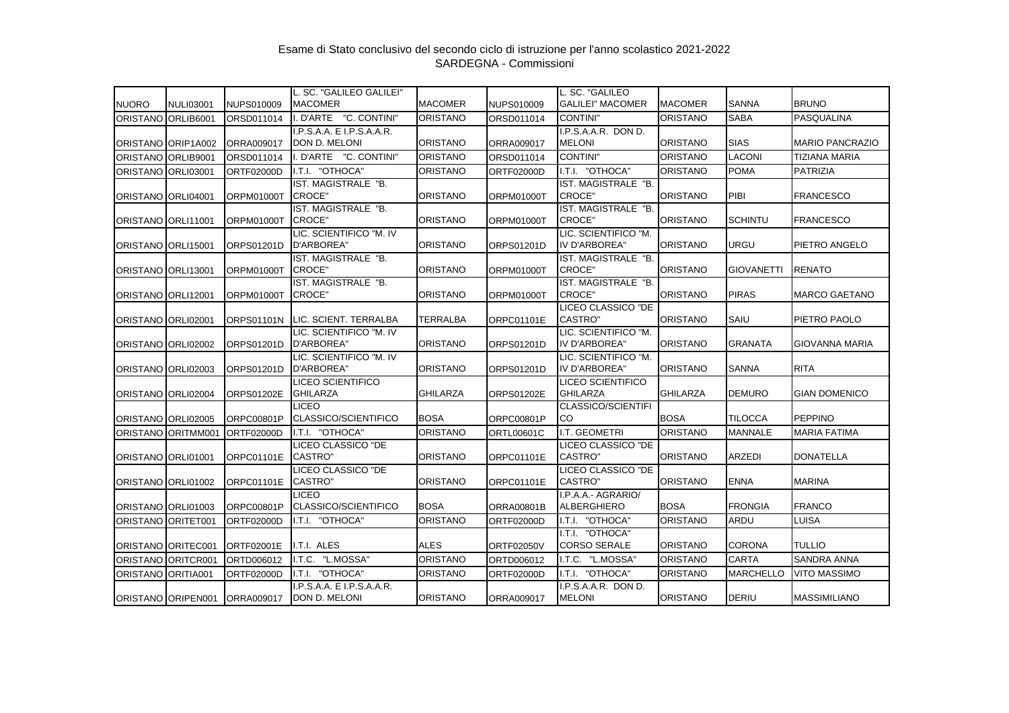|                    |                    |                   | L. SC. "GALILEO GALILEI"      |                 |                   | L. SC. "GALILEO                      |                 |                   |                        |
|--------------------|--------------------|-------------------|-------------------------------|-----------------|-------------------|--------------------------------------|-----------------|-------------------|------------------------|
| <b>NUORO</b>       | <b>NULI03001</b>   | <b>NUPS010009</b> | <b>MACOMER</b>                | <b>MACOMER</b>  | NUPS010009        | <b>GALILEI" MACOMER</b>              | <b>MACOMER</b>  | <b>SANNA</b>      | <b>BRUNO</b>           |
| ORISTANO ORLIB6001 |                    | ORSD011014        | I. D'ARTE "C. CONTINI"        | <b>ORISTANO</b> | ORSD011014        | <b>CONTINI"</b>                      | <b>ORISTANO</b> | <b>SABA</b>       | PASQUALINA             |
|                    |                    |                   | I.P.S.A.A. E I.P.S.A.A.R.     |                 |                   | I.P.S.A.A.R. DON D.                  |                 |                   |                        |
|                    | ORISTANO ORIP1A002 | ORRA009017        | DON D. MELONI                 | <b>ORISTANO</b> | ORRA009017        | <b>MELONI</b>                        | <b>ORISTANO</b> | <b>SIAS</b>       | <b>MARIO PANCRAZIO</b> |
| <b>ORISTANO</b>    | ORLIB9001          | ORSD011014        | . D'ARTE<br>"C. CONTINI"      | <b>ORISTANO</b> | ORSD011014        | CONTINI"                             | <b>ORISTANO</b> | <b>LACONI</b>     | <b>TIZIANA MARIA</b>   |
| <b>ORISTANO</b>    | <b>ORLI03001</b>   | ORTF02000D        | I.T.I. "OTHOCA"               | <b>ORISTANO</b> | <b>ORTF02000D</b> | I.T.I. "OTHOCA"                      | <b>ORISTANO</b> | <b>POMA</b>       | <b>PATRIZIA</b>        |
|                    |                    |                   | IST. MAGISTRALE "B.           |                 |                   | IST. MAGISTRALE "B.                  |                 |                   |                        |
|                    | ORISTANO ORLI04001 | ORPM01000T        | CROCE"                        | <b>ORISTANO</b> | ORPM01000T        | <b>CROCE"</b>                        | <b>ORISTANO</b> | PIBI              | <b>FRANCESCO</b>       |
|                    |                    |                   | IST. MAGISTRALE "B.           |                 |                   | IST. MAGISTRALE "B.                  |                 |                   |                        |
|                    | ORISTANO ORLI11001 | ORPM01000T        | CROCE"                        | <b>ORISTANO</b> | <b>ORPM01000T</b> | <b>CROCE"</b>                        | <b>ORISTANO</b> | <b>SCHINTU</b>    | <b>FRANCESCO</b>       |
|                    |                    |                   | LIC. SCIENTIFICO "M. IV       |                 |                   | LIC. SCIENTIFICO "M.                 |                 |                   |                        |
|                    | ORISTANO ORLI15001 | ORPS01201D        | D'ARBOREA"                    | <b>ORISTANO</b> | ORPS01201D        | IV D'ARBOREA"                        | <b>ORISTANO</b> | <b>URGU</b>       | PIETRO ANGELO          |
|                    |                    |                   | IST. MAGISTRALE "B.           |                 |                   | IST. MAGISTRALE "B.                  |                 |                   |                        |
|                    | ORISTANO ORLI13001 | ORPM01000T        | <b>CROCE"</b>                 | <b>ORISTANO</b> | <b>ORPM01000T</b> | <b>CROCE"</b>                        | <b>ORISTANO</b> | <b>GIOVANETTI</b> | <b>RENATO</b>          |
|                    |                    |                   | IST. MAGISTRALE "B.<br>CROCE" | <b>ORISTANO</b> |                   | IST. MAGISTRALE "B.<br><b>CROCE"</b> | <b>ORISTANO</b> | <b>PIRAS</b>      | <b>MARCO GAETANO</b>   |
|                    | ORISTANO ORLI12001 | ORPM01000T        |                               |                 | ORPM01000T        | LICEO CLASSICO "DE                   |                 |                   |                        |
|                    | ORISTANO ORLI02001 | ORPS01101N        | LIC. SCIENT. TERRALBA         | <b>TERRALBA</b> | ORPC01101E        | <b>CASTRO</b> "                      | <b>ORISTANO</b> | SAIU              | PIETRO PAOLO           |
|                    |                    |                   | LIC. SCIENTIFICO "M. IV       |                 |                   | LIC. SCIENTIFICO "M.                 |                 |                   |                        |
|                    | ORISTANO ORLI02002 | ORPS01201D        | D'ARBOREA"                    | <b>ORISTANO</b> | ORPS01201D        | IV D'ARBOREA"                        | <b>ORISTANO</b> | <b>GRANATA</b>    | GIOVANNA MARIA         |
|                    |                    |                   | LIC. SCIENTIFICO "M. IV       |                 |                   | LIC. SCIENTIFICO "M.                 |                 |                   |                        |
|                    | ORISTANO ORLI02003 | ORPS01201D        | D'ARBOREA"                    | <b>ORISTANO</b> | ORPS01201D        | IV D'ARBOREA"                        | <b>ORISTANO</b> | <b>SANNA</b>      | <b>RITA</b>            |
|                    |                    |                   | LICEO SCIENTIFICO             |                 |                   | LICEO SCIENTIFICO                    |                 |                   |                        |
|                    | ORISTANO ORLI02004 | ORPS01202E        | <b>GHILARZA</b>               | <b>GHILARZA</b> | ORPS01202E        | <b>GHILARZA</b>                      | <b>GHILARZA</b> | <b>DEMURO</b>     | <b>GIAN DOMENICO</b>   |
|                    |                    |                   | LICEO                         |                 |                   | <b>CLASSICO/SCIENTIFI</b>            |                 |                   |                        |
|                    | ORISTANO ORLI02005 | ORPC00801P        | CLASSICO/SCIENTIFICO          | <b>BOSA</b>     | ORPC00801P        | CO                                   | <b>BOSA</b>     | <b>TILOCCA</b>    | <b>PEPPINO</b>         |
| <b>ORISTANO</b>    | ORITMM001          | <b>ORTF02000D</b> | I.T.I. "OTHOCA"               | <b>ORISTANO</b> | ORTL00601C        | I.T. GEOMETRI                        | <b>ORISTANO</b> | <b>MANNALE</b>    | <b>MARIA FATIMA</b>    |
|                    |                    |                   | LICEO CLASSICO "DE            |                 |                   | LICEO CLASSICO "DE                   |                 |                   |                        |
|                    | ORISTANO ORLI01001 | ORPC01101E        | CASTRO"                       | <b>ORISTANO</b> | <b>ORPC01101E</b> | CASTRO"                              | <b>ORISTANO</b> | <b>ARZEDI</b>     | <b>DONATELLA</b>       |
|                    |                    |                   | LICEO CLASSICO "DE            |                 |                   | LICEO CLASSICO "DE                   |                 |                   |                        |
|                    | ORISTANO ORLI01002 | ORPC01101E        | CASTRO"                       | <b>ORISTANO</b> | ORPC01101E        | <b>CASTRO</b> "                      | <b>ORISTANO</b> | <b>ENNA</b>       | <b>MARINA</b>          |
|                    |                    |                   | <b>LICEO</b>                  |                 |                   | I.P.A.A.- AGRARIO/                   |                 |                   |                        |
|                    | ORISTANO ORLI01003 | ORPC00801P        | CLASSICO/SCIENTIFICO          | <b>BOSA</b>     | <b>ORRA00801B</b> | <b>ALBERGHIERO</b>                   | <b>BOSA</b>     | <b>FRONGIA</b>    | <b>FRANCO</b>          |
| <b>ORISTANO</b>    | ORITET001          | ORTF02000D        | I.T.I. "OTHOCA"               | <b>ORISTANO</b> | ORTF02000D        | I.T.I. "OTHOCA"                      | <b>ORISTANO</b> | ARDU              | LUISA                  |
|                    |                    |                   |                               |                 |                   | I.T.I. "OTHOCA"                      |                 |                   |                        |
|                    | ORISTANO ORITEC001 | ORTF02001E        | I.T.I. ALES                   | <b>ALES</b>     | <b>ORTF02050V</b> | <b>CORSO SERALE</b>                  | <b>ORISTANO</b> | <b>CORONA</b>     | <b>TULLIO</b>          |
| <b>ORISTANO</b>    | ORITCR001          | ORTD006012        | I.T.C. "L.MOSSA"              | <b>ORISTANO</b> | ORTD006012        | I.T.C. "L.MOSSA"                     | <b>ORISTANO</b> | <b>CARTA</b>      | <b>SANDRA ANNA</b>     |
| <b>ORISTANO</b>    | ORITIA001          | ORTF02000D        | I.T.I.<br>"OTHOCA"            | <b>ORISTANO</b> | ORTF02000D        | I.T.I. "OTHOCA"                      | <b>ORISTANO</b> | <b>MARCHELLO</b>  | <b>VITO MASSIMO</b>    |
|                    |                    |                   | I.P.S.A.A. E I.P.S.A.A.R.     |                 |                   | I.P.S.A.A.R. DON D.                  |                 |                   |                        |
|                    | ORISTANO ORIPEN001 | ORRA009017        | DON D. MELONI                 | <b>ORISTANO</b> | ORRA009017        | <b>MELONI</b>                        | <b>ORISTANO</b> | <b>DERIU</b>      | <b>MASSIMILIANO</b>    |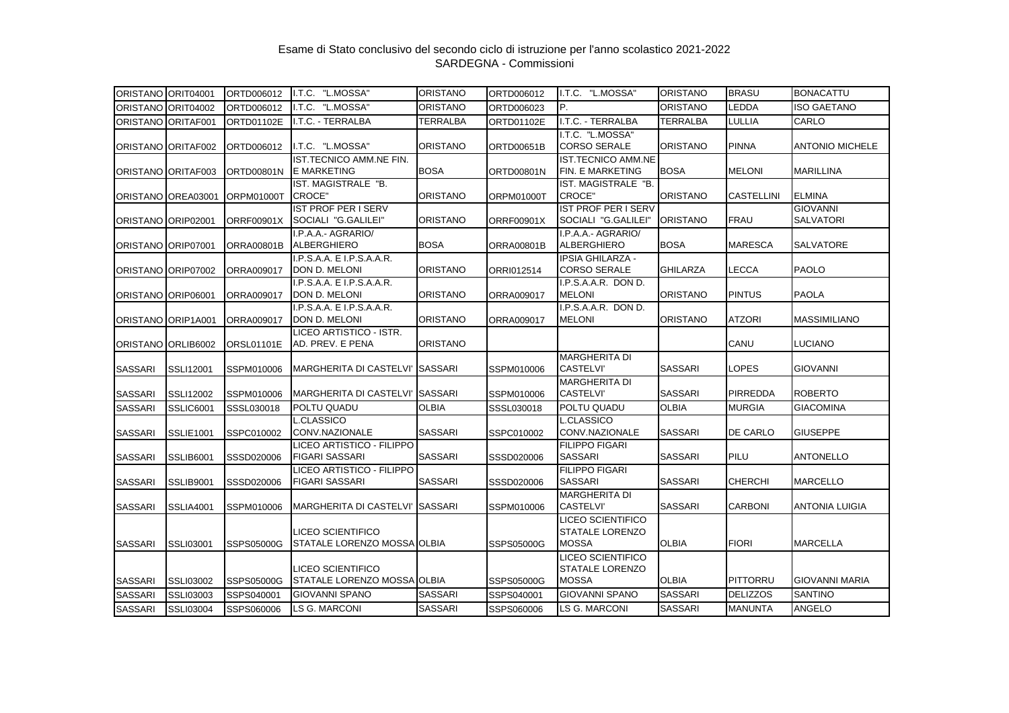| ORISTANO ORIT04001 |                    | ORTD006012        | I.T.C. "L.MOSSA"                           | <b>ORISTANO</b> | ORTD006012        | I.T.C. "L.MOSSA"                                   | <b>ORISTANO</b> | <b>BRASU</b>      | <b>BONACATTU</b>       |
|--------------------|--------------------|-------------------|--------------------------------------------|-----------------|-------------------|----------------------------------------------------|-----------------|-------------------|------------------------|
|                    | ORISTANO ORIT04002 | ORTD006012        | I.T.C. "L.MOSSA"                           | <b>ORISTANO</b> | ORTD006023        | P.                                                 | <b>ORISTANO</b> | <b>LEDDA</b>      | <b>ISO GAETANO</b>     |
| ORISTANO ORITAF001 |                    | ORTD01102E        | I.T.C. - TERRALBA                          | <b>TERRALBA</b> | ORTD01102E        | I.T.C. - TERRALBA                                  | <b>TERRALBA</b> | LULLIA            | CARLO                  |
|                    |                    |                   |                                            |                 |                   | I.T.C. "L.MOSSA"                                   |                 |                   |                        |
|                    | ORISTANO ORITAF002 | ORTD006012        | I.T.C. "L.MOSSA"                           | <b>ORISTANO</b> | ORTD00651B        | <b>CORSO SERALE</b>                                | <b>ORISTANO</b> | <b>PINNA</b>      | <b>ANTONIO MICHELE</b> |
|                    |                    |                   | <b>IST.TECNICO AMM.NE FIN.</b>             |                 |                   | <b>IST.TECNICO AMM.NE</b>                          |                 |                   |                        |
|                    | ORISTANO ORITAF003 | ORTD00801N        | <b>E MARKETING</b>                         | <b>BOSA</b>     | ORTD00801N        | FIN. E MARKETING                                   | <b>BOSA</b>     | <b>MELONI</b>     | <b>MARILLINA</b>       |
|                    |                    |                   | IST. MAGISTRALE "B.                        |                 |                   | IST. MAGISTRALE "B.                                |                 |                   |                        |
|                    | ORISTANO OREA03001 | ORPM01000T        | <b>CROCE"</b>                              | <b>ORISTANO</b> | <b>ORPM01000T</b> | <b>CROCE"</b>                                      | <b>ORISTANO</b> | <b>CASTELLINI</b> | <b>ELMINA</b>          |
|                    |                    |                   | <b>IST PROF PER I SERV</b>                 |                 |                   | <b>IST PROF PER I SERV</b>                         |                 |                   | <b>GIOVANNI</b>        |
| ORISTANO ORIP02001 |                    | <b>ORRF00901X</b> | SOCIALI "G.GALILEI"                        | <b>ORISTANO</b> | ORRF00901X        | SOCIALI "G.GALILEI"                                | <b>ORISTANO</b> | <b>FRAU</b>       | <b>SALVATORI</b>       |
|                    |                    |                   | I.P.A.A.- AGRARIO/                         |                 |                   | I.P.A.A.- AGRARIO/                                 |                 |                   |                        |
| ORISTANO ORIP07001 |                    | <b>ORRA00801B</b> | <b>ALBERGHIERO</b>                         | <b>BOSA</b>     | ORRA00801B        | <b>ALBERGHIERO</b>                                 | <b>BOSA</b>     | <b>MARESCA</b>    | SALVATORE              |
| ORISTANO ORIP07002 |                    | ORRA009017        | I.P.S.A.A. E I.P.S.A.A.R.<br>DON D. MELONI | <b>ORISTANO</b> | ORRI012514        | IPSIA GHILARZA -<br><b>CORSO SERALE</b>            | <b>GHILARZA</b> | <b>LECCA</b>      | <b>PAOLO</b>           |
|                    |                    |                   | I.P.S.A.A. E I.P.S.A.A.R.                  |                 |                   | I.P.S.A.A.R. DON D.                                |                 |                   |                        |
|                    | ORISTANO ORIP06001 | ORRA009017        | DON D. MELONI                              | <b>ORISTANO</b> | ORRA009017        | <b>MELONI</b>                                      | <b>ORISTANO</b> | <b>PINTUS</b>     | <b>PAOLA</b>           |
|                    |                    |                   | I.P.S.A.A. E I.P.S.A.A.R.                  |                 |                   | I.P.S.A.A.R. DON D.                                |                 |                   |                        |
| ORISTANO ORIP1A001 |                    | ORRA009017        | DON D. MELONI                              | <b>ORISTANO</b> | ORRA009017        | <b>MELONI</b>                                      | <b>ORISTANO</b> | <b>ATZORI</b>     | <b>MASSIMILIANO</b>    |
|                    |                    |                   | LICEO ARTISTICO - ISTR.                    |                 |                   |                                                    |                 |                   |                        |
|                    | ORISTANO ORLIB6002 | <b>ORSL01101E</b> | AD. PREV. E PENA                           | <b>ORISTANO</b> |                   |                                                    |                 | CANU              | LUCIANO                |
|                    |                    |                   |                                            |                 |                   | <b>MARGHERITA DI</b>                               |                 |                   |                        |
| <b>SASSARI</b>     | SSLI12001          | SSPM010006        | <b>MARGHERITA DI CASTELVI'</b>             | <b>SASSARI</b>  | SSPM010006        | <b>CASTELVI'</b>                                   | <b>SASSARI</b>  | <b>LOPES</b>      | <b>GIOVANNI</b>        |
|                    |                    |                   |                                            |                 |                   | <b>MARGHERITA DI</b>                               |                 |                   |                        |
| <b>SASSARI</b>     | SSLI12002          | SSPM010006        | <b>MARGHERITA DI CASTELVI'</b>             | <b>SASSARI</b>  | SSPM010006        | <b>CASTELVI'</b>                                   | <b>SASSARI</b>  | <b>PIRREDDA</b>   | <b>ROBERTO</b>         |
| <b>SASSARI</b>     | SSLIC6001          | SSSL030018        | POLTU QUADU                                | <b>OLBIA</b>    | SSSL030018        | POLTU QUADU                                        | <b>OLBIA</b>    | <b>MURGIA</b>     | <b>GIACOMINA</b>       |
|                    |                    |                   | L.CLASSICO                                 |                 |                   | L.CLASSICO                                         |                 |                   |                        |
| <b>SASSARI</b>     | <b>SSLIE1001</b>   | SSPC010002        | CONV.NAZIONALE                             | <b>SASSARI</b>  | SSPC010002        | CONV.NAZIONALE                                     | <b>SASSARI</b>  | <b>DE CARLO</b>   | <b>GIUSEPPE</b>        |
|                    |                    |                   | LICEO ARTISTICO - FILIPPO                  |                 |                   | <b>FILIPPO FIGARI</b>                              |                 |                   |                        |
| <b>SASSARI</b>     | SSLIB6001          | SSSD020006        | <b>FIGARI SASSARI</b>                      | <b>SASSARI</b>  | SSSD020006        | SASSARI                                            | <b>SASSARI</b>  | PILU              | <b>ANTONELLO</b>       |
|                    |                    |                   | LICEO ARTISTICO - FILIPPO                  |                 |                   | <b>FILIPPO FIGARI</b>                              |                 |                   |                        |
| <b>SASSARI</b>     | <b>SSLIB9001</b>   | SSSD020006        | <b>FIGARI SASSARI</b>                      | <b>SASSARI</b>  | SSSD020006        | <b>SASSARI</b>                                     | <b>SASSARI</b>  | <b>CHERCHI</b>    | <b>MARCELLO</b>        |
|                    |                    |                   |                                            |                 |                   | <b>MARGHERITA DI</b>                               |                 |                   |                        |
| <b>SASSARI</b>     | SSLIA4001          | SSPM010006        | MARGHERITA DI CASTELVI' SASSARI            |                 | SSPM010006        | <b>CASTELVI'</b>                                   | <b>SASSARI</b>  | <b>CARBONI</b>    | <b>ANTONIA LUIGIA</b>  |
|                    |                    |                   | LICEO SCIENTIFICO                          |                 |                   | <b>LICEO SCIENTIFICO</b><br><b>STATALE LORENZO</b> |                 |                   |                        |
| <b>SASSARI</b>     | SSLI03001          | SSPS05000G        | STATALE LORENZO MOSSA OLBIA                |                 | SSPS05000G        | <b>MOSSA</b>                                       | <b>OLBIA</b>    | <b>FIORI</b>      | <b>MARCELLA</b>        |
|                    |                    |                   |                                            |                 |                   | <b>LICEO SCIENTIFICO</b>                           |                 |                   |                        |
|                    |                    |                   | <b>LICEO SCIENTIFICO</b>                   |                 |                   | STATALE LORENZO                                    |                 |                   |                        |
| <b>SASSARI</b>     | <b>SSLI03002</b>   | SSPS05000G        | STATALE LORENZO MOSSA OLBIA                |                 | SSPS05000G        | <b>MOSSA</b>                                       | <b>OLBIA</b>    | PITTORRU          | <b>GIOVANNI MARIA</b>  |
| <b>SASSARI</b>     | <b>SSLI03003</b>   | SSPS040001        | <b>GIOVANNI SPANO</b>                      | <b>SASSARI</b>  | SSPS040001        | <b>GIOVANNI SPANO</b>                              | <b>SASSARI</b>  | <b>DELIZZOS</b>   | SANTINO                |
|                    |                    |                   | <b>LS G. MARCONI</b>                       | <b>SASSARI</b>  |                   | <b>LS G. MARCONI</b>                               | <b>SASSARI</b>  | <b>MANUNTA</b>    | ANGELO                 |
| <b>SASSARI</b>     | <b>SSLI03004</b>   | SSPS060006        |                                            |                 | SSPS060006        |                                                    |                 |                   |                        |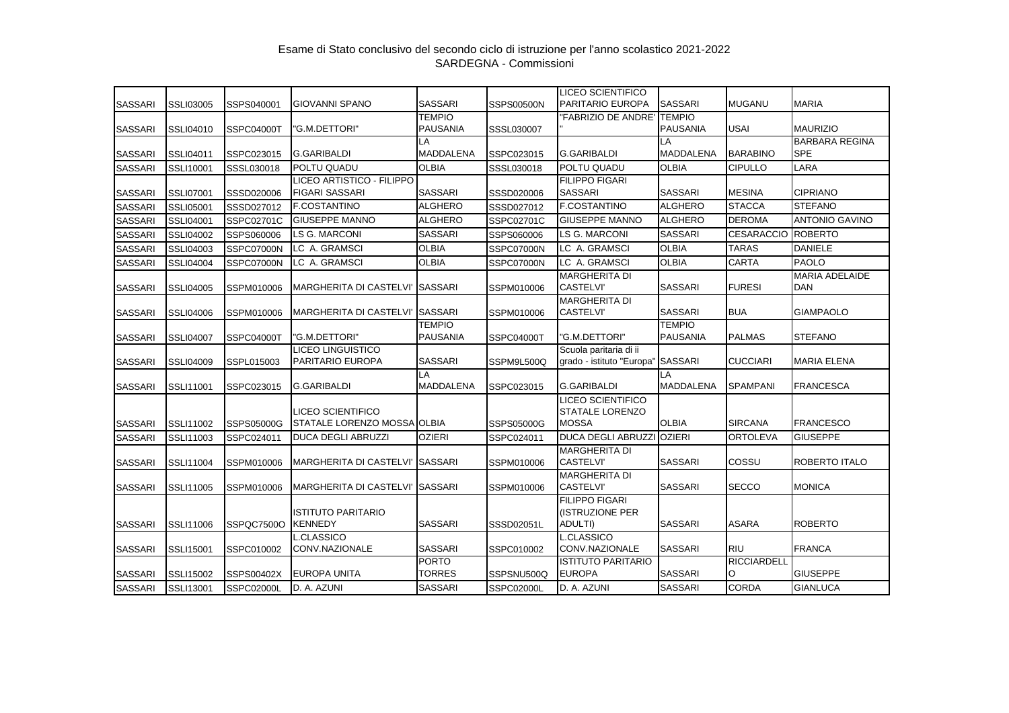|                |                  |            |                                                    |                               |                   | <b>LICEO SCIENTIFICO</b>                                           |                  |                           |                       |
|----------------|------------------|------------|----------------------------------------------------|-------------------------------|-------------------|--------------------------------------------------------------------|------------------|---------------------------|-----------------------|
| <b>SASSARI</b> | <b>SSLI03005</b> | SSPS040001 | <b>GIOVANNI SPANO</b>                              | <b>SASSARI</b>                | <b>SSPS00500N</b> | PARITARIO EUROPA                                                   | <b>SASSARI</b>   | <b>MUGANU</b>             | <b>MARIA</b>          |
|                |                  |            |                                                    | <b>TEMPIO</b>                 |                   | "FABRIZIO DE ANDRE"                                                | <b>TEMPIO</b>    |                           |                       |
| <b>SASSARI</b> | SSLI04010        | SSPC04000T | 'G.M.DETTORI"                                      | <b>PAUSANIA</b>               | SSSL030007        |                                                                    | <b>PAUSANIA</b>  | <b>USAI</b>               | <b>MAURIZIO</b>       |
|                |                  |            |                                                    | LA                            |                   |                                                                    | LA               |                           | <b>BARBARA REGINA</b> |
| <b>SASSARI</b> | <b>SSLI04011</b> | SSPC023015 | <b>G.GARIBALDI</b>                                 | <b>MADDALENA</b>              | SSPC023015        | <b>G.GARIBALDI</b>                                                 | <b>MADDALENA</b> | <b>BARABINO</b>           | <b>SPE</b>            |
| <b>SASSARI</b> | SSLI10001        | SSSL030018 | POLTU QUADU                                        | <b>OLBIA</b>                  | SSSL030018        | POLTU QUADU                                                        | <b>OLBIA</b>     | <b>CIPULLO</b>            | LARA                  |
| <b>SASSARI</b> | <b>SSLI07001</b> | SSSD020006 | LICEO ARTISTICO - FILIPPO<br><b>FIGARI SASSARI</b> | <b>SASSARI</b>                | SSSD020006        | <b>FILIPPO FIGARI</b><br><b>SASSARI</b>                            | <b>SASSARI</b>   | <b>MESINA</b>             | <b>CIPRIANO</b>       |
| <b>SASSARI</b> | <b>SSLI05001</b> | SSSD027012 | <b>F.COSTANTINO</b>                                | <b>ALGHERO</b>                | SSSD027012        | <b>F.COSTANTINO</b>                                                | <b>ALGHERO</b>   | <b>STACCA</b>             | <b>STEFANO</b>        |
| <b>SASSARI</b> | <b>SSLI04001</b> | SSPC02701C | <b>GIUSEPPE MANNO</b>                              | <b>ALGHERO</b>                | SSPC02701C        | <b>GIUSEPPE MANNO</b>                                              | <b>ALGHERO</b>   | <b>DEROMA</b>             | <b>ANTONIO GAVINO</b> |
| <b>SASSARI</b> | <b>SSLI04002</b> | SSPS060006 | <b>LS G. MARCONI</b>                               | <b>SASSARI</b>                | SSPS060006        | <b>LS G. MARCONI</b>                                               | <b>SASSARI</b>   | <b>CESARACCIO ROBERTO</b> |                       |
| <b>SASSARI</b> | <b>SSLI04003</b> | SSPC07000N | LC A. GRAMSCI                                      | <b>OLBIA</b>                  | SSPC07000N        | LC A. GRAMSCI                                                      | <b>OLBIA</b>     | <b>TARAS</b>              | <b>DANIELE</b>        |
| <b>SASSARI</b> | <b>SSLI04004</b> | SSPC07000N | LC A. GRAMSCI                                      | <b>OLBIA</b>                  | SSPC07000N        | LC A. GRAMSCI                                                      | <b>OLBIA</b>     | <b>CARTA</b>              | <b>PAOLO</b>          |
|                |                  |            |                                                    |                               |                   | <b>MARGHERITA DI</b>                                               |                  |                           | <b>MARIA ADELAIDE</b> |
| <b>SASSARI</b> | <b>SSLI04005</b> | SSPM010006 | <b>MARGHERITA DI CASTELVI'</b>                     | <b>SASSARI</b>                | SSPM010006        | <b>CASTELVI'</b>                                                   | <b>SASSARI</b>   | <b>FURESI</b>             | <b>DAN</b>            |
| <b>SASSARI</b> | <b>SSLI04006</b> | SSPM010006 | MARGHERITA DI CASTELVI' SASSARI                    |                               | SSPM010006        | <b>MARGHERITA DI</b><br><b>CASTELVI'</b>                           | <b>SASSARI</b>   | <b>BUA</b>                | <b>GIAMPAOLO</b>      |
|                |                  |            |                                                    | <b>TEMPIO</b>                 |                   |                                                                    | <b>TEMPIO</b>    |                           |                       |
| <b>SASSARI</b> | <b>SSLI04007</b> | SSPC04000T | "G.M.DETTORI"                                      | <b>PAUSANIA</b>               | SSPC04000T        | "G.M.DETTORI"                                                      | <b>PAUSANIA</b>  | <b>PALMAS</b>             | <b>STEFANO</b>        |
| <b>SASSARI</b> | <b>SSLI04009</b> | SSPL015003 | <b>LICEO LINGUISTICO</b><br>PARITARIO EUROPA       | <b>SASSARI</b>                | SSPM9L500Q        | Scuola paritaria di ii<br>grado - istituto "Europa"                | <b>SASSARI</b>   | <b>CUCCIARI</b>           | <b>MARIA ELENA</b>    |
|                |                  |            |                                                    | LA                            |                   |                                                                    | LA               |                           |                       |
| <b>SASSARI</b> | SSLI11001        | SSPC023015 | <b>G.GARIBALDI</b>                                 | <b>MADDALENA</b>              | SSPC023015        | G.GARIBALDI                                                        | <b>MADDALENA</b> | <b>SPAMPANI</b>           | <b>FRANCESCA</b>      |
| <b>SASSARI</b> | <b>SSLI11002</b> | SSPS05000G | LICEO SCIENTIFICO<br>STATALE LORENZO MOSSA OLBIA   |                               | SSPS05000G        | <b>LICEO SCIENTIFICO</b><br><b>STATALE LORENZO</b><br><b>MOSSA</b> | <b>OLBIA</b>     | <b>SIRCANA</b>            | <b>FRANCESCO</b>      |
| <b>SASSARI</b> | SSLI11003        | SSPC024011 | <b>DUCA DEGLI ABRUZZI</b>                          | <b>OZIERI</b>                 | SSPC024011        | <b>DUCA DEGLI ABRUZZI</b>                                          | <b>OZIERI</b>    | <b>ORTOLEVA</b>           | <b>GIUSEPPE</b>       |
| <b>SASSARI</b> | SSLI11004        | SSPM010006 | <b>MARGHERITA DI CASTELVI'</b>                     | <b>SASSARI</b>                | SSPM010006        | <b>MARGHERITA DI</b><br><b>CASTELVI'</b>                           | <b>SASSARI</b>   | COSSU                     | ROBERTO ITALO         |
| <b>SASSARI</b> | SSLI11005        | SSPM010006 | <b>MARGHERITA DI CASTELVI'</b>                     | <b>SASSARI</b>                | SSPM010006        | <b>MARGHERITA DI</b><br><b>CASTELVI'</b>                           | <b>SASSARI</b>   | <b>SECCO</b>              | <b>MONICA</b>         |
| <b>SASSARI</b> | SSLI11006        | SSPQC7500O | <b>ISTITUTO PARITARIO</b><br><b>KENNEDY</b>        | <b>SASSARI</b>                | SSSD02051L        | <b>FILIPPO FIGARI</b><br>(ISTRUZIONE PER<br>ADULTI)                | <b>SASSARI</b>   | <b>ASARA</b>              | <b>ROBERTO</b>        |
|                |                  |            | L.CLASSICO                                         |                               |                   | <b>L.CLASSICO</b>                                                  |                  |                           |                       |
| <b>SASSARI</b> | <b>SSLI15001</b> | SSPC010002 | CONV.NAZIONALE                                     | <b>SASSARI</b>                | SSPC010002        | CONV.NAZIONALE                                                     | <b>SASSARI</b>   | <b>RIU</b>                | <b>FRANCA</b>         |
| <b>SASSARI</b> | <b>SSLI15002</b> | SSPS00402X | EUROPA UNITA                                       | <b>PORTO</b><br><b>TORRES</b> | SSPSNU500Q        | <b>ISTITUTO PARITARIO</b><br><b>EUROPA</b>                         | <b>SASSARI</b>   | <b>RICCIARDELL</b><br>O   | <b>GIUSEPPE</b>       |
| <b>SASSARI</b> | SSLI13001        | SSPC02000L | D. A. AZUNI                                        | <b>SASSARI</b>                | <b>SSPC02000L</b> | D. A. AZUNI                                                        | <b>SASSARI</b>   | <b>CORDA</b>              | <b>GIANLUCA</b>       |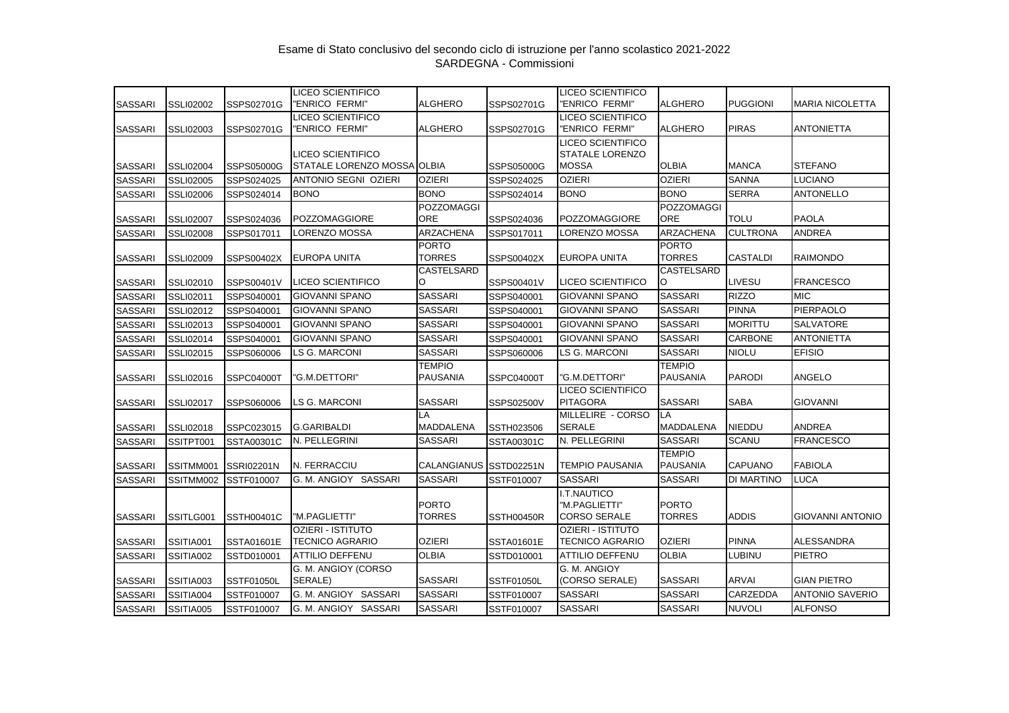|                |                  |            | <b>LICEO SCIENTIFICO</b>                           |                           |            | <b>LICEO SCIENTIFICO</b>                             |                                  |                 |                         |
|----------------|------------------|------------|----------------------------------------------------|---------------------------|------------|------------------------------------------------------|----------------------------------|-----------------|-------------------------|
| <b>SASSARI</b> | <b>SSLI02002</b> | SSPS02701G | "ENRICO FERMI"                                     | <b>ALGHERO</b>            | SSPS02701G | "ENRICO FERMI"                                       | <b>ALGHERO</b>                   | <b>PUGGIONI</b> | <b>MARIA NICOLETTA</b>  |
| <b>SASSARI</b> | SSLI02003        | SSPS02701G | LICEO SCIENTIFICO<br>'ENRICO FERMI"                | <b>ALGHERO</b>            | SSPS02701G | <b>LICEO SCIENTIFICO</b><br>"ENRICO FERMI"           | <b>ALGHERO</b>                   | <b>PIRAS</b>    | <b>ANTONIETTA</b>       |
| <b>SASSARI</b> | <b>SSLI02004</b> | SSPS05000G | LICEO SCIENTIFICO<br>STATALE LORENZO MOSSA OLBIA   |                           | SSPS05000G | LICEO SCIENTIFICO<br>STATALE LORENZO<br><b>MOSSA</b> | <b>OLBIA</b>                     | <b>MANCA</b>    | <b>STEFANO</b>          |
| <b>SASSARI</b> | <b>SSLI02005</b> | SSPS024025 | <b>ANTONIO SEGNI OZIERI</b>                        | <b>OZIERI</b>             | SSPS024025 | <b>OZIERI</b>                                        | <b>OZIERI</b>                    | <b>SANNA</b>    | <b>LUCIANO</b>          |
| <b>SASSARI</b> | <b>SSLI02006</b> | SSPS024014 | <b>BONO</b>                                        | <b>BONO</b>               | SSPS024014 | <b>BONO</b>                                          | <b>BONO</b>                      | <b>SERRA</b>    | <b>ANTONELLO</b>        |
|                |                  |            |                                                    | POZZOMAGGI                |            |                                                      | <b>POZZOMAGGI</b>                |                 |                         |
| <b>SASSARI</b> | <b>SSLI02007</b> | SSPS024036 | <b>POZZOMAGGIORE</b>                               | <b>ORE</b>                | SSPS024036 | <b>POZZOMAGGIORE</b>                                 | <b>ORE</b>                       | <b>TOLU</b>     | <b>PAOLA</b>            |
| <b>SASSARI</b> | <b>SSLI02008</b> | SSPS017011 | LORENZO MOSSA                                      | ARZACHENA                 | SSPS017011 | LORENZO MOSSA                                        | ARZACHENA                        | <b>CULTRONA</b> | <b>ANDREA</b>           |
| <b>SASSARI</b> | <b>SSLI02009</b> | SSPS00402X | EUROPA UNITA                                       | <b>PORTO</b><br>TORRES    | SSPS00402X | EUROPA UNITA                                         | <b>PORTO</b><br><b>TORRES</b>    | CASTALDI        | <b>RAIMONDO</b>         |
| <b>SASSARI</b> | SSLI02010        | SSPS00401V | <b>LICEO SCIENTIFICO</b>                           | CASTELSARD<br>O           | SSPS00401V | <b>LICEO SCIENTIFICO</b>                             | <b>CASTELSARD</b><br>O           | LIVESU          | <b>FRANCESCO</b>        |
| <b>SASSARI</b> | SSLI02011        | SSPS040001 | <b>GIOVANNI SPANO</b>                              | <b>SASSARI</b>            | SSPS040001 | <b>GIOVANNI SPANO</b>                                | <b>SASSARI</b>                   | <b>RIZZO</b>    | <b>MIC</b>              |
| <b>SASSARI</b> | <b>SSLI02012</b> | SSPS040001 | <b>GIOVANNI SPANO</b>                              | <b>SASSARI</b>            | SSPS040001 | <b>GIOVANNI SPANO</b>                                | <b>SASSARI</b>                   | <b>PINNA</b>    | <b>PIERPAOLO</b>        |
| <b>SASSARI</b> | SSLI02013        | SSPS040001 | <b>GIOVANNI SPANO</b>                              | <b>SASSARI</b>            | SSPS040001 | <b>GIOVANNI SPANO</b>                                | <b>SASSARI</b>                   | <b>MORITTU</b>  | <b>SALVATORE</b>        |
| <b>SASSARI</b> | SSLI02014        | SSPS040001 | <b>GIOVANNI SPANO</b>                              | <b>SASSARI</b>            | SSPS040001 | <b>GIOVANNI SPANO</b>                                | <b>SASSARI</b>                   | CARBONE         | <b>ANTONIETTA</b>       |
| <b>SASSARI</b> | <b>SSLI02015</b> | SSPS060006 | LS G. MARCONI                                      | <b>SASSARI</b>            | SSPS060006 | LS G. MARCONI                                        | <b>SASSARI</b>                   | <b>NIOLU</b>    | <b>EFISIO</b>           |
| <b>SASSARI</b> | SSLI02016        | SSPC04000T | 'G.M.DETTORI"                                      | <b>TEMPIO</b><br>PAUSANIA | SSPC04000T | "G.M.DETTORI"                                        | <b>TEMPIO</b><br><b>PAUSANIA</b> | <b>PARODI</b>   | <b>ANGELO</b>           |
| <b>SASSARI</b> | <b>SSLI02017</b> | SSPS060006 | LS G. MARCONI                                      | <b>SASSARI</b>            | SSPS02500V | LICEO SCIENTIFICO<br><b>PITAGORA</b>                 | <b>SASSARI</b>                   | <b>SABA</b>     | <b>GIOVANNI</b>         |
| <b>SASSARI</b> | <b>SSLI02018</b> | SSPC023015 | <b>G.GARIBALDI</b>                                 | LA<br><b>MADDALENA</b>    | SSTH023506 | MILLELIRE - CORSO<br><b>SERALE</b>                   | LA<br><b>MADDALENA</b>           | <b>NIEDDU</b>   | <b>ANDREA</b>           |
| <b>SASSARI</b> | SSITPT001        | SSTA00301C | N. PELLEGRINI                                      | <b>SASSARI</b>            | SSTA00301C | N. PELLEGRINI                                        | <b>SASSARI</b>                   | <b>SCANU</b>    | <b>FRANCESCO</b>        |
| <b>SASSARI</b> | SSITMM001        | SSRI02201N | N. FERRACCIU                                       | CALANGIANUS SSTD02251N    |            | <b>TEMPIO PAUSANIA</b>                               | <b>TEMPIO</b><br><b>PAUSANIA</b> | CAPUANO         | <b>FABIOLA</b>          |
| <b>SASSARI</b> | SSITMM002        | SSTF010007 | G. M. ANGIOY SASSARI                               | <b>SASSARI</b>            | SSTF010007 | SASSARI                                              | <b>SASSARI</b>                   | DI MARTINO      | <b>LUCA</b>             |
| <b>SASSARI</b> | SSITLG001        | SSTH00401C | "M.PAGLIETTI"                                      | <b>PORTO</b><br>TORRES    | SSTH00450R | I.T.NAUTICO<br>"M.PAGLIETTI"<br><b>CORSO SERALE</b>  | <b>PORTO</b><br><b>TORRES</b>    | <b>ADDIS</b>    | <b>GIOVANNI ANTONIO</b> |
| <b>SASSARI</b> | SSITIA001        | SSTA01601E | <b>OZIERI - ISTITUTO</b><br><b>TECNICO AGRARIO</b> | OZIERI                    | SSTA01601E | OZIERI - ISTITUTO<br>TECNICO AGRARIO                 | <b>OZIERI</b>                    | <b>PINNA</b>    | <b>ALESSANDRA</b>       |
| <b>SASSARI</b> | SSITIA002        | SSTD010001 | <b>ATTILIO DEFFENU</b>                             | <b>OLBIA</b>              | SSTD010001 | <b>ATTILIO DEFFENU</b>                               | <b>OLBIA</b>                     | LUBINU          | <b>PIETRO</b>           |
| <b>SASSARI</b> | SSITIA003        | SSTF01050L | G. M. ANGIOY (CORSO<br>SERALE)                     | <b>SASSARI</b>            | SSTF01050L | G. M. ANGIOY<br>(CORSO SERALE)                       | <b>SASSARI</b>                   | <b>ARVAI</b>    | <b>GIAN PIETRO</b>      |
| <b>SASSARI</b> | SSITIA004        | SSTF010007 | G. M. ANGIOY SASSARI                               | <b>SASSARI</b>            | SSTF010007 | SASSARI                                              | <b>SASSARI</b>                   | CARZEDDA        | <b>ANTONIO SAVERIO</b>  |
| <b>SASSARI</b> | SSITIA005        | SSTF010007 | G. M. ANGIOY SASSARI                               | <b>SASSARI</b>            | SSTF010007 | SASSARI                                              | <b>SASSARI</b>                   | <b>NUVOLI</b>   | <b>ALFONSO</b>          |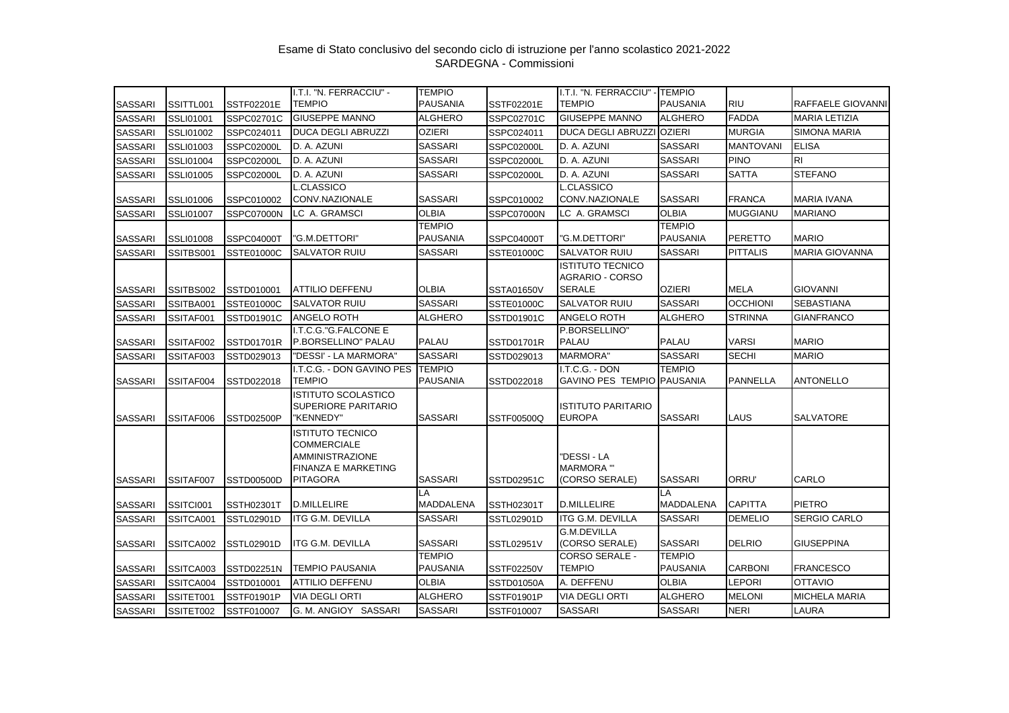| <b>SASSARI</b> | SSITTL001        | SSTF02201E        | I.T.I. "N. FERRACCIU" -<br><b>TEMPIO</b>                                                                                 | <b>TEMPIO</b><br><b>PAUSANIA</b> | SSTF02201E        | I.T.I. "N. FERRACCIU" -<br><b>TEMPIO</b>                    | <b>TEMPIO</b><br><b>PAUSANIA</b> | <b>RIU</b>       | RAFFAELE GIOVANNI     |
|----------------|------------------|-------------------|--------------------------------------------------------------------------------------------------------------------------|----------------------------------|-------------------|-------------------------------------------------------------|----------------------------------|------------------|-----------------------|
| <b>SASSARI</b> | <b>SSLI01001</b> | SSPC02701C        | <b>GIUSEPPE MANNO</b>                                                                                                    | <b>ALGHERO</b>                   | SSPC02701C        | <b>GIUSEPPE MANNO</b>                                       | <b>ALGHERO</b>                   | <b>FADDA</b>     | <b>MARIA LETIZIA</b>  |
| <b>SASSARI</b> | <b>SSLI01002</b> | SSPC024011        | <b>DUCA DEGLI ABRUZZI</b>                                                                                                | <b>OZIERI</b>                    | SSPC024011        | <b>DUCA DEGLI ABRUZZI</b>                                   | <b>OZIERI</b>                    | <b>MURGIA</b>    | <b>SIMONA MARIA</b>   |
| SASSARI        | <b>SSLI01003</b> | SSPC02000L        | D. A. AZUNI                                                                                                              | <b>SASSARI</b>                   | SSPC02000L        | D. A. AZUNI                                                 | <b>SASSARI</b>                   | <b>MANTOVANI</b> | <b>ELISA</b>          |
| <b>SASSARI</b> | <b>SSLI01004</b> | SSPC02000L        | D. A. AZUNI                                                                                                              | <b>SASSARI</b>                   | SSPC02000L        | D. A. AZUNI                                                 | <b>SASSARI</b>                   | <b>PINO</b>      | <b>RI</b>             |
| <b>SASSARI</b> | SSLI01005        | SSPC02000L        | D. A. AZUNI                                                                                                              | <b>SASSARI</b>                   | SSPC02000L        | D. A. AZUNI                                                 | <b>SASSARI</b>                   | <b>SATTA</b>     | <b>STEFANO</b>        |
|                |                  |                   | <b>L.CLASSICO</b>                                                                                                        |                                  |                   | <b>L.CLASSICO</b>                                           |                                  |                  |                       |
| <b>SASSARI</b> | SSLI01006        | SSPC010002        | CONV.NAZIONALE                                                                                                           | <b>SASSARI</b>                   | SSPC010002        | CONV.NAZIONALE                                              | <b>SASSARI</b>                   | <b>FRANCA</b>    | <b>MARIA IVANA</b>    |
| <b>SASSARI</b> | <b>SSLI01007</b> | SSPC07000N        | LC A. GRAMSCI                                                                                                            | <b>OLBIA</b>                     | SSPC07000N        | LC A. GRAMSCI                                               | <b>OLBIA</b>                     | <b>MUGGIANU</b>  | <b>MARIANO</b>        |
| <b>SASSARI</b> | <b>SSLI01008</b> | SSPC04000T        | 'G.M.DETTORI"                                                                                                            | <b>TEMPIO</b><br><b>PAUSANIA</b> | SSPC04000T        | 'G.M.DETTORI"                                               | <b>TEMPIO</b><br><b>PAUSANIA</b> | <b>PERETTO</b>   | <b>MARIO</b>          |
| <b>SASSARI</b> | SSITBS001        | SSTE01000C        | <b>SALVATOR RUIU</b>                                                                                                     | <b>SASSARI</b>                   | <b>SSTE01000C</b> | <b>SALVATOR RUIU</b>                                        | <b>SASSARI</b>                   | <b>PITTALIS</b>  | <b>MARIA GIOVANNA</b> |
| <b>SASSARI</b> | SSITBS002        | SSTD010001        | <b>ATTILIO DEFFENU</b>                                                                                                   | <b>OLBIA</b>                     | <b>SSTA01650V</b> | <b>ISTITUTO TECNICO</b><br>AGRARIO - CORSO<br><b>SERALE</b> | <b>OZIERI</b>                    | <b>MELA</b>      | <b>GIOVANNI</b>       |
| <b>SASSARI</b> | SSITBA001        | SSTE01000C        | <b>SALVATOR RUIU</b>                                                                                                     | <b>SASSARI</b>                   | SSTE01000C        | <b>SALVATOR RUIU</b>                                        | <b>SASSARI</b>                   | <b>OCCHIONI</b>  | <b>SEBASTIANA</b>     |
| <b>SASSARI</b> | SSITAF001        | SSTD01901C        | <b>ANGELO ROTH</b>                                                                                                       | <b>ALGHERO</b>                   | SSTD01901C        | <b>ANGELO ROTH</b>                                          | <b>ALGHERO</b>                   | <b>STRINNA</b>   | <b>GIANFRANCO</b>     |
| <b>SASSARI</b> | SSITAF002        | SSTD01701R        | I.T.C.G."G.FALCONE E<br>P.BORSELLINO" PALAU                                                                              | <b>PALAU</b>                     | SSTD01701R        | P.BORSELLINO"<br><b>PALAU</b>                               | <b>PALAU</b>                     | <b>VARSI</b>     | <b>MARIO</b>          |
| <b>SASSARI</b> | SSITAF003        | SSTD029013        | "DESSI' - LA MARMORA"                                                                                                    | <b>SASSARI</b>                   | SSTD029013        | <b>MARMORA"</b>                                             | <b>SASSARI</b>                   | <b>SECHI</b>     | <b>MARIO</b>          |
| <b>SASSARI</b> | SSITAF004        | SSTD022018        | I.T.C.G. - DON GAVINO PES<br><b>TEMPIO</b>                                                                               | <b>TEMPIO</b><br><b>PAUSANIA</b> | SSTD022018        | I.T.C.G. - DON<br>GAVINO PES TEMPIO PAUSANIA                | <b>TEMPIO</b>                    | <b>PANNELLA</b>  | <b>ANTONELLO</b>      |
| <b>SASSARI</b> | SSITAF006        | SSTD02500P        | <b>ISTITUTO SCOLASTICO</b><br>SUPERIORE PARITARIO<br>"KENNEDY"                                                           | <b>SASSARI</b>                   | SSTF00500Q        | <b>ISTITUTO PARITARIO</b><br><b>EUROPA</b>                  | <b>SASSARI</b>                   | LAUS             | <b>SALVATORE</b>      |
| <b>SASSARI</b> | SSITAF007        | SSTD00500D        | <b>ISTITUTO TECNICO</b><br><b>COMMERCIALE</b><br><b>AMMINISTRAZIONE</b><br><b>FINANZA E MARKETING</b><br><b>PITAGORA</b> | <b>SASSARI</b>                   | SSTD02951C        | "DESSI - LA<br><b>MARMORA</b> "<br>(CORSO SERALE)           | <b>SASSARI</b>                   | ORRU'            | CARLO                 |
| <b>SASSARI</b> | SSITCI001        | <b>SSTH02301T</b> | <b>D.MILLELIRE</b>                                                                                                       | LA<br><b>MADDALENA</b>           | <b>SSTH02301T</b> | <b>D.MILLELIRE</b>                                          | LA<br><b>MADDALENA</b>           | <b>CAPITTA</b>   | <b>PIETRO</b>         |
| <b>SASSARI</b> | SSITCA001        | SSTL02901D        | <b>ITG G.M. DEVILLA</b>                                                                                                  | <b>SASSARI</b>                   | SSTL02901D        | <b>ITG G.M. DEVILLA</b>                                     | <b>SASSARI</b>                   | <b>DEMELIO</b>   | SERGIO CARLO          |
| <b>SASSARI</b> | SSITCA002        | SSTL02901D        | ITG G.M. DEVILLA                                                                                                         | <b>SASSARI</b>                   | SSTL02951V        | <b>G.M.DEVILLA</b><br>(CORSO SERALE)                        | <b>SASSARI</b>                   | <b>DELRIO</b>    | GIUSEPPINA            |
| <b>SASSARI</b> | SSITCA003        | SSTD02251N        | <b>TEMPIO PAUSANIA</b>                                                                                                   | <b>TEMPIO</b><br>PAUSANIA        | <b>SSTF02250V</b> | <b>CORSO SERALE -</b><br>TEMPIO                             | <b>TEMPIO</b><br><b>PAUSANIA</b> | <b>CARBONI</b>   | <b>FRANCESCO</b>      |
| <b>SASSARI</b> | SSITCA004        | SSTD010001        | <b>ATTILIO DEFFENU</b>                                                                                                   | <b>OLBIA</b>                     | SSTD01050A        | A. DEFFENU                                                  | <b>OLBIA</b>                     | <b>LEPORI</b>    | <b>OTTAVIO</b>        |
| <b>SASSARI</b> | SSITET001        | SSTF01901P        | <b>VIA DEGLI ORTI</b>                                                                                                    | <b>ALGHERO</b>                   | SSTF01901P        | <b>VIA DEGLI ORTI</b>                                       | <b>ALGHERO</b>                   | <b>MELONI</b>    | <b>MICHELA MARIA</b>  |
| <b>SASSARI</b> | SSITET002        | SSTF010007        | G. M. ANGIOY SASSARI                                                                                                     | <b>SASSARI</b>                   | SSTF010007        | <b>SASSARI</b>                                              | <b>SASSARI</b>                   | <b>NERI</b>      | LAURA                 |
|                |                  |                   |                                                                                                                          |                                  |                   |                                                             |                                  |                  |                       |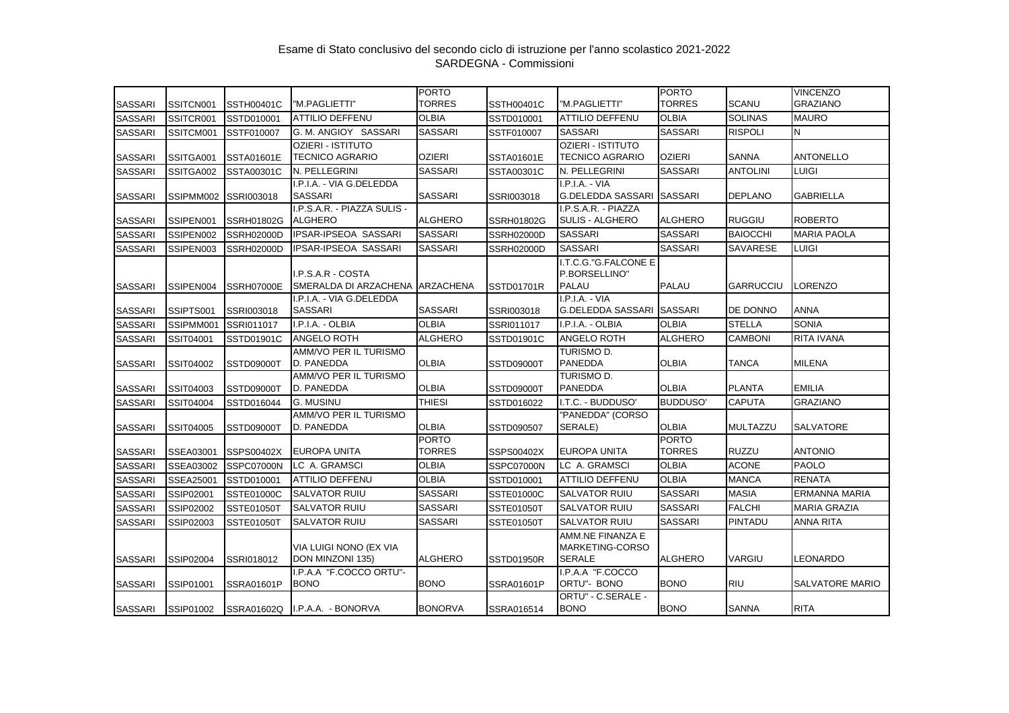|                |                  |                   |                                               | <b>PORTO</b>                  |                   |                                                      | <b>PORTO</b>                  |                  | <b>VINCENZO</b>        |
|----------------|------------------|-------------------|-----------------------------------------------|-------------------------------|-------------------|------------------------------------------------------|-------------------------------|------------------|------------------------|
| <b>SASSARI</b> | SSITCN001        | <b>SSTH00401C</b> | "M.PAGLIETTI"                                 | <b>TORRES</b>                 | <b>SSTH00401C</b> | "M.PAGLIETTI"                                        | <b>TORRES</b>                 | <b>SCANU</b>     | <b>GRAZIANO</b>        |
| <b>SASSARI</b> | SSITCR001        | SSTD010001        | <b>ATTILIO DEFFENU</b>                        | <b>OLBIA</b>                  | SSTD010001        | <b>ATTILIO DEFFENU</b>                               | <b>OLBIA</b>                  | <b>SOLINAS</b>   | <b>MAURO</b>           |
| <b>SASSARI</b> | SSITCM001        | SSTF010007        | G. M. ANGIOY SASSARI                          | <b>SASSARI</b>                | SSTF010007        | <b>SASSARI</b>                                       | <b>SASSARI</b>                | <b>RISPOLI</b>   | N                      |
|                |                  |                   | <b>OZIERI - ISTITUTO</b>                      |                               |                   | <b>OZIERI - ISTITUTO</b>                             |                               |                  |                        |
| <b>SASSARI</b> | SSITGA001        | SSTA01601E        | <b>TECNICO AGRARIO</b>                        | <b>OZIERI</b>                 | SSTA01601E        | TECNICO AGRARIO                                      | <b>OZIERI</b>                 | <b>SANNA</b>     | <b>ANTONELLO</b>       |
| <b>SASSARI</b> | SSITGA002        | SSTA00301C        | N. PELLEGRINI                                 | <b>SASSARI</b>                | SSTA00301C        | N. PELLEGRINI                                        | <b>SASSARI</b>                | <b>ANTOLINI</b>  | <b>LUIGI</b>           |
| <b>SASSARI</b> | SSIPMM002        | SSRI003018        | I.P.I.A. - VIA G.DELEDDA<br><b>SASSARI</b>    | <b>SASSARI</b>                | SSRI003018        | $I.P.I.A. - VIA$<br>G.DELEDDA SASSARI SASSARI        |                               | <b>DEPLANO</b>   | <b>GABRIELLA</b>       |
| <b>SASSARI</b> | SSIPEN001        | SSRH01802G        | I.P.S.A.R. - PIAZZA SULIS -<br><b>ALGHERO</b> | <b>ALGHERO</b>                | SSRH01802G        | I.P.S.A.R. - PIAZZA<br><b>SULIS - ALGHERO</b>        | <b>ALGHERO</b>                | <b>RUGGIU</b>    | <b>ROBERTO</b>         |
| <b>SASSARI</b> | SSIPEN002        | SSRH02000D        | <b>IPSAR-IPSEOA SASSARI</b>                   | <b>SASSARI</b>                | <b>SSRH02000D</b> | <b>SASSARI</b>                                       | <b>SASSARI</b>                | <b>BAIOCCHI</b>  | <b>MARIA PAOLA</b>     |
| <b>SASSARI</b> | SSIPEN003        | <b>SSRH02000D</b> | <b>IPSAR-IPSEOA SASSARI</b>                   | <b>SASSARI</b>                | <b>SSRH02000D</b> | <b>SASSARI</b>                                       | <b>SASSARI</b>                | <b>SAVARESE</b>  | <b>LUIGI</b>           |
| <b>SASSARI</b> | SSIPEN004        | SSRH07000E        | I.P.S.A.R - COSTA<br>SMERALDA DI ARZACHENA    | ARZACHENA                     | SSTD01701R        | I.T.C.G."G.FALCONE E<br>P.BORSELLINO"<br>PALAU       | <b>PALAU</b>                  | <b>GARRUCCIU</b> | LORENZO                |
| <b>SASSARI</b> | SSIPTS001        | SSRI003018        | I.P.I.A. - VIA G.DELEDDA<br><b>SASSARI</b>    | <b>SASSARI</b>                | SSRI003018        | $I.P.I.A. - VIA$<br>G.DELEDDA SASSARI SASSARI        |                               | DE DONNO         | <b>ANNA</b>            |
| <b>SASSARI</b> | SSIPMM001        | SSRI011017        | I.P.I.A. - OLBIA                              | <b>OLBIA</b>                  | SSRI011017        | I.P.I.A. - OLBIA                                     | <b>OLBIA</b>                  | <b>STELLA</b>    | <b>SONIA</b>           |
| <b>SASSARI</b> | SSIT04001        | SSTD01901C        | <b>ANGELO ROTH</b>                            | <b>ALGHERO</b>                | SSTD01901C        | <b>ANGELO ROTH</b>                                   | <b>ALGHERO</b>                | <b>CAMBONI</b>   | RITA IVANA             |
| <b>SASSARI</b> | SSIT04002        | SSTD09000T        | AMM/VO PER IL TURISMO<br>D. PANEDDA           | <b>OLBIA</b>                  | SSTD09000T        | TURISMO D.<br>PANEDDA                                | <b>OLBIA</b>                  | <b>TANCA</b>     | <b>MILENA</b>          |
| <b>SASSARI</b> | SSIT04003        | SSTD09000T        | AMM/VO PER IL TURISMO<br>D. PANEDDA           | <b>OLBIA</b>                  | SSTD09000T        | turismo d.<br><b>PANEDDA</b>                         | <b>OLBIA</b>                  | <b>PLANTA</b>    | <b>EMILIA</b>          |
| <b>SASSARI</b> | SSIT04004        | SSTD016044        | <b>G. MUSINU</b>                              | <b>THIESI</b>                 | SSTD016022        | I.T.C. - BUDDUSO'                                    | <b>BUDDUSO'</b>               | <b>CAPUTA</b>    | <b>GRAZIANO</b>        |
| <b>SASSARI</b> | SSIT04005        | SSTD09000T        | AMM/VO PER IL TURISMO<br>D. PANEDDA           | <b>OLBIA</b>                  | SSTD090507        | "PANEDDA" (CORSO<br>SERALE)                          | <b>OLBIA</b>                  | <b>MULTAZZU</b>  | SALVATORE              |
| <b>SASSARI</b> | SSEA03001        | SSPS00402X        | <b>EUROPA UNITA</b>                           | <b>PORTO</b><br><b>TORRES</b> | SSPS00402X        | <b>EUROPA UNITA</b>                                  | <b>PORTO</b><br><b>TORRES</b> | <b>RUZZU</b>     | <b>ANTONIO</b>         |
| <b>SASSARI</b> | SSEA03002        | SSPC07000N        | LC A. GRAMSCI                                 | <b>OLBIA</b>                  | SSPC07000N        | LC A. GRAMSCI                                        | <b>OLBIA</b>                  | <b>ACONE</b>     | <b>PAOLO</b>           |
| <b>SASSARI</b> | <b>SSEA25001</b> | SSTD010001        | <b>ATTILIO DEFFENU</b>                        | <b>OLBIA</b>                  | SSTD010001        | <b>ATTILIO DEFFENU</b>                               | <b>OLBIA</b>                  | <b>MANCA</b>     | <b>RENATA</b>          |
| <b>SASSARI</b> | SSIP02001        | SSTE01000C        | <b>SALVATOR RUIU</b>                          | <b>SASSARI</b>                | SSTE01000C        | <b>SALVATOR RUIU</b>                                 | <b>SASSARI</b>                | <b>MASIA</b>     | <b>ERMANNA MARIA</b>   |
| <b>SASSARI</b> | SSIP02002        | <b>SSTE01050T</b> | <b>SALVATOR RUIU</b>                          | <b>SASSARI</b>                | <b>SSTE01050T</b> | <b>SALVATOR RUIU</b>                                 | <b>SASSARI</b>                | <b>FALCHI</b>    | <b>MARIA GRAZIA</b>    |
| <b>SASSARI</b> | SSIP02003        | SSTE01050T        | <b>SALVATOR RUIU</b>                          | <b>SASSARI</b>                | SSTE01050T        | SALVATOR RUIU                                        | <b>SASSARI</b>                | <b>PINTADU</b>   | <b>ANNA RITA</b>       |
| <b>SASSARI</b> | SSIP02004        | SSRI018012        | VIA LUIGI NONO (EX VIA<br>DON MINZONI 135)    | <b>ALGHERO</b>                | <b>SSTD01950R</b> | AMM.NE FINANZA E<br>MARKETING-CORSO<br><b>SERALE</b> | <b>ALGHERO</b>                | VARGIU           | LEONARDO               |
| <b>SASSARI</b> | SSIP01001        | SSRA01601P        | I.P.A.A "F.COCCO ORTU"-<br><b>BONO</b>        | <b>BONO</b>                   | SSRA01601P        | I.P.A.A "F.COCCO<br>ORTU"- BONO                      | <b>BONO</b>                   | <b>RIU</b>       | <b>SALVATORE MARIO</b> |
| <b>SASSARI</b> | SSIP01002        |                   | SSRA01602Q I.P.A.A. - BONORVA                 | <b>BONORVA</b>                | SSRA016514        | ORTU" - C.SERALE -<br><b>BONO</b>                    | <b>BONO</b>                   | <b>SANNA</b>     | <b>RITA</b>            |